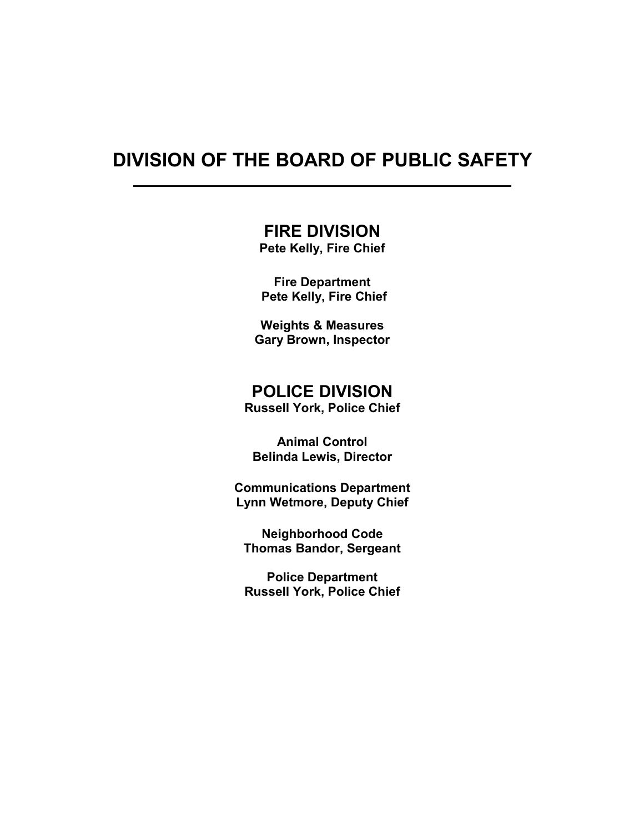# DIVISION OF THE BOARD OF PUBLIC SAFETY

l

# FIRE DIVISION

Pete Kelly, Fire Chief

Fire Department Pete Kelly, Fire Chief

 Weights & Measures Gary Brown, Inspector

# POLICE DIVISION

Russell York, Police Chief

Animal Control Belinda Lewis, Director

Communications Department Lynn Wetmore, Deputy Chief

Neighborhood Code Thomas Bandor, Sergeant

Police Department Russell York, Police Chief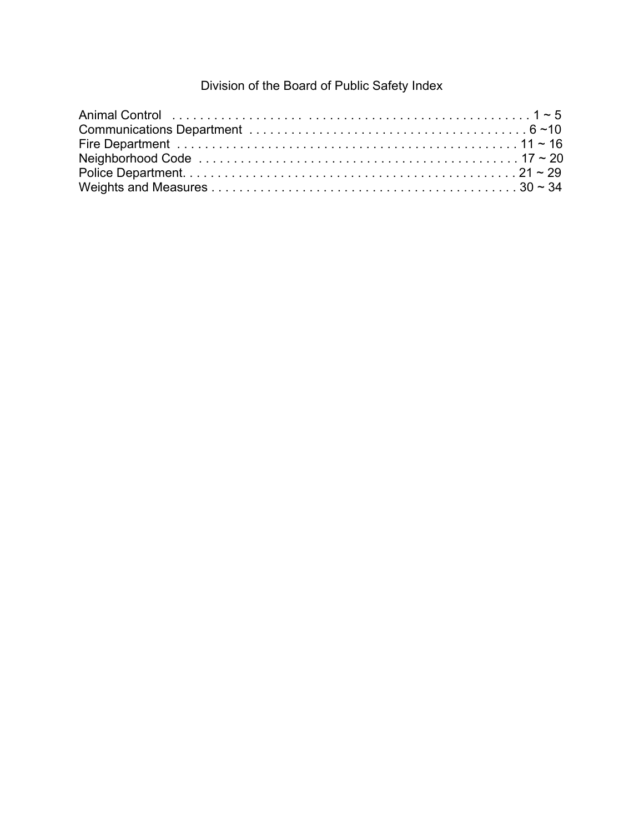# Division of the Board of Public Safety Index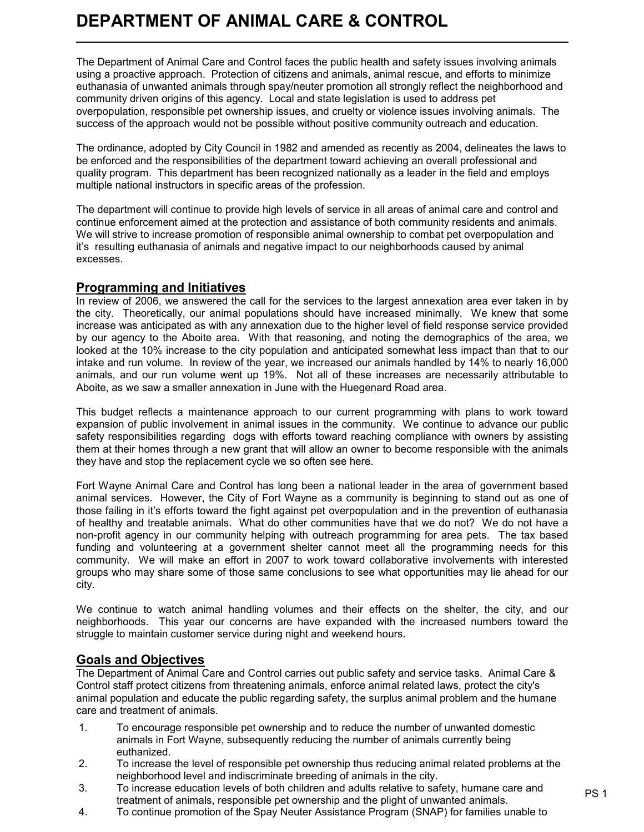# DEPARTMENT OF ANIMAL CARE & CONTROL

The Department of Animal Care and Control faces the public health and safety issues involving animals using a proactive approach. Protection of citizens and animals, animal rescue, and efforts to minimize euthanasia of unwanted animals through spay/neuter promotion all strongly reflect the neighborhood and community driven origins of this agency. Local and state legislation is used to address pet overpopulation, responsible pet ownership issues, and cruelty or violence issues involving animals. The success of the approach would not be possible without positive community outreach and education.

The ordinance, adopted by City Council in 1982 and amended as recently as 2004, delineates the laws to be enforced and the responsibilities of the department toward achieving an overall professional and quality program. This department has been recognized nationally as a leader in the field and employs multiple national instructors in specific areas of the profession.

The department will continue to provide high levels of service in all areas of animal care and control and continue enforcement aimed at the protection and assistance of both community residents and animals. We will strive to increase promotion of responsible animal ownership to combat pet overpopulation and it's resulting euthanasia of animals and negative impact to our neighborhoods caused by animal excesses.

### Programming and Initiatives

l

In review of 2006, we answered the call for the services to the largest annexation area ever taken in by the city. Theoretically, our animal populations should have increased minimally. We knew that some increase was anticipated as with any annexation due to the higher level of field response service provided by our agency to the Aboite area. With that reasoning, and noting the demographics of the area, we looked at the 10% increase to the city population and anticipated somewhat less impact than that to our intake and run volume. In review of the year, we increased our animals handled by 14% to nearly 16,000 animals, and our run volume went up 19%. Not all of these increases are necessarily attributable to Aboite, as we saw a smaller annexation in June with the Huegenard Road area.

This budget reflects a maintenance approach to our current programming with plans to work toward expansion of public involvement in animal issues in the community. We continue to advance our public safety responsibilities regarding dogs with efforts toward reaching compliance with owners by assisting them at their homes through a new grant that will allow an owner to become responsible with the animals they have and stop the replacement cycle we so often see here.

Fort Wayne Animal Care and Control has long been a national leader in the area of government based animal services. However, the City of Fort Wayne as a community is beginning to stand out as one of those failing in it's efforts toward the fight against pet overpopulation and in the prevention of euthanasia of healthy and treatable animals. What do other communities have that we do not? We do not have a non-profit agency in our community helping with outreach programming for area pets. The tax based funding and volunteering at a government shelter cannot meet all the programming needs for this community. We will make an effort in 2007 to work toward collaborative involvements with interested groups who may share some of those same conclusions to see what opportunities may lie ahead for our city.

We continue to watch animal handling volumes and their effects on the shelter, the city, and our neighborhoods. This year our concerns are have expanded with the increased numbers toward the struggle to maintain customer service during night and weekend hours.

### Goals and Objectives

The Department of Animal Care and Control carries out public safety and service tasks. Animal Care & Control staff protect citizens from threatening animals, enforce animal related laws, protect the city's animal population and educate the public regarding safety, the surplus animal problem and the humane care and treatment of animals.

- 1. To encourage responsible pet ownership and to reduce the number of unwanted domestic animals in Fort Wayne, subsequently reducing the number of animals currently being euthanized.
- 2. To increase the level of responsible pet ownership thus reducing animal related problems at the neighborhood level and indiscriminate breeding of animals in the city.
- 3. To increase education levels of both children and adults relative to safety, humane care and treatment of animals, responsible pet ownership and the plight of unwanted animals.
- 4. To continue promotion of the Spay Neuter Assistance Program (SNAP) for families unable to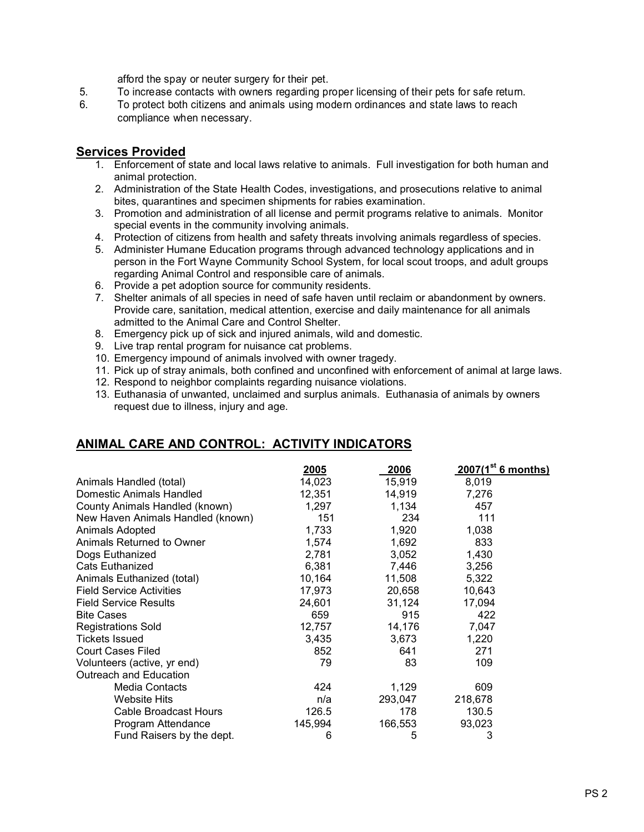afford the spay or neuter surgery for their pet.

- 5. To increase contacts with owners regarding proper licensing of their pets for safe return.
- 6. To protect both citizens and animals using modern ordinances and state laws to reach compliance when necessary.

### Services Provided

- 1. Enforcement of state and local laws relative to animals. Full investigation for both human and animal protection.
- 2. Administration of the State Health Codes, investigations, and prosecutions relative to animal bites, quarantines and specimen shipments for rabies examination.
- 3. Promotion and administration of all license and permit programs relative to animals. Monitor special events in the community involving animals.
- 4. Protection of citizens from health and safety threats involving animals regardless of species.
- 5. Administer Humane Education programs through advanced technology applications and in person in the Fort Wayne Community School System, for local scout troops, and adult groups regarding Animal Control and responsible care of animals.
- 6. Provide a pet adoption source for community residents.
- 7. Shelter animals of all species in need of safe haven until reclaim or abandonment by owners. Provide care, sanitation, medical attention, exercise and daily maintenance for all animals admitted to the Animal Care and Control Shelter.
- 8. Emergency pick up of sick and injured animals, wild and domestic.
- 9. Live trap rental program for nuisance cat problems.
- 10. Emergency impound of animals involved with owner tragedy.
- 11. Pick up of stray animals, both confined and unconfined with enforcement of animal at large laws.
- 12. Respond to neighbor complaints regarding nuisance violations.
- 13. Euthanasia of unwanted, unclaimed and surplus animals. Euthanasia of animals by owners request due to illness, injury and age.

### ANIMAL CARE AND CONTROL: ACTIVITY INDICATORS

|                                   | 2005    | 2006    | $2007(1^{st} 6 months)$ |
|-----------------------------------|---------|---------|-------------------------|
| Animals Handled (total)           | 14,023  | 15,919  | 8,019                   |
| Domestic Animals Handled          | 12,351  | 14,919  | 7,276                   |
| County Animals Handled (known)    | 1,297   | 1,134   | 457                     |
| New Haven Animals Handled (known) | 151     | 234     | 111                     |
| Animals Adopted                   | 1,733   | 1,920   | 1,038                   |
| Animals Returned to Owner         | 1,574   | 1,692   | 833                     |
| Dogs Euthanized                   | 2,781   | 3,052   | 1,430                   |
| <b>Cats Euthanized</b>            | 6,381   | 7,446   | 3,256                   |
| Animals Euthanized (total)        | 10,164  | 11,508  | 5,322                   |
| <b>Field Service Activities</b>   | 17,973  | 20,658  | 10,643                  |
| <b>Field Service Results</b>      | 24,601  | 31,124  | 17,094                  |
| <b>Bite Cases</b>                 | 659     | 915     | 422                     |
| <b>Registrations Sold</b>         | 12,757  | 14,176  | 7,047                   |
| <b>Tickets Issued</b>             | 3,435   | 3,673   | 1,220                   |
| <b>Court Cases Filed</b>          | 852     | 641     | 271                     |
| Volunteers (active, yr end)       | 79      | 83      | 109                     |
| Outreach and Education            |         |         |                         |
| <b>Media Contacts</b>             | 424     | 1,129   | 609                     |
| <b>Website Hits</b>               | n/a     | 293,047 | 218,678                 |
| <b>Cable Broadcast Hours</b>      | 126.5   | 178     | 130.5                   |
| Program Attendance                | 145,994 | 166,553 | 93,023                  |
| Fund Raisers by the dept.         | 6       | 5       | 3                       |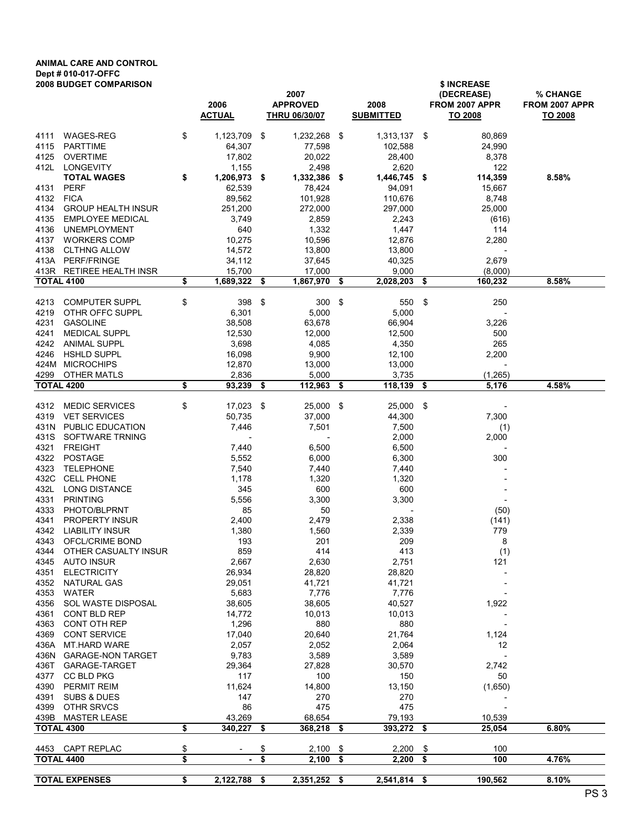# ANIMAL CARE AND CONTROL Dept # 010-017-OFFC

|                   | <b>2008 BUDGET COMPARISON</b> |                       |      |                                         |                          |     | \$ INCREASE               |                           |
|-------------------|-------------------------------|-----------------------|------|-----------------------------------------|--------------------------|-----|---------------------------|---------------------------|
|                   |                               |                       |      | 2007                                    |                          |     | (DECREASE)                | <b>% CHANGE</b>           |
|                   |                               | 2006<br><b>ACTUAL</b> |      | <b>APPROVED</b><br><b>THRU 06/30/07</b> | 2008<br><b>SUBMITTED</b> |     | FROM 2007 APPR<br>TO 2008 | FROM 2007 APPR<br>TO 2008 |
|                   |                               |                       |      |                                         |                          |     |                           |                           |
| 4111              | WAGES-REG                     | \$<br>1,123,709 \$    |      | 1,232,268 \$                            | 1,313,137 \$             |     | 80,869                    |                           |
| 4115              | <b>PARTTIME</b>               | 64,307                |      | 77,598                                  | 102,588                  |     | 24,990                    |                           |
| 4125              | <b>OVERTIME</b>               | 17,802                |      | 20,022                                  | 28,400                   |     | 8,378                     |                           |
| 412L              | LONGEVITY                     | 1,155                 |      | 2,498                                   | 2,620                    |     | 122                       |                           |
|                   | <b>TOTAL WAGES</b>            | \$<br>1,206,973 \$    |      | 1,332,386 \$                            | 1,446,745 \$             |     | 114,359                   | 8.58%                     |
| 4131              | <b>PERF</b>                   | 62,539                |      | 78,424                                  | 94,091                   |     | 15,667                    |                           |
| 4132              | <b>FICA</b>                   | 89,562                |      | 101,928                                 | 110,676                  |     | 8,748                     |                           |
| 4134              | <b>GROUP HEALTH INSUR</b>     | 251,200               |      | 272,000                                 | 297,000                  |     | 25,000                    |                           |
| 4135              | <b>EMPLOYEE MEDICAL</b>       | 3,749                 |      | 2,859                                   | 2,243                    |     | (616)                     |                           |
| 4136              | <b>UNEMPLOYMENT</b>           | 640                   |      | 1,332                                   | 1,447                    |     | 114                       |                           |
| 4137              | <b>WORKERS COMP</b>           | 10,275                |      | 10,596                                  | 12,876                   |     | 2,280                     |                           |
| 4138              | <b>CLTHNG ALLOW</b>           | 14,572                |      | 13,800                                  | 13,800                   |     |                           |                           |
| 413A              | <b>PERF/FRINGE</b>            | 34,112                |      | 37,645                                  | 40,325                   |     | 2,679                     |                           |
| 413R              | RETIREE HEALTH INSR           | 15,700                |      | 17,000                                  | 9,000                    |     | (8,000)                   |                           |
| <b>TOTAL 4100</b> |                               | \$<br>1,689,322       | - \$ | 1,867,970                               | \$<br>2,028,203          | \$  | 160,232                   | 8.58%                     |
|                   |                               |                       |      |                                         |                          |     |                           |                           |
| 4213              | <b>COMPUTER SUPPL</b>         | \$<br>398             | -\$  | 300S                                    | 550                      | \$  | 250                       |                           |
| 4219              | OTHR OFFC SUPPL               | 6,301                 |      | 5,000                                   | 5,000                    |     |                           |                           |
| 4231              | <b>GASOLINE</b>               | 38,508                |      | 63,678                                  | 66,904                   |     | 3,226                     |                           |
| 4241              | <b>MEDICAL SUPPL</b>          | 12,530                |      | 12,000                                  | 12,500                   |     | 500                       |                           |
| 4242              | <b>ANIMAL SUPPL</b>           | 3,698                 |      | 4,085                                   | 4,350                    |     | 265                       |                           |
| 4246              | <b>HSHLD SUPPL</b>            | 16,098                |      | 9,900                                   | 12,100                   |     | 2,200                     |                           |
| 424M              | <b>MICROCHIPS</b>             | 12,870                |      | 13,000                                  | 13,000                   |     |                           |                           |
| 4299              | <b>OTHER MATLS</b>            | 2,836                 |      | 5,000                                   | 3,735                    |     | (1, 265)                  |                           |
| <b>TOTAL 4200</b> |                               | \$<br>$93,239$ \$     |      | $112,963$ \$                            | 118,139                  | \$  | 5,176                     | 4.58%                     |
|                   |                               |                       |      |                                         |                          |     |                           |                           |
| 4312              | <b>MEDIC SERVICES</b>         | \$<br>17,023 \$       |      | 25,000 \$                               | 25,000                   | -\$ |                           |                           |
| 4319              | <b>VET SERVICES</b>           | 50,735                |      | 37,000                                  | 44,300                   |     | 7,300                     |                           |
| 431N              | <b>PUBLIC EDUCATION</b>       | 7,446                 |      | 7,501                                   | 7,500                    |     | (1)                       |                           |
| 431S              | SOFTWARE TRNING               |                       |      |                                         | 2,000                    |     | 2,000                     |                           |
| 4321              | <b>FREIGHT</b>                | 7,440                 |      | 6,500                                   | 6,500                    |     |                           |                           |
| 4322              | <b>POSTAGE</b>                | 5,552                 |      | 6,000                                   | 6,300                    |     | 300                       |                           |
| 4323              | <b>TELEPHONE</b>              | 7,540                 |      | 7,440                                   | 7,440                    |     |                           |                           |
| 432C              | <b>CELL PHONE</b>             | 1,178                 |      | 1,320                                   | 1,320                    |     |                           |                           |
| 432L              | LONG DISTANCE                 | 345                   |      | 600                                     | 600                      |     |                           |                           |
| 4331              | <b>PRINTING</b>               | 5,556                 |      | 3,300                                   | 3,300                    |     |                           |                           |
| 4333              | PHOTO/BLPRNT                  | 85                    |      | 50                                      | $\overline{\phantom{a}}$ |     | (50)                      |                           |
| 4341              | PROPERTY INSUR                | 2,400                 |      | 2,479                                   | 2,338                    |     | (141)                     |                           |
| 4342              | LIABILITY INSUR               | 1,380                 |      | 1,560                                   | 2,339                    |     | 779                       |                           |
| 4343              | OFCL/CRIME BOND               | 193                   |      | 201                                     | 209                      |     | 8                         |                           |
|                   | 4344 OTHER CASUALTY INSUR     | 859                   |      | 414                                     | 413                      |     | (1)                       |                           |
|                   | 4345 AUTO INSUR               | 2,667                 |      | 2,630                                   | 2,751                    |     | 121                       |                           |
|                   | 4351 ELECTRICITY              | 26,934                |      | 28,820                                  | 28,820                   |     |                           |                           |
| 4352              | <b>NATURAL GAS</b>            | 29,051                |      | 41,721                                  | 41,721                   |     |                           |                           |
| 4353              | WATER                         | 5,683                 |      | 7,776                                   | 7,776                    |     |                           |                           |
|                   | 4356 SOL WASTE DISPOSAL       | 38,605                |      | 38,605                                  | 40,527                   |     | 1,922                     |                           |
| 4361              | CONT BLD REP                  | 14,772                |      | 10,013                                  | 10,013                   |     |                           |                           |
| 4363              | CONT OTH REP                  | 1,296                 |      | 880                                     | 880                      |     |                           |                           |
| 4369              | <b>CONT SERVICE</b>           | 17,040                |      | 20,640                                  | 21,764                   |     | 1,124                     |                           |
| 436A              | MT HARD WARE                  | 2,057                 |      | 2,052                                   | 2,064                    |     | 12                        |                           |
|                   | 436N GARAGE-NON TARGET        | 9,783                 |      | 3,589                                   | 3,589                    |     |                           |                           |
|                   | 436T GARAGE-TARGET            | 29,364                |      | 27,828                                  | 30,570                   |     | 2,742                     |                           |
| 4377              | CC BLD PKG                    | 117                   |      | 100                                     | 150                      |     | 50                        |                           |
|                   | 4390 PERMIT REIM              | 11,624                |      | 14,800                                  | 13,150                   |     | (1,650)                   |                           |
| 4391              | <b>SUBS &amp; DUES</b>        | 147                   |      | 270                                     | 270                      |     |                           |                           |
| 4399              | OTHR SRVCS                    | 86                    |      | 475                                     | 475                      |     |                           |                           |
|                   | 439B MASTER LEASE             | 43,269                |      | 68,654                                  | 79,193                   |     | 10,539                    |                           |
| <b>TOTAL 4300</b> |                               | \$<br>340,227 \$      |      | 368,218 \$                              | 393,272 \$               |     | 25,054                    | 6.80%                     |
|                   |                               |                       |      |                                         |                          |     |                           |                           |
|                   | 4453 CAPT REPLAC              | \$                    | \$   | $2,100$ \$                              | $2,200$ \$               |     | 100                       |                           |
| <b>TOTAL 4400</b> |                               | \$<br>$\sim$          | \$   | $2,100$ \$                              | $2,200$ \$               |     | 100                       | 4.76%                     |
|                   |                               |                       |      |                                         |                          |     |                           |                           |
|                   | <b>TOTAL EXPENSES</b>         | \$<br>2,122,788 \$    |      | 2,351,252 \$                            | 2,541,814 \$             |     | 190,562                   | 8.10%                     |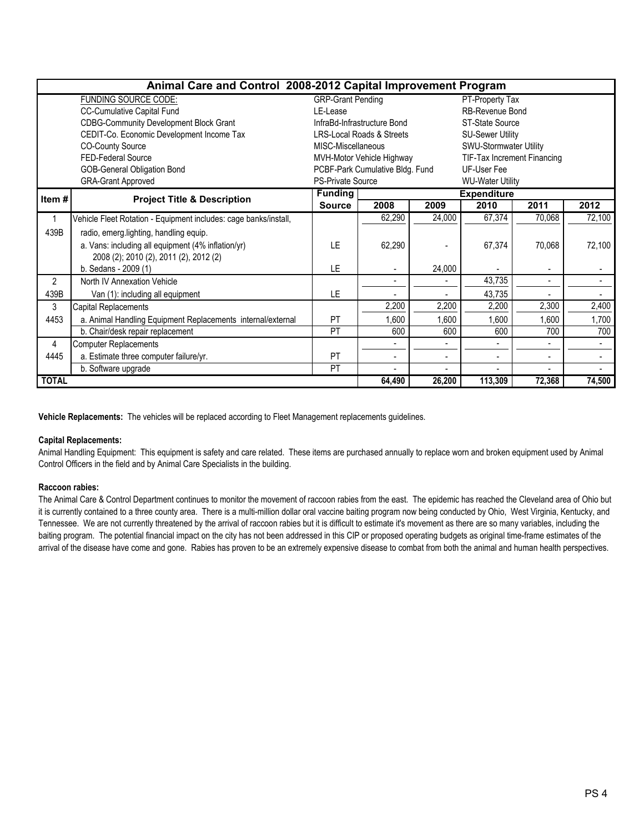|                | Animal Care and Control 2008-2012 Capital Improvement Program    |                          |                                 |        |                             |        |        |  |  |  |  |  |  |  |
|----------------|------------------------------------------------------------------|--------------------------|---------------------------------|--------|-----------------------------|--------|--------|--|--|--|--|--|--|--|
|                | <b>FUNDING SOURCE CODE:</b>                                      | <b>GRP-Grant Pending</b> |                                 |        | PT-Property Tax             |        |        |  |  |  |  |  |  |  |
|                | CC-Cumulative Capital Fund                                       | LE-Lease                 |                                 |        | RB-Revenue Bond             |        |        |  |  |  |  |  |  |  |
|                | <b>CDBG-Community Development Block Grant</b>                    |                          | InfraBd-Infrastructure Bond     |        | ST-State Source             |        |        |  |  |  |  |  |  |  |
|                | CEDIT-Co. Economic Development Income Tax                        |                          | LRS-Local Roads & Streets       |        | <b>SU-Sewer Utility</b>     |        |        |  |  |  |  |  |  |  |
|                | <b>CO-County Source</b>                                          | MISC-Miscellaneous       |                                 |        | SWU-Stormwater Utility      |        |        |  |  |  |  |  |  |  |
|                | FED-Federal Source                                               |                          | MVH-Motor Vehicle Highway       |        | TIF-Tax Increment Financing |        |        |  |  |  |  |  |  |  |
|                | <b>GOB-General Obligation Bond</b>                               |                          | PCBF-Park Cumulative Bldg. Fund |        | UF-User Fee                 |        |        |  |  |  |  |  |  |  |
|                | <b>GRA-Grant Approved</b>                                        | <b>PS-Private Source</b> |                                 |        | <b>WU-Water Utility</b>     |        |        |  |  |  |  |  |  |  |
| Item#          |                                                                  | <b>Funding</b>           |                                 |        | <b>Expenditure</b>          |        |        |  |  |  |  |  |  |  |
|                | <b>Project Title &amp; Description</b>                           | <b>Source</b>            | 2008                            | 2009   | 2010                        | 2011   | 2012   |  |  |  |  |  |  |  |
| 1              | Vehicle Fleet Rotation - Equipment includes: cage banks/install, |                          | 62,290                          | 24,000 | 67,374                      | 70,068 | 72,100 |  |  |  |  |  |  |  |
| 439B           | radio, emerg.lighting, handling equip.                           |                          |                                 |        |                             |        |        |  |  |  |  |  |  |  |
|                | a. Vans: including all equipment (4% inflation/yr)               | LE                       | 62,290                          |        | 67,374                      | 70,068 | 72,100 |  |  |  |  |  |  |  |
|                | 2008 (2); 2010 (2), 2011 (2), 2012 (2)                           |                          |                                 |        |                             |        |        |  |  |  |  |  |  |  |
|                | b. Sedans - 2009 (1)                                             | LE                       |                                 | 24,000 |                             | ۰      |        |  |  |  |  |  |  |  |
| $\overline{2}$ | North IV Annexation Vehicle                                      |                          | $\overline{a}$                  |        | 43,735                      | ٠      |        |  |  |  |  |  |  |  |
| 439B           | Van (1): including all equipment                                 | LE                       |                                 |        | 43,735                      |        |        |  |  |  |  |  |  |  |
| 3              | Capital Replacements                                             |                          | 2,200                           | 2,200  | 2,200                       | 2,300  | 2,400  |  |  |  |  |  |  |  |
| 4453           | a. Animal Handling Equipment Replacements internal/external      | PT                       | 1,600                           | 1,600  | 1,600                       | 1,600  | 1,700  |  |  |  |  |  |  |  |
|                | b. Chair/desk repair replacement                                 | PT                       | 600                             | 600    | 600                         | 700    | 700    |  |  |  |  |  |  |  |
| 4              | Computer Replacements                                            |                          | ٠                               |        |                             | ٠      |        |  |  |  |  |  |  |  |
| 4445           | a. Estimate three computer failure/yr.                           | PT                       | ٠                               | ٠      |                             | ۰      |        |  |  |  |  |  |  |  |
|                | b. Software upgrade                                              | PT                       | ÷,                              |        | $\overline{a}$              | ٠      |        |  |  |  |  |  |  |  |
| <b>TOTAL</b>   |                                                                  |                          | 64,490                          | 26.200 | 113,309                     | 72,368 | 74,500 |  |  |  |  |  |  |  |

Vehicle Replacements: The vehicles will be replaced according to Fleet Management replacements guidelines.

#### Capital Replacements:

Animal Handling Equipment: This equipment is safety and care related. These items are purchased annually to replace worn and broken equipment used by Animal Control Officers in the field and by Animal Care Specialists in the building.

#### Raccoon rabies:

The Animal Care & Control Department continues to monitor the movement of raccoon rabies from the east. The epidemic has reached the Cleveland area of Ohio but it is currently contained to a three county area. There is a multi-million dollar oral vaccine baiting program now being conducted by Ohio, West Virginia, Kentucky, and Tennessee. We are not currently threatened by the arrival of raccoon rabies but it is difficult to estimate it's movement as there are so many variables, including the baiting program. The potential financial impact on the city has not been addressed in this CIP or proposed operating budgets as original time-frame estimates of the arrival of the disease have come and gone. Rabies has proven to be an extremely expensive disease to combat from both the animal and human health perspectives.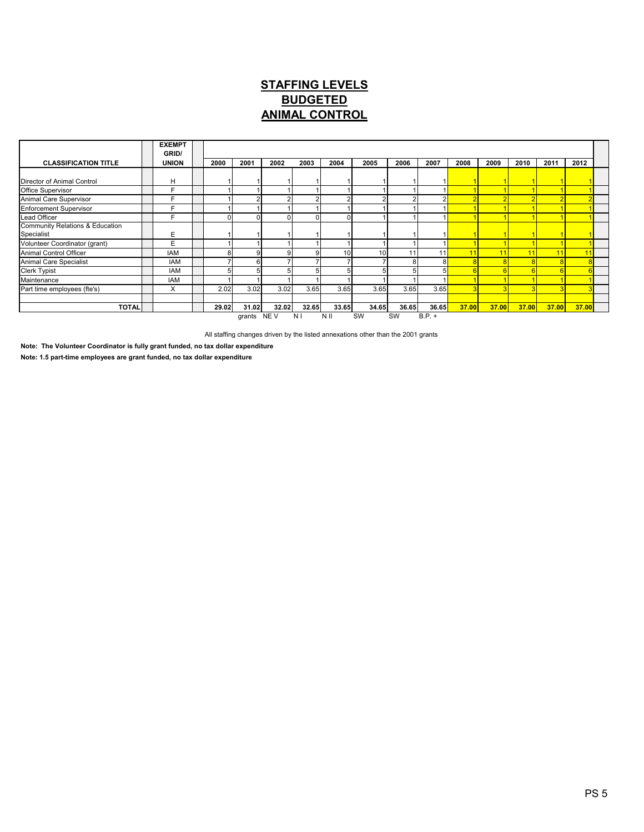## STAFFING LEVELS **BUDGETED** ANIMAL CONTROL

|                                               | <b>EXEMPT</b><br>GRID/ |       |                 |               |             |                 |                    |             |                   |       |       |       |       |       |
|-----------------------------------------------|------------------------|-------|-----------------|---------------|-------------|-----------------|--------------------|-------------|-------------------|-------|-------|-------|-------|-------|
| <b>CLASSIFICATION TITLE</b>                   | <b>UNION</b>           | 2000  | 2001            | 2002          | 2003        | 2004            | 2005               | 2006        | 2007              | 2008  | 2009  | 2010  | 2011  | 2012  |
| Director of Animal Control                    | н                      |       |                 |               |             |                 |                    |             |                   |       |       |       |       |       |
| Office Supervisor                             | F                      |       |                 |               |             |                 |                    |             |                   |       |       |       |       |       |
| Animal Care Supervisor                        |                        |       | 2               |               |             |                 |                    |             |                   |       |       |       |       |       |
| <b>Enforcement Supervisor</b>                 |                        |       |                 |               |             |                 |                    |             |                   |       |       |       |       |       |
| Lead Officer                                  | Е                      |       | $\Omega$        | $\Omega$      |             | $\Omega$        |                    |             |                   |       |       |       |       |       |
| Community Relations & Education<br>Specialist | E                      |       |                 |               |             |                 |                    |             |                   |       |       |       |       |       |
| Volunteer Coordinator (grant)                 | E                      |       |                 |               |             |                 |                    |             |                   |       |       |       |       |       |
| Animal Control Officer                        | <b>IAM</b>             | 8     | 9               | 9             |             | 10 <sup>1</sup> | 10                 | 11          | 11                |       |       | 11    |       | ×     |
| Animal Care Specialist                        | <b>IAM</b>             |       | 6               |               |             |                 |                    | 8           | 8l                |       |       |       |       |       |
| <b>Clerk Typist</b>                           | <b>IAM</b>             | 5     | 5               | 5             |             | 5               |                    |             |                   |       |       |       |       |       |
| Maintenance                                   | <b>IAM</b>             |       |                 |               |             |                 |                    |             |                   |       |       |       |       |       |
| Part time employees (fte's)                   | X                      | 2.02  | 3.02            | 3.02          | 3.65        | 3.65            | 3.65               | 3.65        | 3.65              |       |       |       |       |       |
| <b>TOTAL</b>                                  |                        | 29.02 | 31.02<br>grants | 32.02<br>NE V | 32.65<br>ΝI | 33.65<br>$N$ II | 34.65<br><b>SW</b> | 36.65<br>SW | 36.65<br>$B.P. +$ | 37.00 | 37.00 | 37.00 | 37.00 | 37.00 |

All staffing changes driven by the listed annexations other than the 2001 grants

Note: The Volunteer Coordinator is fully grant funded, no tax dollar expenditure

Note: 1.5 part-time employees are grant funded, no tax dollar expenditure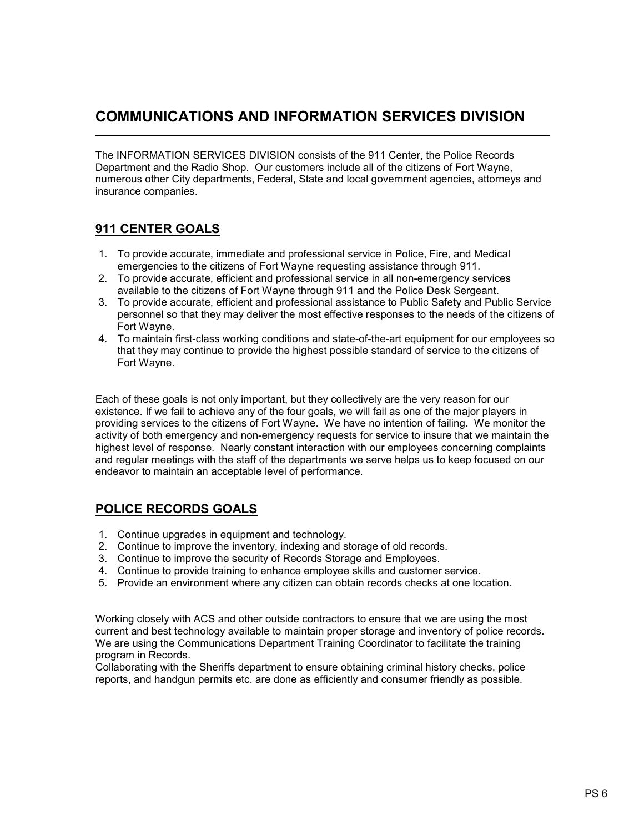# COMMUNICATIONS AND INFORMATION SERVICES DIVISION

The INFORMATION SERVICES DIVISION consists of the 911 Center, the Police Records Department and the Radio Shop. Our customers include all of the citizens of Fort Wayne, numerous other City departments, Federal, State and local government agencies, attorneys and insurance companies.

## 911 CENTER GOALS

l

- 1. To provide accurate, immediate and professional service in Police, Fire, and Medical emergencies to the citizens of Fort Wayne requesting assistance through 911.
- 2. To provide accurate, efficient and professional service in all non-emergency services available to the citizens of Fort Wayne through 911 and the Police Desk Sergeant.
- 3. To provide accurate, efficient and professional assistance to Public Safety and Public Service personnel so that they may deliver the most effective responses to the needs of the citizens of Fort Wayne.
- 4. To maintain first-class working conditions and state-of-the-art equipment for our employees so that they may continue to provide the highest possible standard of service to the citizens of Fort Wayne.

Each of these goals is not only important, but they collectively are the very reason for our existence. If we fail to achieve any of the four goals, we will fail as one of the major players in providing services to the citizens of Fort Wayne. We have no intention of failing. We monitor the activity of both emergency and non-emergency requests for service to insure that we maintain the highest level of response. Nearly constant interaction with our employees concerning complaints and regular meetings with the staff of the departments we serve helps us to keep focused on our endeavor to maintain an acceptable level of performance.

## POLICE RECORDS GOALS

- 1. Continue upgrades in equipment and technology.
- 2. Continue to improve the inventory, indexing and storage of old records.
- 3. Continue to improve the security of Records Storage and Employees.
- 4. Continue to provide training to enhance employee skills and customer service.
- 5. Provide an environment where any citizen can obtain records checks at one location.

Working closely with ACS and other outside contractors to ensure that we are using the most current and best technology available to maintain proper storage and inventory of police records. We are using the Communications Department Training Coordinator to facilitate the training program in Records.

Collaborating with the Sheriffs department to ensure obtaining criminal history checks, police reports, and handgun permits etc. are done as efficiently and consumer friendly as possible.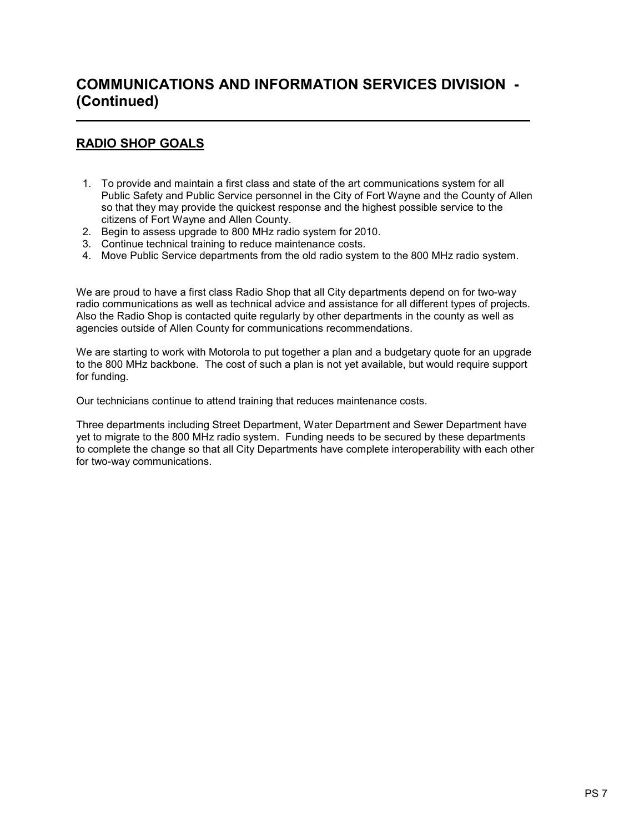# COMMUNICATIONS AND INFORMATION SERVICES DIVISION - (Continued)

# RADIO SHOP GOALS

- 1. To provide and maintain a first class and state of the art communications system for all Public Safety and Public Service personnel in the City of Fort Wayne and the County of Allen so that they may provide the quickest response and the highest possible service to the citizens of Fort Wayne and Allen County.
- 2. Begin to assess upgrade to 800 MHz radio system for 2010.
- 3. Continue technical training to reduce maintenance costs.
- 4. Move Public Service departments from the old radio system to the 800 MHz radio system.

We are proud to have a first class Radio Shop that all City departments depend on for two-way radio communications as well as technical advice and assistance for all different types of projects. Also the Radio Shop is contacted quite regularly by other departments in the county as well as agencies outside of Allen County for communications recommendations.

We are starting to work with Motorola to put together a plan and a budgetary quote for an upgrade to the 800 MHz backbone. The cost of such a plan is not yet available, but would require support for funding.

Our technicians continue to attend training that reduces maintenance costs.

Three departments including Street Department, Water Department and Sewer Department have yet to migrate to the 800 MHz radio system. Funding needs to be secured by these departments to complete the change so that all City Departments have complete interoperability with each other for two-way communications.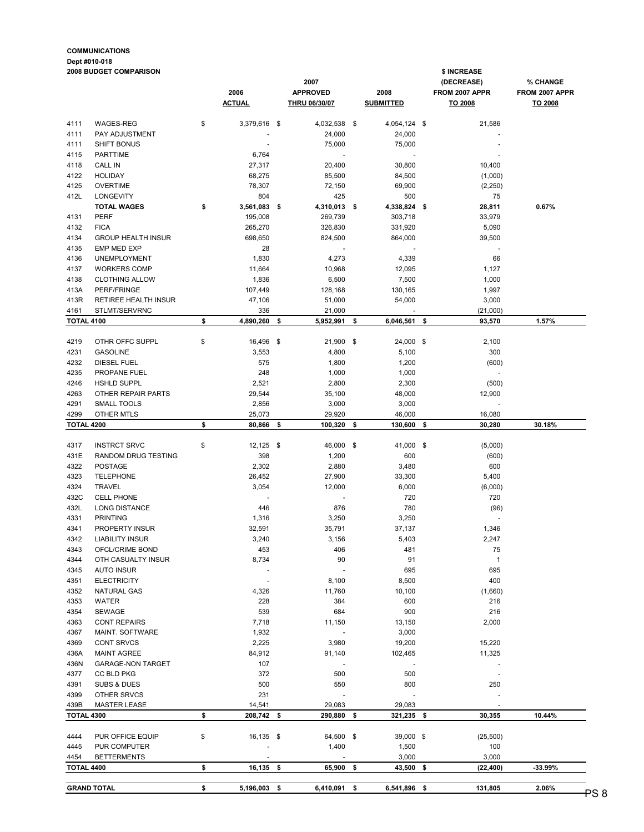#### COMMUNICATIONS Dept #010-018

|                           | <b>2008 BUDGET COMPARISON</b>         | 2006<br><b>ACTUAL</b>           | 2007<br><b>APPROVED</b><br><b>THRU 06/30/07</b> | 2008<br><b>SUBMITTED</b> | \$ INCREASE<br>(DECREASE)<br>FROM 2007 APPR<br>TO 2008 | % CHANGE<br>FROM 2007 APPR<br>TO 2008 |      |
|---------------------------|---------------------------------------|---------------------------------|-------------------------------------------------|--------------------------|--------------------------------------------------------|---------------------------------------|------|
| 4111                      | WAGES-REG                             | \$<br>3,379,616 \$              | 4,032,538 \$                                    | 4,054,124 \$             | 21,586                                                 |                                       |      |
| 4111                      | PAY ADJUSTMENT                        |                                 | 24,000                                          | 24,000                   |                                                        |                                       |      |
| 4111                      | <b>SHIFT BONUS</b>                    |                                 | 75,000                                          | 75,000                   |                                                        |                                       |      |
| 4115                      | <b>PARTTIME</b>                       | 6,764                           |                                                 |                          |                                                        |                                       |      |
| 4118                      | CALL IN                               | 27,317                          | 20,400                                          | 30,800                   | 10,400                                                 |                                       |      |
| 4122                      | <b>HOLIDAY</b>                        | 68,275                          | 85,500                                          | 84,500                   | (1,000)                                                |                                       |      |
| 4125                      | <b>OVERTIME</b>                       | 78,307                          | 72,150                                          | 69,900                   | (2, 250)                                               |                                       |      |
| 412L                      | <b>LONGEVITY</b>                      | 804                             | 425                                             | 500                      | 75                                                     |                                       |      |
| 4131                      | <b>TOTAL WAGES</b><br>PERF            | \$<br>$3,561,083$ \$<br>195,008 | 4,310,013 \$<br>269,739                         | 4,338,824 \$<br>303,718  | 28,811<br>33,979                                       | 0.67%                                 |      |
| 4132                      | <b>FICA</b>                           | 265,270                         | 326,830                                         | 331,920                  | 5,090                                                  |                                       |      |
| 4134                      | <b>GROUP HEALTH INSUR</b>             | 698,650                         | 824,500                                         | 864,000                  | 39,500                                                 |                                       |      |
| 4135                      | EMP MED EXP                           | 28                              |                                                 |                          | $\overline{\phantom{a}}$                               |                                       |      |
| 4136                      | <b>UNEMPLOYMENT</b>                   | 1,830                           | 4,273                                           | 4,339                    | 66                                                     |                                       |      |
| 4137                      | <b>WORKERS COMP</b>                   | 11,664                          | 10,968                                          | 12,095                   | 1,127                                                  |                                       |      |
| 4138                      | <b>CLOTHING ALLOW</b>                 | 1,836                           | 6,500                                           | 7,500                    | 1,000                                                  |                                       |      |
| 413A                      | PERF/FRINGE                           | 107,449                         | 128,168                                         | 130,165                  | 1,997                                                  |                                       |      |
| 413R                      | <b>RETIREE HEALTH INSUR</b>           | 47,106                          | 51,000                                          | 54,000                   | 3,000                                                  |                                       |      |
| 4161                      | STLMT/SERVRNC                         | 336                             | 21,000                                          |                          | (21,000)                                               |                                       |      |
| <b>TOTAL 4100</b>         |                                       | \$<br>4,890,260                 | \$<br>5,952,991 \$                              | 6,046,561                | \$<br>93,570                                           | 1.57%                                 |      |
| 4219                      | OTHR OFFC SUPPL                       | \$<br>16,496 \$                 |                                                 | 24,000 \$                | 2,100                                                  |                                       |      |
| 4231                      | <b>GASOLINE</b>                       | 3,553                           | 21,900 \$<br>4,800                              | 5,100                    | 300                                                    |                                       |      |
| 4232                      | <b>DIESEL FUEL</b>                    | 575                             | 1,800                                           | 1,200                    | (600)                                                  |                                       |      |
| 4235                      | PROPANE FUEL                          | 248                             | 1,000                                           | 1,000                    | $\overline{\phantom{a}}$                               |                                       |      |
| 4246                      | <b>HSHLD SUPPL</b>                    | 2,521                           | 2,800                                           | 2,300                    | (500)                                                  |                                       |      |
| 4263                      | OTHER REPAIR PARTS                    | 29,544                          | 35,100                                          | 48,000                   | 12,900                                                 |                                       |      |
| 4291                      | <b>SMALL TOOLS</b>                    | 2,856                           | 3,000                                           | 3,000                    |                                                        |                                       |      |
| 4299                      | OTHER MTLS                            | 25,073                          | 29,920                                          | 46,000                   | 16,080                                                 |                                       |      |
| <b>TOTAL 4200</b>         |                                       | \$<br>80,866 \$                 | 100,320 \$                                      | 130,600 \$               | 30,280                                                 | 30.18%                                |      |
|                           |                                       |                                 |                                                 |                          |                                                        |                                       |      |
| 4317                      | <b>INSTRCT SRVC</b>                   | \$<br>$12,125$ \$               | 46,000 \$                                       | 41,000 \$                | (5,000)                                                |                                       |      |
| 431E                      | RANDOM DRUG TESTING<br><b>POSTAGE</b> | 398                             | 1,200                                           | 600                      | (600)                                                  |                                       |      |
| 4322<br>4323              | <b>TELEPHONE</b>                      | 2,302<br>26,452                 | 2,880<br>27,900                                 | 3,480<br>33,300          | 600<br>5,400                                           |                                       |      |
| 4324                      | TRAVEL                                | 3,054                           | 12,000                                          | 6,000                    | (6,000)                                                |                                       |      |
| 432C                      | <b>CELL PHONE</b>                     |                                 |                                                 | 720                      | 720                                                    |                                       |      |
| 432L                      | <b>LONG DISTANCE</b>                  | 446                             | 876                                             | 780                      | (96)                                                   |                                       |      |
| 4331                      | <b>PRINTING</b>                       | 1,316                           | 3,250                                           | 3,250                    |                                                        |                                       |      |
| 4341                      | PROPERTY INSUR                        | 32,591                          | 35,791                                          | 37,137                   | 1,346                                                  |                                       |      |
| 4342                      | <b>LIABILITY INSUR</b>                | 3.240                           | 3,156                                           | 5,403                    | 2,247                                                  |                                       |      |
| 4343                      | OFCL/CRIME BOND                       | 453                             | 406                                             | 481                      | 75                                                     |                                       |      |
| 4344                      | OTH CASUALTY INSUR                    | 8,734                           | 90                                              | 91                       | $\mathbf{1}$                                           |                                       |      |
| 4345                      | <b>AUTO INSUR</b>                     |                                 |                                                 | 695                      | 695                                                    |                                       |      |
| 4351                      | <b>ELECTRICITY</b>                    |                                 | 8,100                                           | 8,500                    | 400                                                    |                                       |      |
| 4352                      | NATURAL GAS                           | 4,326                           | 11,760                                          | 10,100                   | (1,660)                                                |                                       |      |
| 4353                      | WATER                                 | 228                             | 384                                             | 600                      | 216                                                    |                                       |      |
| 4354                      | SEWAGE                                | 539                             | 684                                             | 900                      | 216                                                    |                                       |      |
| 4363                      | <b>CONT REPAIRS</b>                   | 7,718                           | 11,150                                          | 13,150                   | 2,000                                                  |                                       |      |
| 4367                      | MAINT. SOFTWARE<br><b>CONT SRVCS</b>  | 1,932                           |                                                 | 3,000                    |                                                        |                                       |      |
| 4369<br>436A              | <b>MAINT AGREE</b>                    | 2,225<br>84,912                 | 3,980<br>91,140                                 | 19,200                   | 15,220<br>11,325                                       |                                       |      |
| 436N                      | <b>GARAGE-NON TARGET</b>              | 107                             |                                                 | 102,465                  |                                                        |                                       |      |
| 4377                      | CC BLD PKG                            | 372                             | 500                                             | 500                      |                                                        |                                       |      |
| 4391                      | SUBS & DUES                           | 500                             | 550                                             | 800                      | 250                                                    |                                       |      |
| 4399                      | OTHER SRVCS                           | 231                             |                                                 |                          |                                                        |                                       |      |
| 439B                      | <b>MASTER LEASE</b>                   | 14,541                          | 29,083                                          | 29,083                   |                                                        |                                       |      |
| <b>TOTAL 4300</b>         |                                       | \$<br>208,742 \$                | 290,880 \$                                      | 321,235 \$               | 30,355                                                 | 10.44%                                |      |
|                           |                                       |                                 |                                                 |                          |                                                        |                                       |      |
| 4444                      | PUR OFFICE EQUIP                      | \$<br>16,135 \$                 | 64,500 \$                                       | 39,000 \$                | (25, 500)                                              |                                       |      |
| 4445                      | PUR COMPUTER                          |                                 | 1,400                                           | 1,500                    | 100                                                    |                                       |      |
| 4454<br><b>TOTAL 4400</b> | <b>BETTERMENTS</b>                    | \$                              | 65,900 \$                                       | 3,000<br>43,500 \$       | 3,000<br>(22, 400)                                     | -33.99%                               |      |
|                           |                                       | 16,135 \$                       |                                                 |                          |                                                        |                                       |      |
|                           | <b>GRAND TOTAL</b>                    | \$<br>5,196,003 \$              | 6,410,091 \$                                    | 6,541,896 \$             | 131,805                                                | 2.06%                                 | PS 8 |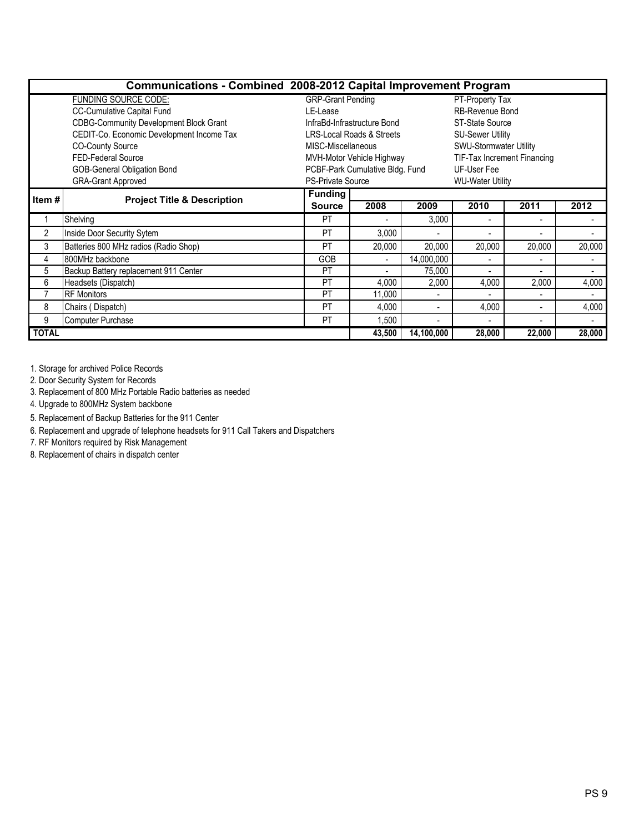|              | <b>Communications - Combined 2008-2012 Capital Improvement Program</b> |                          |                                      |            |                          |                                    |                          |  |
|--------------|------------------------------------------------------------------------|--------------------------|--------------------------------------|------------|--------------------------|------------------------------------|--------------------------|--|
|              | FUNDING SOURCE CODE:                                                   | <b>GRP-Grant Pending</b> |                                      |            | PT-Property Tax          |                                    |                          |  |
|              | <b>CC-Cumulative Capital Fund</b>                                      | LE-Lease                 |                                      |            | <b>RB-Revenue Bond</b>   |                                    |                          |  |
|              | <b>CDBG-Community Development Block Grant</b>                          |                          | InfraBd-Infrastructure Bond          |            | ST-State Source          |                                    |                          |  |
|              | CEDIT-Co. Economic Development Income Tax                              |                          | <b>LRS-Local Roads &amp; Streets</b> |            | <b>SU-Sewer Utility</b>  |                                    |                          |  |
|              | <b>CO-County Source</b>                                                | MISC-Miscellaneous       |                                      |            | SWU-Stormwater Utility   |                                    |                          |  |
|              | <b>FED-Federal Source</b>                                              |                          | MVH-Motor Vehicle Highway            |            |                          | <b>TIF-Tax Increment Financing</b> |                          |  |
|              | <b>GOB-General Obligation Bond</b>                                     |                          | PCBF-Park Cumulative Bldg. Fund      |            | UF-User Fee              |                                    |                          |  |
|              | <b>GRA-Grant Approved</b>                                              | <b>PS-Private Source</b> |                                      |            | <b>WU-Water Utility</b>  |                                    |                          |  |
| Item#        | <b>Project Title &amp; Description</b>                                 | <b>Funding</b>           |                                      |            |                          |                                    |                          |  |
|              |                                                                        | <b>Source</b>            | 2008                                 | 2009       | 2010                     | 2011                               | 2012                     |  |
|              | Shelving                                                               | PT                       | ۰                                    | 3,000      |                          |                                    |                          |  |
| 2            | Inside Door Security Sytem                                             | PT                       | 3,000                                |            |                          |                                    |                          |  |
| 3            | Batteries 800 MHz radios (Radio Shop)                                  | PT                       | 20,000                               | 20,000     | 20,000                   | 20,000                             | 20,000                   |  |
| 4            | 800MHz backbone                                                        | <b>GOB</b>               | $\blacksquare$                       | 14,000,000 | $\overline{\phantom{a}}$ | $\overline{\phantom{a}}$           | $\sim$                   |  |
| 5            | Backup Battery replacement 911 Center                                  | PT                       | ۰                                    | 75,000     | ٠                        |                                    | $\sim$                   |  |
| 6            | Headsets (Dispatch)                                                    | PT                       | 4,000                                | 2,000      | 4,000                    | 2,000                              | 4,000                    |  |
| 7            | <b>RF Monitors</b>                                                     | PT                       | 11,000                               |            |                          |                                    |                          |  |
| 8            | Chairs (Dispatch)                                                      | PT                       | 4,000                                |            | 4,000                    | $\blacksquare$                     | 4,000                    |  |
| 9            | Computer Purchase                                                      | PT                       | 1,500                                |            | $\blacksquare$           |                                    | $\overline{\phantom{0}}$ |  |
| <b>TOTAL</b> |                                                                        |                          | 43,500                               | 14,100,000 | 28,000                   | 22,000                             | 28,000                   |  |

1. Storage for archived Police Records

2. Door Security System for Records

3. Replacement of 800 MHz Portable Radio batteries as needed

4. Upgrade to 800MHz System backbone

5. Replacement of Backup Batteries for the 911 Center

6. Replacement and upgrade of telephone headsets for 911 Call Takers and Dispatchers

7. RF Monitors required by Risk Management

8. Replacement of chairs in dispatch center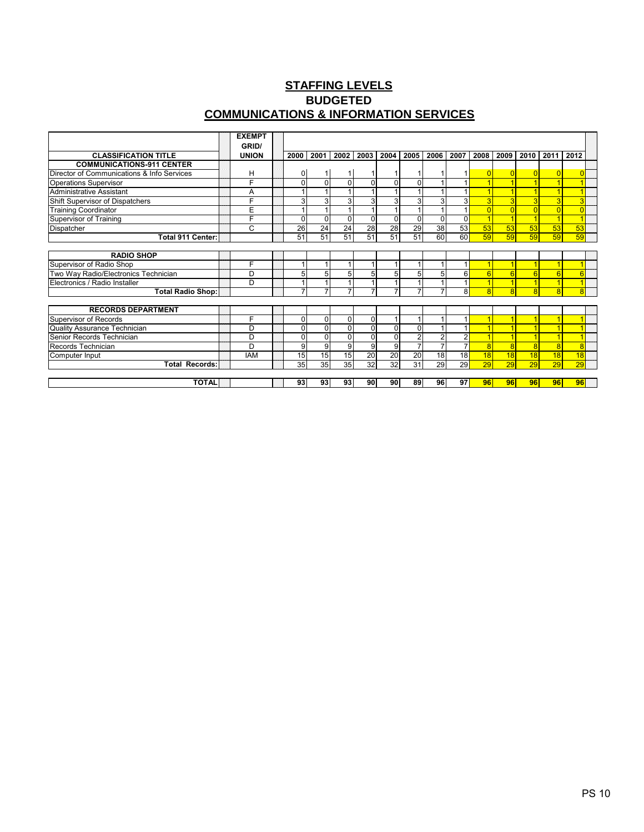## **STAFFING LEVELS BUDGETED COMMUNICATIONS & INFORMATION SERVICES**

|                                            |  | <b>EXEMPT</b> |  |          |              |          |                |                 |                |                |                |                         |                 |              |                 |                |  |
|--------------------------------------------|--|---------------|--|----------|--------------|----------|----------------|-----------------|----------------|----------------|----------------|-------------------------|-----------------|--------------|-----------------|----------------|--|
|                                            |  | GRID/         |  |          |              |          |                |                 |                |                |                |                         |                 |              |                 |                |  |
| <b>CLASSIFICATION TITLE</b>                |  | <b>UNION</b>  |  | 2000     | 2001         | 2002     | 2003           | 2004            | 2005           | 2006           | 2007           | 2008                    | 2009            | 2010         | 2011            | 2012           |  |
| <b>COMMUNICATIONS-911 CENTER</b>           |  |               |  |          |              |          |                |                 |                |                |                |                         |                 |              |                 |                |  |
| Director of Communications & Info Services |  | н             |  | $\Omega$ |              |          |                |                 |                |                |                |                         | $\Omega$        |              |                 | $\overline{0}$ |  |
| Operations Supervisor                      |  | E             |  | $\Omega$ | $\Omega$     | 0        | $\Omega$       | 0               | $\Omega$       |                |                |                         |                 |              |                 | 4              |  |
| Administrative Assistant                   |  | Α             |  |          |              |          |                |                 |                |                |                |                         |                 |              |                 |                |  |
| Shift Supervisor of Dispatchers            |  | F             |  | 3        | 3            | 3        | 3              |                 | 3 <sup>1</sup> | 3              | 3              | 3                       | 3               |              |                 | 3              |  |
| <b>Training Coordinator</b>                |  | E             |  |          |              |          |                |                 |                |                |                |                         | $\overline{0}$  |              |                 | $\overline{0}$ |  |
| Supervisor of Training                     |  | E             |  | $\Omega$ | $\Omega$     | $\Omega$ | $\Omega$       | 0               | $\Omega$       | 0              | $\Omega$       |                         |                 |              |                 |                |  |
| Dispatcher                                 |  | C             |  | 26       | 24           | 24       | 28             | 28              | 29             | 38             | 53             | 53                      | 53              | 53           | 53              | 53             |  |
| Total 911 Center:                          |  |               |  | 51       | 51           | 51       | 51             | 51              | 51             | 60             | 60             | 59                      | 59              | 59           | 59              | 59             |  |
|                                            |  |               |  |          |              |          |                |                 |                |                |                |                         |                 |              |                 |                |  |
| <b>RADIO SHOP</b>                          |  |               |  |          |              |          |                |                 |                |                |                |                         |                 |              |                 |                |  |
| Supervisor of Radio Shop                   |  | F             |  |          |              |          |                |                 |                |                |                |                         |                 |              |                 |                |  |
| Two Way Radio/Electronics Technician       |  | D             |  | 5        | 5            | 5        | 5              | 5               | 5 <sub>5</sub> | 5              | 6              | 6                       | 6               | 6            |                 | $6\phantom{1}$ |  |
| Electronics / Radio Installer              |  | D             |  |          |              |          |                |                 | 1              |                |                |                         | $\overline{A}$  |              |                 | $\mathbf{1}$   |  |
| <b>Total Radio Shop:</b>                   |  |               |  | 7        |              |          | $\overline{ }$ |                 | 7              |                | 8              | 8                       | 8               | $\mathbf{8}$ | $\overline{8}$  | 8              |  |
|                                            |  |               |  |          |              |          |                |                 |                |                |                |                         |                 |              |                 |                |  |
| <b>RECORDS DEPARTMENT</b>                  |  |               |  |          |              |          |                |                 |                |                |                |                         |                 |              |                 |                |  |
| Supervisor of Records                      |  | F             |  | $\Omega$ | <sup>n</sup> | $\Omega$ | $\Omega$       |                 |                |                |                |                         |                 |              |                 |                |  |
| Quality Assurance Technician               |  | D             |  | $\Omega$ | $\Omega$     | Ωl       | $\Omega$       | O               | $\Omega$       |                |                |                         |                 |              |                 |                |  |
| Senior Records Technician                  |  | D             |  | $\Omega$ | U            | $\Omega$ | $\Omega$       |                 | 2              | $\overline{2}$ |                |                         |                 |              |                 |                |  |
| Records Technician                         |  | D             |  | 9        | 9            | 9        | $\mathsf{g}$   | 9               | $\overline{7}$ | $\overline{7}$ | $\overline{7}$ | $\overline{\mathbf{8}}$ | 8               | 8            | 8               | $\overline{8}$ |  |
| Computer Input                             |  | <b>IAM</b>    |  | 15       | 15           | 15       | 20             | 20              | 20             | 18             | 18             | 18                      | 18              | 18           | 18              | 18             |  |
| <b>Total Records:</b>                      |  |               |  | 35       | 35           | 35       | 32             | $\overline{32}$ | 31             | 29             | 29             | 29                      | 29              | 29           | 29              | 29             |  |
|                                            |  |               |  |          |              |          |                |                 |                |                |                |                         |                 |              |                 |                |  |
| <b>TOTAL</b>                               |  |               |  | 93       | 93           | 93       | 90I            | 90              | 89             | 96             | 97             | 96                      | 96 <sub>1</sub> | 96           | 96 <sup>1</sup> | 96             |  |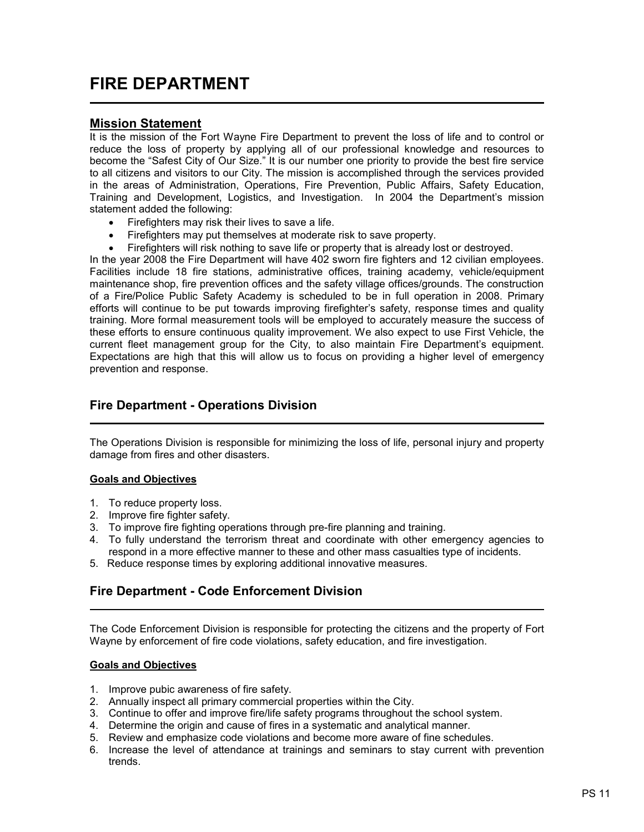# FIRE DEPARTMENT

### Mission Statement

l,

It is the mission of the Fort Wayne Fire Department to prevent the loss of life and to control or reduce the loss of property by applying all of our professional knowledge and resources to become the "Safest City of Our Size." It is our number one priority to provide the best fire service to all citizens and visitors to our City. The mission is accomplished through the services provided in the areas of Administration, Operations, Fire Prevention, Public Affairs, Safety Education, Training and Development, Logistics, and Investigation. In 2004 the Department's mission statement added the following:

- Firefighters may risk their lives to save a life.
- Firefighters may put themselves at moderate risk to save property.
- Firefighters will risk nothing to save life or property that is already lost or destroyed.

In the year 2008 the Fire Department will have 402 sworn fire fighters and 12 civilian employees. Facilities include 18 fire stations, administrative offices, training academy, vehicle/equipment maintenance shop, fire prevention offices and the safety village offices/grounds. The construction of a Fire/Police Public Safety Academy is scheduled to be in full operation in 2008. Primary efforts will continue to be put towards improving firefighter's safety, response times and quality training. More formal measurement tools will be employed to accurately measure the success of these efforts to ensure continuous quality improvement. We also expect to use First Vehicle, the current fleet management group for the City, to also maintain Fire Department's equipment. Expectations are high that this will allow us to focus on providing a higher level of emergency prevention and response.

### Fire Department - Operations Division

The Operations Division is responsible for minimizing the loss of life, personal injury and property damage from fires and other disasters.

### Goals and Objectives

- 1. To reduce property loss.
- 2. Improve fire fighter safety.
- 3. To improve fire fighting operations through pre-fire planning and training.

L

- 4. To fully understand the terrorism threat and coordinate with other emergency agencies to respond in a more effective manner to these and other mass casualties type of incidents.
- 5. Reduce response times by exploring additional innovative measures.

## Fire Department - Code Enforcement Division

The Code Enforcement Division is responsible for protecting the citizens and the property of Fort Wayne by enforcement of fire code violations, safety education, and fire investigation.

#### Goals and Objectives

L

- 1. Improve pubic awareness of fire safety.
- 2. Annually inspect all primary commercial properties within the City.
- 3. Continue to offer and improve fire/life safety programs throughout the school system.
- 4. Determine the origin and cause of fires in a systematic and analytical manner.
- 5. Review and emphasize code violations and become more aware of fine schedules.
- 6. Increase the level of attendance at trainings and seminars to stay current with prevention trends.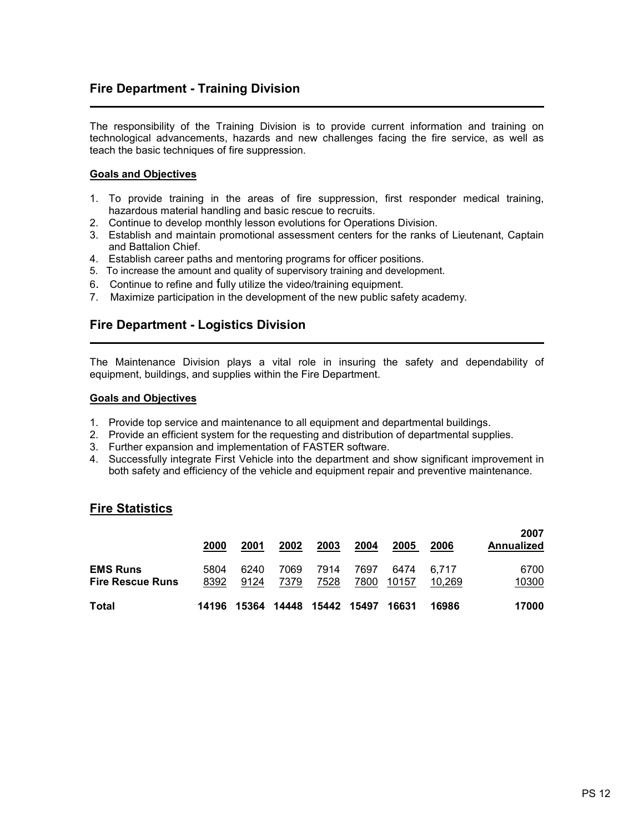The responsibility of the Training Division is to provide current information and training on technological advancements, hazards and new challenges facing the fire service, as well as teach the basic techniques of fire suppression.

#### Goals and Objectives

L

L

- 1. To provide training in the areas of fire suppression, first responder medical training, hazardous material handling and basic rescue to recruits.
- 2. Continue to develop monthly lesson evolutions for Operations Division.
- 3. Establish and maintain promotional assessment centers for the ranks of Lieutenant, Captain and Battalion Chief.
- 4. Establish career paths and mentoring programs for officer positions.
- 5. To increase the amount and quality of supervisory training and development.
- 6. Continue to refine and fully utilize the video/training equipment.
- 7. Maximize participation in the development of the new public safety academy.

## Fire Department - Logistics Division

The Maintenance Division plays a vital role in insuring the safety and dependability of equipment, buildings, and supplies within the Fire Department.

#### Goals and Objectives

- 1. Provide top service and maintenance to all equipment and departmental buildings.
- 2. Provide an efficient system for the requesting and distribution of departmental supplies.
- 3. Further expansion and implementation of FASTER software.
- 4. Successfully integrate First Vehicle into the department and show significant improvement in both safety and efficiency of the vehicle and equipment repair and preventive maintenance.

### Fire Statistics

|                                            | 2000         | 2001         | 2002         | 2003         | 2004         | 2005          | 2006            | 2007<br>Annualized |
|--------------------------------------------|--------------|--------------|--------------|--------------|--------------|---------------|-----------------|--------------------|
| <b>EMS Runs</b><br><b>Fire Rescue Runs</b> | 5804<br>8392 | 6240<br>9124 | 7069<br>7379 | 7914<br>7528 | 7697<br>7800 | 6474<br>10157 | 6.717<br>10.269 | 6700<br>10300      |
| Total                                      | 14196        | 15364        | 14448        |              | 15442 15497  | 16631         | 16986           | 17000              |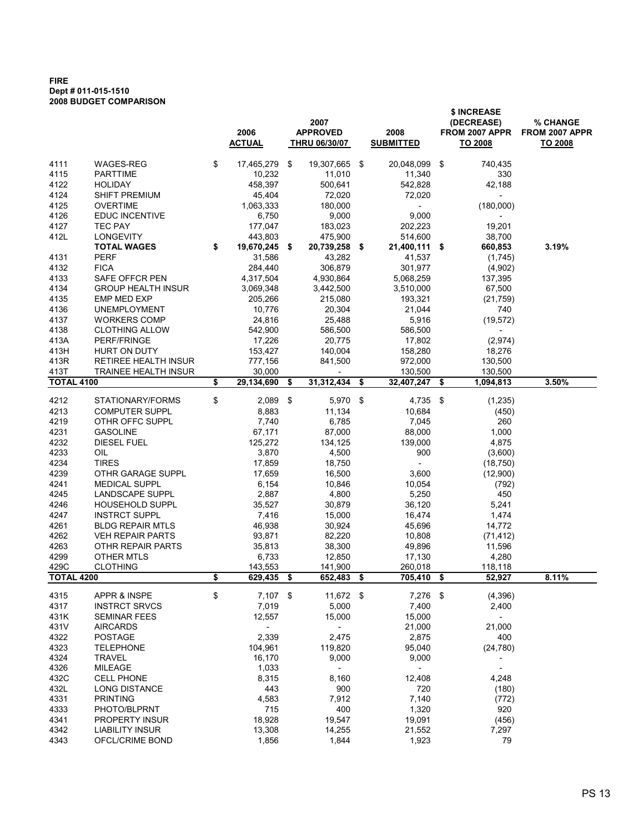#### FIRE Dept # 011-015-1510 2008 BUDGET COMPARISON

|                   |                                                  | 2006<br><b>ACTUAL</b> | 2007<br><b>APPROVED</b><br><b>THRU 06/30/07</b> | 2008<br><b>SUBMITTED</b> |     | \$ INCREASE<br>(DECREASE)<br>FROM 2007 APPR<br>TO 2008 | % CHANGE<br>FROM 2007 APPR<br>TO 2008 |
|-------------------|--------------------------------------------------|-----------------------|-------------------------------------------------|--------------------------|-----|--------------------------------------------------------|---------------------------------------|
|                   |                                                  |                       |                                                 |                          |     |                                                        |                                       |
| 4111              | WAGES-REG                                        | \$<br>17,465,279 \$   | 19,307,665                                      | \$<br>20,048,099         | \$  | 740,435                                                |                                       |
| 4115              | <b>PARTTIME</b>                                  | 10,232                | 11,010                                          | 11,340                   |     | 330                                                    |                                       |
| 4122              | <b>HOLIDAY</b>                                   | 458,397               | 500,641                                         | 542,828                  |     | 42,188                                                 |                                       |
| 4124              | <b>SHIFT PREMIUM</b>                             | 45,404                | 72,020                                          | 72,020                   |     |                                                        |                                       |
| 4125              | <b>OVERTIME</b>                                  | 1,063,333             | 180,000                                         |                          |     | (180,000)                                              |                                       |
| 4126              | <b>EDUC INCENTIVE</b>                            | 6,750                 | 9,000                                           | 9,000                    |     |                                                        |                                       |
| 4127<br>412L      | <b>TEC PAY</b>                                   | 177,047<br>443,803    | 183,023<br>475,900                              | 202,223<br>514,600       |     | 19,201<br>38,700                                       |                                       |
|                   | LONGEVITY<br><b>TOTAL WAGES</b>                  | \$<br>19,670,245 \$   | 20,739,258 \$                                   | 21,400,111 \$            |     | 660,853                                                | 3.19%                                 |
| 4131              | <b>PERF</b>                                      | 31,586                | 43,282                                          | 41,537                   |     | (1,745)                                                |                                       |
| 4132              | <b>FICA</b>                                      | 284,440               | 306,879                                         | 301,977                  |     | (4,902)                                                |                                       |
| 4133              | SAFE OFFCR PEN                                   | 4,317,504             | 4,930,864                                       | 5,068,259                |     | 137,395                                                |                                       |
| 4134              | <b>GROUP HEALTH INSUR</b>                        | 3,069,348             | 3,442,500                                       | 3,510,000                |     | 67,500                                                 |                                       |
| 4135              | EMP MED EXP                                      | 205,266               | 215,080                                         | 193,321                  |     | (21,759)                                               |                                       |
| 4136              | <b>UNEMPLOYMENT</b>                              | 10,776                | 20,304                                          | 21,044                   |     | 740                                                    |                                       |
| 4137              | <b>WORKERS COMP</b>                              | 24,816                | 25,488                                          | 5,916                    |     | (19, 572)                                              |                                       |
| 4138              | <b>CLOTHING ALLOW</b>                            | 542,900               | 586,500                                         | 586,500                  |     | $\overline{a}$                                         |                                       |
| 413A              | PERF/FRINGE                                      | 17,226                | 20,775                                          | 17,802                   |     | (2,974)                                                |                                       |
| 413H              | <b>HURT ON DUTY</b>                              | 153,427               | 140,004                                         | 158,280                  |     | 18,276                                                 |                                       |
| 413R              | <b>RETIREE HEALTH INSUR</b>                      | 777,156               | 841,500                                         | 972,000                  |     | 130,500                                                |                                       |
| 413T              | TRAINEE HEALTH INSUR                             | 30,000                | $\overline{\phantom{a}}$                        | 130,500                  |     | 130,500                                                |                                       |
| <b>TOTAL 4100</b> |                                                  | \$<br>29,134,690      | \$<br>31,312,434                                | \$<br>32,407,247         | \$  | 1,094,813                                              | 3.50%                                 |
| 4212              | STATIONARY/FORMS                                 | \$<br>$2,089$ \$      | 5,970 \$                                        | $4,735$ \$               |     | (1,235)                                                |                                       |
| 4213              | <b>COMPUTER SUPPL</b>                            | 8,883                 | 11,134                                          | 10,684                   |     | (450)                                                  |                                       |
| 4219              | OTHR OFFC SUPPL                                  | 7,740                 | 6,785                                           | 7,045                    |     | 260                                                    |                                       |
| 4231              | <b>GASOLINE</b>                                  | 67,171                | 87,000                                          | 88,000                   |     | 1,000                                                  |                                       |
| 4232              | <b>DIESEL FUEL</b>                               | 125,272               | 134,125                                         | 139,000                  |     | 4,875                                                  |                                       |
| 4233              | OIL                                              | 3,870                 | 4,500                                           | 900                      |     | (3,600)                                                |                                       |
| 4234              | <b>TIRES</b>                                     | 17,859                | 18,750                                          | $\overline{\phantom{0}}$ |     | (18, 750)                                              |                                       |
| 4239              | OTHR GARAGE SUPPL                                | 17,659                | 16,500                                          | 3,600                    |     | (12,900)                                               |                                       |
| 4241              | <b>MEDICAL SUPPL</b>                             | 6,154                 | 10,846                                          | 10,054                   |     | (792)                                                  |                                       |
| 4245<br>4246      | <b>LANDSCAPE SUPPL</b><br><b>HOUSEHOLD SUPPL</b> | 2,887<br>35,527       | 4,800<br>30,879                                 | 5,250<br>36,120          |     | 450                                                    |                                       |
| 4247              | <b>INSTRCT SUPPL</b>                             | 7,416                 | 15,000                                          | 16,474                   |     | 5,241<br>1,474                                         |                                       |
| 4261              | <b>BLDG REPAIR MTLS</b>                          | 46,938                | 30,924                                          | 45,696                   |     | 14,772                                                 |                                       |
| 4262              | <b>VEH REPAIR PARTS</b>                          | 93,871                | 82,220                                          | 10,808                   |     | (71, 412)                                              |                                       |
| 4263              | OTHR REPAIR PARTS                                | 35,813                | 38,300                                          | 49,896                   |     | 11,596                                                 |                                       |
| 4299              | OTHER MTLS                                       | 6,733                 | 12,850                                          | 17,130                   |     | 4,280                                                  |                                       |
| 429C              | <b>CLOTHING</b>                                  | 143,553               | 141,900                                         | 260,018                  |     | 118,118                                                |                                       |
| <b>TOTAL 4200</b> |                                                  | \$<br>629,435 \$      | 652,483                                         | \$<br>705,410            | \$  | 52,927                                                 | 8.11%                                 |
| 4315              | APPR & INSPE                                     | \$<br>$7,107$ \$      | 11,672 \$                                       | 7,276                    | -\$ | (4, 396)                                               |                                       |
| 4317              | <b>INSTRCT SRVCS</b>                             | 7,019                 | 5,000                                           | 7,400                    |     | 2,400                                                  |                                       |
| 431K              | <b>SEMINAR FEES</b>                              | 12,557                | 15,000                                          | 15,000                   |     | $\overline{\phantom{a}}$                               |                                       |
| 431V              | <b>AIRCARDS</b>                                  |                       | $\overline{\phantom{a}}$                        | 21,000                   |     | 21,000                                                 |                                       |
| 4322              | <b>POSTAGE</b>                                   | 2,339                 | 2,475                                           | 2,875                    |     | 400                                                    |                                       |
| 4323              | <b>TELEPHONE</b>                                 | 104,961               | 119,820                                         | 95,040                   |     | (24, 780)                                              |                                       |
| 4324              | <b>TRAVEL</b>                                    | 16,170                | 9,000                                           | 9,000                    |     |                                                        |                                       |
| 4326              | <b>MILEAGE</b>                                   | 1,033                 | $\overline{\phantom{0}}$                        |                          |     | $\overline{\phantom{a}}$                               |                                       |
| 432C              | <b>CELL PHONE</b>                                | 8,315                 | 8,160                                           | 12,408                   |     | 4,248                                                  |                                       |
| 432L              | <b>LONG DISTANCE</b>                             | 443                   | 900                                             | 720                      |     | (180)                                                  |                                       |
| 4331              | <b>PRINTING</b>                                  | 4,583                 | 7,912                                           | 7,140                    |     | (772)                                                  |                                       |
| 4333              | PHOTO/BLPRNT                                     | 715                   | 400                                             | 1,320                    |     | 920                                                    |                                       |
| 4341              | <b>PROPERTY INSUR</b>                            | 18,928                | 19,547                                          | 19,091                   |     | (456)                                                  |                                       |
| 4342              | <b>LIABILITY INSUR</b>                           | 13,308                | 14,255                                          | 21,552                   |     | 7,297                                                  |                                       |
| 4343              | OFCL/CRIME BOND                                  | 1,856                 | 1,844                                           | 1,923                    |     | 79                                                     |                                       |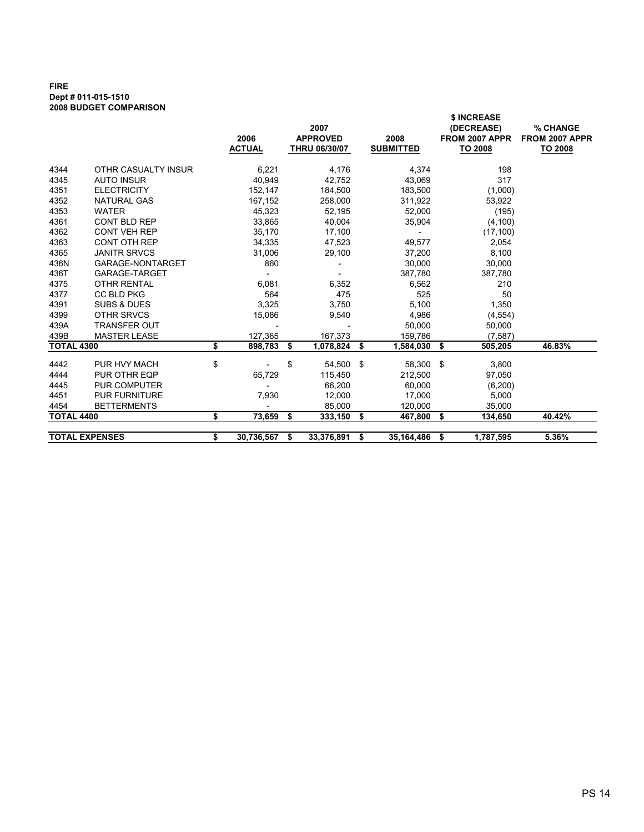#### FIRE Dept # 011-015-1510 2008 BUDGET COMPARISON

|                   |                        |                  |    |                      |                  | \$ INCREASE       |                |
|-------------------|------------------------|------------------|----|----------------------|------------------|-------------------|----------------|
|                   |                        |                  |    | 2007                 |                  | (DECREASE)        | % CHANGE       |
|                   |                        | 2006             |    | <b>APPROVED</b>      | 2008             | FROM 2007 APPR    | FROM 2007 APPR |
|                   |                        | <b>ACTUAL</b>    |    | <b>THRU 06/30/07</b> | <b>SUBMITTED</b> | <b>TO 2008</b>    | <b>TO 2008</b> |
| 4344              | OTHR CASUALTY INSUR    | 6,221            |    | 4,176                | 4,374            | 198               |                |
| 4345              | <b>AUTO INSUR</b>      | 40,949           |    | 42,752               | 43,069           | 317               |                |
| 4351              | <b>ELECTRICITY</b>     | 152,147          |    | 184,500              | 183,500          | (1,000)           |                |
| 4352              | <b>NATURAL GAS</b>     | 167,152          |    | 258,000              | 311,922          | 53,922            |                |
| 4353              | <b>WATER</b>           | 45,323           |    | 52,195               | 52,000           | (195)             |                |
| 4361              | <b>CONT BLD REP</b>    | 33,865           |    | 40,004               | 35,904           | (4, 100)          |                |
| 4362              | <b>CONT VEH REP</b>    | 35,170           |    | 17,100               | $\blacksquare$   | (17, 100)         |                |
| 4363              | <b>CONT OTH REP</b>    | 34,335           |    | 47,523               | 49,577           | 2,054             |                |
| 4365              | <b>JANITR SRVCS</b>    | 31,006           |    | 29,100               | 37,200           | 8,100             |                |
| 436N              | GARAGE-NONTARGET       | 860              |    |                      | 30,000           | 30,000            |                |
| 436T              | GARAGE-TARGET          |                  |    |                      | 387,780          | 387,780           |                |
| 4375              | <b>OTHR RENTAL</b>     | 6,081            |    | 6,352                | 6,562            | 210               |                |
| 4377              | <b>CC BLD PKG</b>      | 564              |    | 475                  | 525              | 50                |                |
| 4391              | <b>SUBS &amp; DUES</b> | 3,325            |    | 3,750                | 5,100            | 1,350             |                |
| 4399              | OTHR SRVCS             | 15,086           |    | 9,540                | 4,986            | (4, 554)          |                |
| 439A              | <b>TRANSFER OUT</b>    |                  |    |                      | 50,000           | 50,000            |                |
| 439B              | <b>MASTER LEASE</b>    | 127,365          |    | 167,373              | 159,786          | (7.587)           |                |
| <b>TOTAL 4300</b> |                        | \$<br>898,783    | \$ | 1,078,824 \$         | 1,584,030 \$     | 505,205           | 46.83%         |
| 4442              | PUR HVY MACH           | \$               | \$ | 54,500 \$            | 58,300 \$        | 3,800             |                |
| 4444              | PUR OTHR EQP           | 65,729           |    | 115,450              | 212,500          | 97,050            |                |
| 4445              | <b>PUR COMPUTER</b>    |                  |    | 66,200               | 60,000           | (6,200)           |                |
| 4451              | <b>PUR FURNITURE</b>   | 7,930            |    | 12,000               | 17,000           | 5,000             |                |
| 4454              | <b>BETTERMENTS</b>     |                  |    | 85,000               | 120,000          | 35,000            |                |
| <b>TOTAL 4400</b> |                        | \$<br>73,659     | \$ | 333,150 \$           | 467,800 \$       | 134,650           | 40.42%         |
|                   | <b>TOTAL EXPENSES</b>  | \$<br>30,736,567 | S  | 33,376,891 \$        | 35,164,486       | - \$<br>1,787,595 | 5.36%          |
|                   |                        |                  |    |                      |                  |                   |                |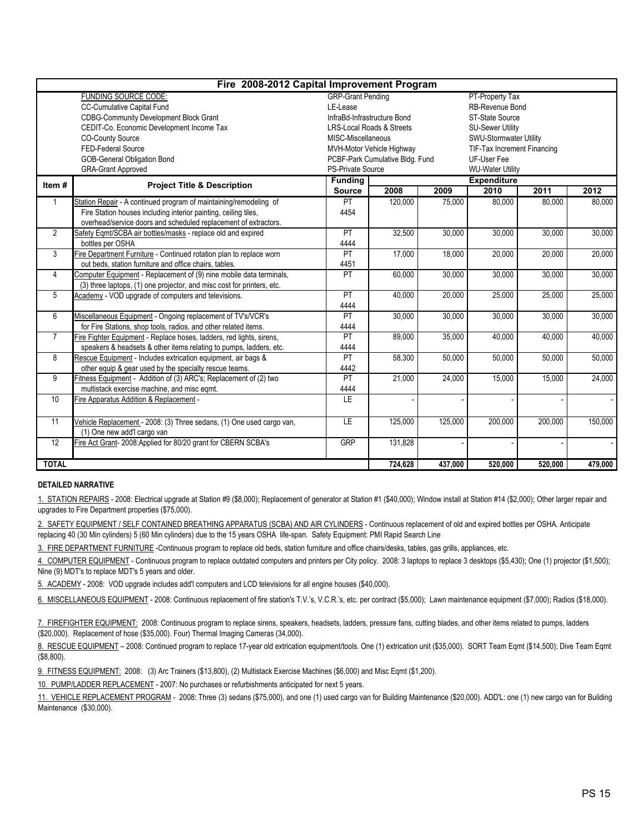|                | Fire 2008-2012 Capital Improvement Program                             |                             |                                      |                         |                             |         |         |  |  |
|----------------|------------------------------------------------------------------------|-----------------------------|--------------------------------------|-------------------------|-----------------------------|---------|---------|--|--|
|                | <b>FUNDING SOURCE CODE:</b>                                            | <b>GRP-Grant Pending</b>    |                                      |                         | PT-Property Tax             |         |         |  |  |
|                | <b>CC-Cumulative Capital Fund</b>                                      | LE-Lease                    |                                      |                         | RB-Revenue Bond             |         |         |  |  |
|                | <b>CDBG-Community Development Block Grant</b>                          | InfraBd-Infrastructure Bond |                                      | ST-State Source         |                             |         |         |  |  |
|                | CEDIT-Co. Economic Development Income Tax                              |                             | <b>LRS-Local Roads &amp; Streets</b> | <b>SU-Sewer Utility</b> |                             |         |         |  |  |
|                | CO-County Source                                                       | MISC-Miscellaneous          |                                      |                         | SWU-Stormwater Utility      |         |         |  |  |
|                | FED-Federal Source                                                     |                             | MVH-Motor Vehicle Highway            |                         | TIF-Tax Increment Financing |         |         |  |  |
|                | <b>GOB-General Obligation Bond</b>                                     |                             | PCBF-Park Cumulative Bldg. Fund      |                         | UF-User Fee                 |         |         |  |  |
|                | <b>GRA-Grant Approved</b>                                              | <b>PS-Private Source</b>    |                                      |                         | <b>WU-Water Utility</b>     |         |         |  |  |
| Item#          | <b>Project Title &amp; Description</b>                                 | <b>Funding</b>              |                                      |                         | <b>Expenditure</b>          |         |         |  |  |
|                |                                                                        | <b>Source</b>               | 2008                                 | 2009                    | 2010                        | 2011    | 2012    |  |  |
| 1              | Station Repair - A continued program of maintaining/remodeling of      | PT                          | 120,000                              | 75.000                  | 80.000                      | 80.000  | 80,000  |  |  |
|                | Fire Station houses including interior painting, ceiling tiles,        | 4454                        |                                      |                         |                             |         |         |  |  |
|                | overhead/service doors and scheduled replacement of extractors.        |                             |                                      |                         |                             |         |         |  |  |
| $\overline{2}$ | Safety Eqmt/SCBA air bottles/masks - replace old and expired           | PT                          | 32,500                               | 30,000                  | 30,000                      | 30,000  | 30,000  |  |  |
|                | bottles per OSHA                                                       | 4444                        |                                      |                         |                             |         |         |  |  |
| 3              | Fire Department Furniture - Continued rotation plan to replace worn    | PT                          | 17,000                               | 18.000                  | 20,000                      | 20,000  | 20,000  |  |  |
|                | out beds, station furniture and office chairs, tables.                 | 4451                        |                                      |                         |                             |         |         |  |  |
| $\overline{4}$ | Computer Equipment - Replacement of (9) nine mobile data terminals,    | PT                          | 60,000                               | 30,000                  | 30,000                      | 30,000  | 30,000  |  |  |
|                | (3) three laptops, (1) one projector, and misc cost for printers, etc. |                             |                                      |                         |                             |         |         |  |  |
| 5              | Academy - VOD upgrade of computers and televisions.                    | PT                          | 40,000                               | 20,000                  | 25,000                      | 25,000  | 25,000  |  |  |
|                |                                                                        | 4444                        |                                      |                         |                             |         |         |  |  |
| 6              | Miscellaneous Equipment - Ongoing replacement of TV's/VCR's            | PT                          | 30,000                               | 30,000                  | 30.000                      | 30,000  | 30,000  |  |  |
|                | for Fire Stations, shop tools, radios, and other related items.        | 4444                        |                                      |                         |                             |         |         |  |  |
| $\overline{7}$ | Fire Fighter Equipment - Replace hoses, ladders, red lights, sirens,   | PT                          | 89,000                               | 35,000                  | 40,000                      | 40,000  | 40,000  |  |  |
|                | speakers & headsets & other items relating to pumps, ladders, etc.     | 4444                        |                                      |                         |                             |         |         |  |  |
| 8              | Rescue Equipment - Includes extrication equipment, air bags &          | PT                          | 58,300                               | 50.000                  | 50,000                      | 50,000  | 50,000  |  |  |
|                | other equip & gear used by the specialty rescue teams.                 | 4442                        |                                      |                         |                             |         |         |  |  |
| 9              | Fitness Equipment - Addition of (3) ARC's; Replacement of (2) two      | PT                          | 21.000                               | 24.000                  | 15.000                      | 15,000  | 24,000  |  |  |
|                | multistack exercise machine, and misc eqmt.                            | 4444                        |                                      |                         |                             |         |         |  |  |
| 10             | Fire Apparatus Addition & Replacement -                                | LE                          |                                      |                         |                             |         |         |  |  |
|                |                                                                        |                             |                                      |                         |                             |         |         |  |  |
| 11             | Vehicle Replacement - 2008: (3) Three sedans, (1) One used cargo van,  | ΙE                          | 125,000                              | 125,000                 | 200,000                     | 200,000 | 150,000 |  |  |
|                | (1) One new add'l cargo van                                            |                             |                                      |                         |                             |         |         |  |  |
| 12             | Fire Act Grant-2008: Applied for 80/20 grant for CBERN SCBA's          | GRP                         | 131,828                              |                         |                             |         |         |  |  |
|                |                                                                        |                             |                                      |                         |                             |         |         |  |  |
| <b>TOTAL</b>   |                                                                        |                             | 724,628                              | 437,000                 | 520,000                     | 520,000 | 479,000 |  |  |

#### DETAILED NARRATIVE

1. STATION REPAIRS - 2008: Electrical upgrade at Station #9 (\$8,000); Replacement of generator at Station #1 (\$40,000); Window install at Station #14 (\$2,000); Other larger repair and upgrades to Fire Department properties (\$75,000).

2. SAFETY EQUIPMENT / SELF CONTAINED BREATHING APPARATUS (SCBA) AND AIR CYLINDERS - Continuous replacement of old and expired bottles per OSHA. Anticipate replacing 40 (30 Min cylinders) 5 (60 Min cylinders) due to the 15 years OSHA life-span. Safety Equipment: PMI Rapid Search Line

3. FIRE DEPARTMENT FURNITURE -Continuous program to replace old beds, station furniture and office chairs/desks, tables, gas grills, appliances, etc.

4. COMPUTER EQUIPMENT - Continuous program to replace outdated computers and printers per City policy. 2008: 3 laptops to replace 3 desktops (\$5,430); One (1) projector (\$1,500); Nine (9) MDT's to replace MDT's 5 years and older.

5. ACADEMY - 2008: VOD upgrade includes add'l computers and LCD televisions for all engine houses (\$40,000).

6. MISCELLANEOUS EQUIPMENT - 2008: Continuous replacement of fire station's T.V.'s, V.C.R.'s, etc. per contract (\$5,000); Lawn maintenance equipment (\$7,000); Radios (\$18,000).

7. FIREFIGHTER EQUIPMENT: 2008: Continuous program to replace sirens, speakers, headsets, ladders, pressure fans, cutting blades, and other items related to pumps, ladders (\$20,000). Replacement of hose (\$35,000). Four) Thermal Imaging Cameras (34,000).

8. RESCUE EQUIPMENT - 2008: Continued program to replace 17-year old extrication equipment/tools. One (1) extrication unit (\$35,000). SORT Team Eqmt (\$14,500); Dive Team Eqmt (\$8,800).

9. FITNESS EQUIPMENT: 2008: (3) Arc Trainers (\$13,800), (2) Multistack Exercise Machines (\$6,000) and Misc Eqmt (\$1,200).

10. PUMP/LADDER REPLACEMENT - 2007: No purchases or refurbishments anticipated for next 5 years.

11. VEHICLE REPLACEMENT PROGRAM - 2008: Three (3) sedans (\$75,000), and one (1) used cargo van for Building Maintenance (\$20,000). ADD'L: one (1) new cargo van for Building Maintenance (\$30,000).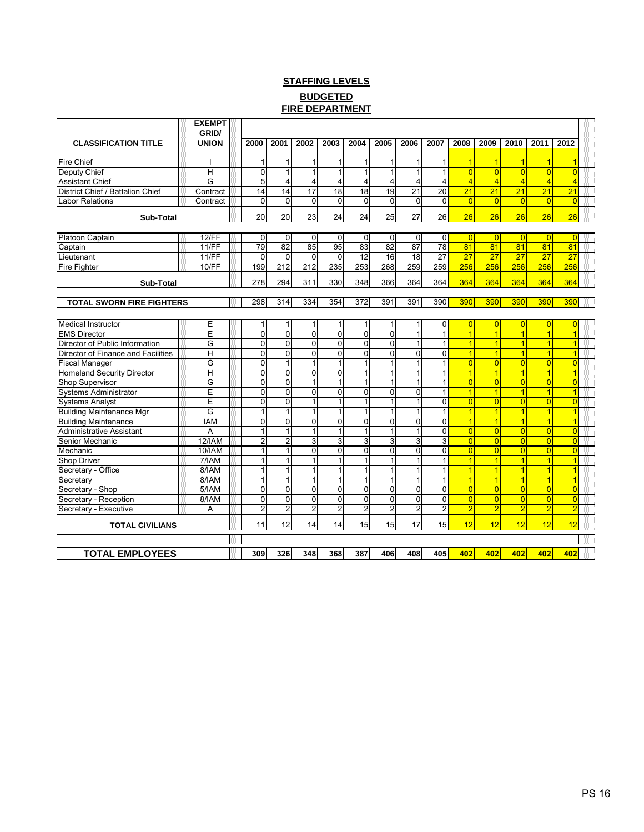### **STAFFING LEVELS BUDGETED FIRE DEPARTMENT**

|                                    | <b>EXEMPT</b><br>GRID/ |                 |                  |                  |                 |                  |                |                 |                 |                 |                 |                 |                 |                 |  |
|------------------------------------|------------------------|-----------------|------------------|------------------|-----------------|------------------|----------------|-----------------|-----------------|-----------------|-----------------|-----------------|-----------------|-----------------|--|
| <b>CLASSIFICATION TITLE</b>        | <b>UNION</b>           | 2000            | 2001             | 2002             | 2003            | 2004             | 2005           | 2006            | 2007            | 2008            | 2009            | 2010            | 2011            | 2012            |  |
| <b>Fire Chief</b>                  |                        | $\mathbf{1}$    | 1                |                  | 1               | 1                | 1              | 1               | 1               | 1               | 1               | 1               | 1               |                 |  |
| Deputy Chief                       | $\overline{H}$         | $\overline{0}$  | $\overline{1}$   | $\mathbf 1$      | $\mathbf{1}$    | $\mathbf{1}$     | $\overline{1}$ | $\overline{1}$  | $\mathbf{1}$    | $\Omega$        | $\overline{0}$  | $\overline{0}$  | $\overline{0}$  | $\overline{0}$  |  |
| <b>Assistant Chief</b>             | G                      | 5 <sup>5</sup>  | 4                | $\overline{4}$   | 4               | 4                | $\overline{4}$ | $\overline{4}$  | $\vert$         | $\overline{4}$  | $\overline{4}$  | $\overline{4}$  | $\overline{4}$  | $\overline{4}$  |  |
| District Chief / Battalion Chief   | Contract               | 14              | 14               | $\overline{17}$  | $\overline{18}$ | 18               | 19             | $\overline{21}$ | 20              | $\overline{21}$ | $\overline{21}$ | $\overline{21}$ | $\overline{21}$ | $\overline{21}$ |  |
| <b>Labor Relations</b>             | Contract               | $\Omega$        | $\mathbf{0}$     | $\Omega$         | $\Omega$        | $\Omega$         | $\Omega$       | $\Omega$        | $\Omega$        | $\overline{0}$  | $\overline{0}$  | $\overline{0}$  | $\overline{0}$  | $\overline{0}$  |  |
|                                    |                        |                 |                  |                  |                 |                  |                |                 |                 |                 |                 |                 |                 |                 |  |
| Sub-Total                          |                        | 20 <sup>1</sup> | 20               | 23               | 24              | 24               | 25             | 27              | 26              | 26              | 26              | 26              | 26              | 26              |  |
| Platoon Captain                    | <b>12/FF</b>           | $\overline{0}$  | $\overline{0}$   | $\overline{0}$   | $\Omega$        | $\overline{0}$   | $\Omega$       | $\overline{0}$  | $\overline{0}$  | $\overline{0}$  | 0               | $\overline{0}$  | 0               | $\overline{0}$  |  |
| Captain                            | $11$ /FF               | 79              | 82               | 85               | 95              | 83               | 82             | $\overline{87}$ | 78              | 81              | 81              | 81              | 81              | 81              |  |
| Lieutenant                         | $11$ /FF               | $\Omega$        | $\Omega$         | $\Omega$         | $\Omega$        | $\overline{12}$  | 16             | $\overline{18}$ | $\overline{27}$ | $\overline{27}$ | 27              | $\overline{27}$ | $\overline{27}$ | $\overline{27}$ |  |
| <b>Fire Fighter</b>                | $10$ /FF               | 199             | $\overline{212}$ | $\overline{212}$ | 235             | 253              | 268            | 259             | 259             | 256             | 256             | 256             | 256             | 256             |  |
| Sub-Total                          |                        | 278             | 294              | 311              | 330             | 348              | 366            | 364             | 364             | 364             | 364             | 364             | 364             | 364             |  |
|                                    |                        |                 |                  |                  |                 |                  |                |                 |                 |                 |                 |                 |                 |                 |  |
| <b>TOTAL SWORN FIRE FIGHTERS</b>   |                        | 298             | $\overline{314}$ | 334              | 354             | $\overline{372}$ | 391            | 391             | 390             | 390             | 390             | 390             | 390             | 390             |  |
|                                    |                        |                 |                  |                  |                 |                  |                |                 |                 |                 |                 |                 |                 |                 |  |
| <b>Medical Instructor</b>          | E                      | $\mathbf{1}$    | 1                | 1                | 1               | 1                | $\mathbf{1}$   | 1               | $\overline{0}$  | $\overline{0}$  | $\overline{0}$  | $\overline{0}$  | $\overline{0}$  | $\overline{0}$  |  |
| <b>EMS Director</b>                | E                      | $\overline{0}$  | $\overline{0}$   | $\Omega$         | $\Omega$        | $\overline{0}$   | $\overline{0}$ | $\mathbf{1}$    | 1               | $\overline{1}$  | $\overline{1}$  | $\overline{1}$  | $\overline{1}$  |                 |  |
| Director of Public Information     | G                      | $\overline{0}$  | $\overline{0}$   | $\Omega$         | $\Omega$        | $\overline{0}$   | $\overline{0}$ | 1               | 1               | $\overline{1}$  | $\overline{1}$  | $\overline{1}$  | $\overline{1}$  |                 |  |
| Director of Finance and Facilities | H                      | $\Omega$        | $\overline{0}$   | $\Omega$         | $\Omega$        | $\Omega$         | $\overline{0}$ | $\Omega$        | $\Omega$        | $\overline{1}$  | $\vert$         | $\overline{1}$  | $\overline{1}$  | $\overline{1}$  |  |
| <b>Fiscal Manager</b>              | G                      | $\overline{0}$  | $\mathbf{1}$     | $\mathbf 1$      | 1               | 1                | $\mathbf{1}$   | $\mathbf{1}$    | 1               | $\overline{0}$  | 0               | $\overline{0}$  | $\overline{0}$  | $\overline{0}$  |  |
| <b>Homeland Security Director</b>  | $\overline{H}$         | $\overline{0}$  | $\overline{0}$   | $\mathbf 0$      | $\Omega$        | 1                | $\overline{1}$ | $\overline{1}$  | 1               | 1               | $\overline{1}$  | $\overline{1}$  | $\overline{1}$  | 1               |  |
| Shop Supervisor                    | G                      | $\overline{0}$  | $\overline{0}$   | $\mathbf{1}$     | $\mathbf{1}$    | 1                | $\mathbf{1}$   | 1               | 1               | $\overline{0}$  | $\overline{0}$  | $\overline{0}$  | $\overline{0}$  | $\overline{0}$  |  |
| <b>Systems Administrator</b>       | E                      | $\Omega$        | $\overline{0}$   | $\Omega$         | $\Omega$        | $\overline{0}$   | $\overline{0}$ | $\overline{0}$  | 1               | $\overline{1}$  | $\overline{1}$  | $\overline{1}$  | $\overline{1}$  | $\overline{1}$  |  |
| <b>Systems Analyst</b>             | E                      | $\overline{0}$  | $\overline{0}$   | $\overline{1}$   | $\mathbf{1}$    | $\mathbf{1}$     | $\overline{1}$ | $\overline{1}$  | $\overline{0}$  | $\overline{0}$  | $\overline{0}$  | $\overline{0}$  | $\overline{0}$  | $\overline{0}$  |  |
| <b>Building Maintenance Mgr</b>    | G                      | $\mathbf{1}$    | $\mathbf{1}$     | $\mathbf 1$      | $\mathbf 1$     | $\mathbf{1}$     | $\mathbf{1}$   | $\mathbf{1}$    | 1               | $\overline{1}$  | $\overline{1}$  | $\overline{1}$  | $\overline{1}$  | $\overline{1}$  |  |
| <b>Building Maintenance</b>        | <b>IAM</b>             | $\Omega$        | $\mathbf{0}$     | $\Omega$         | $\Omega$        | $\Omega$         | $\overline{0}$ | $\Omega$        | $\Omega$        | $\overline{1}$  | $\mathbf{1}$    | $\overline{1}$  | $\overline{1}$  | $\overline{1}$  |  |
| Administrative Assistant           | A                      | $\mathbf{1}$    | $\mathbf{1}$     | 1                | 1               | 1                | $\mathbf{1}$   | $\mathbf{1}$    | $\Omega$        | $\overline{0}$  | $\overline{0}$  | $\overline{0}$  | $\overline{0}$  | $\overline{0}$  |  |
| Senior Mechanic                    | $12$ /IAM              | $\overline{2}$  | 2                | 3                | $\overline{3}$  | 3                | 3              | 3               | $\overline{3}$  | $\Omega$        | $\overline{0}$  | $\overline{0}$  | $\overline{0}$  | $\overline{0}$  |  |
| Mechanic                           | <b>10/IAM</b>          | $\mathbf{1}$    | $\mathbf{1}$     | $\mathbf{0}$     | $\Omega$        | $\overline{0}$   | $\overline{0}$ | $\overline{0}$  | $\Omega$        | $\overline{0}$  | $\overline{0}$  | $\overline{0}$  | $\overline{0}$  | $\overline{0}$  |  |
| Shop Driver                        | 7/IAM                  | $\mathbf{1}$    | 1                | 1                | $\mathbf{1}$    | 1                | $\overline{1}$ | $\overline{1}$  | 1               | 1               | $\overline{1}$  | $\overline{1}$  | $\overline{1}$  |                 |  |
| Secretary - Office                 | 8/IAM                  | $\mathbf{1}$    | 1                | $\mathbf{1}$     | 1               | $\mathbf{1}$     | $\mathbf{1}$   | 1               | 1               | $\overline{1}$  | $\vert$         | $\overline{1}$  | $\overline{1}$  | $\overline{1}$  |  |
| Secretary                          | 8/IAM                  | $\mathbf{1}$    | 1                | $\overline{1}$   | $\mathbf{1}$    | $\mathbf{1}$     | $\mathbf{1}$   | $\mathbf{1}$    | $\mathbf{1}$    | $\overline{1}$  | $\overline{1}$  | $\overline{1}$  | $\overline{1}$  | $\overline{1}$  |  |
| Secretary - Shop                   | 5/IAM                  | $\overline{0}$  | $\overline{0}$   | $\Omega$         | $\Omega$        | $\Omega$         | $\overline{0}$ | $\Omega$        | $\Omega$        | $\Omega$        | $\overline{0}$  | $\overline{0}$  | $\overline{0}$  | $\overline{0}$  |  |
| Secretary - Reception              | 8/IAM                  | $\overline{0}$  | $\Omega$         | $\Omega$         | $\Omega$        | $\Omega$         | $\overline{0}$ | $\overline{0}$  | $\Omega$        | $\overline{0}$  | $\overline{0}$  | $\overline{0}$  | $\overline{0}$  | $\overline{0}$  |  |
| Secretary - Executive              | Α                      | $\overline{2}$  | $\overline{c}$   | $\overline{2}$   | $\overline{2}$  | $\overline{2}$   | $\overline{c}$ | $\overline{2}$  | $\overline{2}$  | $\overline{2}$  | $\overline{2}$  | $\overline{2}$  | $\overline{2}$  | $\overline{2}$  |  |
| <b>TOTAL CIVILIANS</b>             |                        | 11              | 12               | 14               | 14              | 15               | 15             | 17              | 15              | 12              | 12              | 12              | 12              | 12              |  |
|                                    |                        |                 |                  |                  |                 |                  |                |                 |                 |                 |                 |                 |                 |                 |  |
| <b>TOTAL EMPLOYEES</b>             |                        | 309             | 326              | 348              | 368             | 387              | 406            | 408             | 405             | 402             | 402             | 402             | 402             | 402             |  |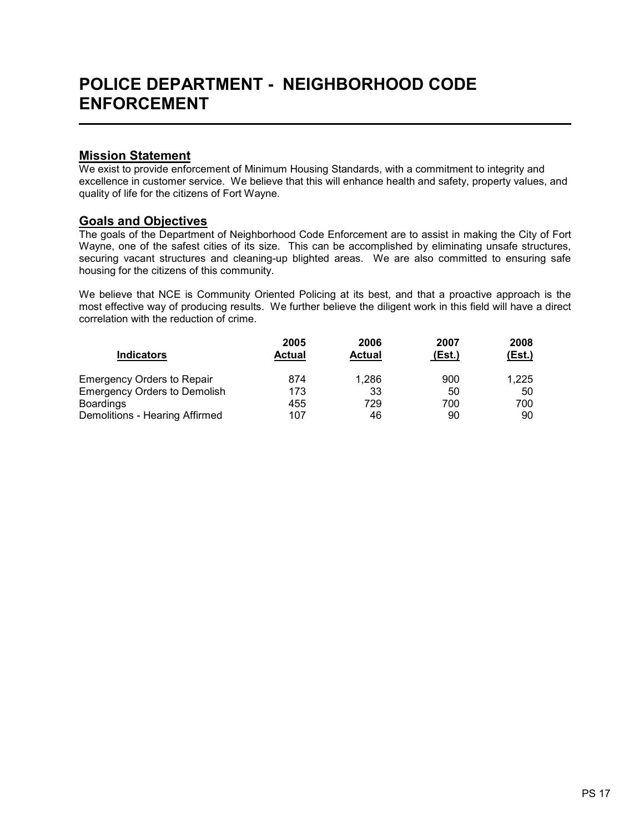## Mission Statement

l

We exist to provide enforcement of Minimum Housing Standards, with a commitment to integrity and excellence in customer service. We believe that this will enhance health and safety, property values, and quality of life for the citizens of Fort Wayne.

### Goals and Objectives

The goals of the Department of Neighborhood Code Enforcement are to assist in making the City of Fort Wayne, one of the safest cities of its size. This can be accomplished by eliminating unsafe structures, securing vacant structures and cleaning-up blighted areas. We are also committed to ensuring safe housing for the citizens of this community.

We believe that NCE is Community Oriented Policing at its best, and that a proactive approach is the most effective way of producing results. We further believe the diligent work in this field will have a direct correlation with the reduction of crime.

| <b>Indicators</b>                   | 2005<br><b>Actual</b> | 2006<br>Actual | 2007<br>(Est.) | 2008<br>(Est.) |
|-------------------------------------|-----------------------|----------------|----------------|----------------|
| <b>Emergency Orders to Repair</b>   | 874                   | 1.286          | 900            | 1.225          |
| <b>Emergency Orders to Demolish</b> | 173                   | 33             | 50             | 50             |
| Boardings                           | 455                   | 729            | 700            | 700            |
| Demolitions - Hearing Affirmed      | 107                   | 46             | 90             | 90             |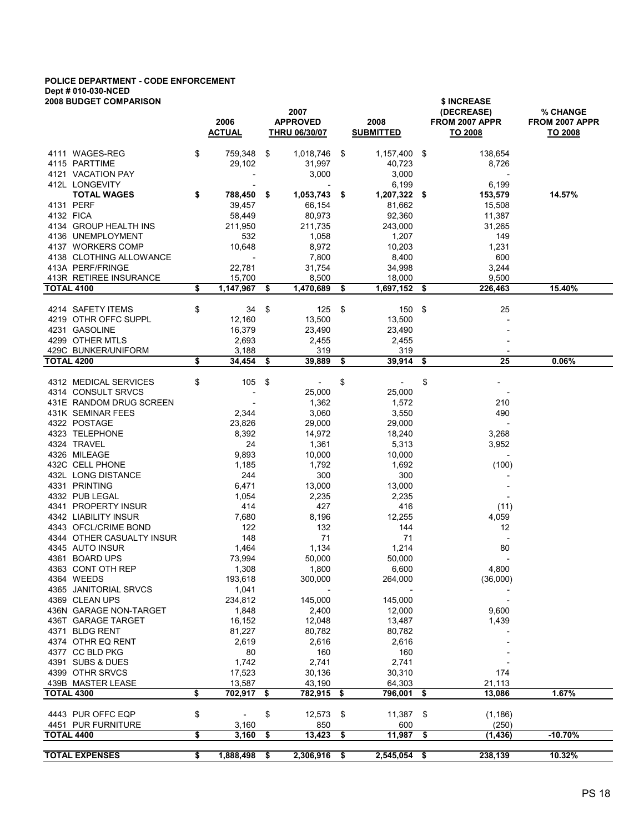#### POLICE DEPARTMENT - CODE ENFORCEMENT Dept # 010-030-NCED 2008 BUDGET COMPARISON \$ INCREASE

|                   |                                      | 2006<br><b>ACTUAL</b>    | 2007<br><b>APPROVED</b><br><b>THRU 06/30/07</b> | 2008<br><b>SUBMITTED</b> |      | .<br>(DECREASE)<br>FROM 2007 APPR<br><b>TO 2008</b> | % CHANGE<br>FROM 2007 APPR<br><b>TO 2008</b> |
|-------------------|--------------------------------------|--------------------------|-------------------------------------------------|--------------------------|------|-----------------------------------------------------|----------------------------------------------|
|                   | 4111 WAGES-REG                       | \$<br>759,348            | \$<br>1,018,746 \$                              | 1,157,400 \$             |      | 138,654                                             |                                              |
|                   | 4115 PARTTIME                        | 29,102                   | 31,997                                          | 40,723                   |      | 8,726                                               |                                              |
|                   | 4121 VACATION PAY                    |                          | 3,000                                           | 3,000                    |      |                                                     |                                              |
|                   | 412L LONGEVITY                       |                          |                                                 | 6,199                    |      | 6,199                                               |                                              |
|                   | <b>TOTAL WAGES</b>                   | \$<br>788,450            | \$<br>$1,053,743$ \$                            | $1,207,322$ \$           |      | 153,579                                             | 14.57%                                       |
|                   | 4131 PERF                            | 39,457                   | 66,154                                          | 81,662                   |      | 15,508                                              |                                              |
|                   | 4132 FICA                            | 58,449                   | 80,973                                          | 92,360                   |      | 11,387                                              |                                              |
|                   | 4134 GROUP HEALTH INS                | 211,950                  | 211,735                                         | 243,000                  |      | 31,265                                              |                                              |
|                   | 4136 UNEMPLOYMENT                    | 532                      | 1,058                                           | 1,207                    |      | 149                                                 |                                              |
|                   | 4137 WORKERS COMP                    | 10,648                   | 8,972                                           | 10,203                   |      | 1,231                                               |                                              |
|                   | 4138 CLOTHING ALLOWANCE              |                          | 7,800                                           | 8,400                    |      | 600                                                 |                                              |
|                   | 413A PERF/FRINGE                     | 22,781                   | 31,754                                          | 34,998                   |      | 3,244                                               |                                              |
|                   | 413R RETIREE INSURANCE               | 15,700                   | 8,500                                           | 18,000                   |      | 9,500                                               |                                              |
| <b>TOTAL 4100</b> |                                      | \$<br>1,147,967          | \$<br>1,470,689                                 | \$<br>1,697,152          | - \$ | 226,463                                             | 15.40%                                       |
|                   |                                      |                          |                                                 |                          |      |                                                     |                                              |
|                   | 4214 SAFETY ITEMS                    | \$<br>34                 | \$<br>$125$ \$                                  | 150 \$                   |      | 25                                                  |                                              |
|                   | 4219 OTHR OFFC SUPPL                 | 12,160                   | 13,500                                          | 13,500                   |      |                                                     |                                              |
|                   | 4231 GASOLINE                        | 16,379                   | 23,490                                          | 23,490                   |      |                                                     |                                              |
|                   | 4299 OTHER MTLS                      | 2,693                    | 2,455                                           | 2,455                    |      |                                                     |                                              |
| <b>TOTAL 4200</b> | 429C BUNKER/UNIFORM                  | \$<br>3,188<br>34,454    | \$<br>319<br>39,889                             | \$<br>319<br>39,914      | -\$  | 25                                                  | 0.06%                                        |
|                   |                                      |                          |                                                 |                          |      |                                                     |                                              |
|                   | 4312 MEDICAL SERVICES                | \$<br>$105 - $$          | $\sim$                                          | \$<br>$\sim$             | \$   |                                                     |                                              |
|                   | 4314 CONSULT SRVCS                   | $\overline{\phantom{a}}$ | 25,000                                          | 25,000                   |      |                                                     |                                              |
|                   | 431E RANDOM DRUG SCREEN              |                          | 1,362                                           | 1,572                    |      | 210                                                 |                                              |
|                   | 431K SEMINAR FEES                    | 2,344                    | 3,060                                           | 3,550                    |      | 490                                                 |                                              |
|                   | 4322 POSTAGE                         | 23,826                   | 29,000                                          | 29,000                   |      | ÷,                                                  |                                              |
|                   | 4323 TELEPHONE                       | 8,392                    | 14,972                                          | 18,240                   |      | 3,268                                               |                                              |
|                   | 4324 TRAVEL                          | 24                       | 1,361                                           | 5,313                    |      | 3,952                                               |                                              |
|                   | 4326 MILEAGE                         | 9,893                    | 10,000                                          | 10,000                   |      | $\overline{\phantom{a}}$                            |                                              |
|                   | 432C CELL PHONE                      | 1,185                    | 1,792                                           | 1,692                    |      | (100)                                               |                                              |
|                   | 432L LONG DISTANCE                   | 244                      | 300                                             | 300                      |      |                                                     |                                              |
|                   | 4331 PRINTING                        | 6,471                    | 13,000                                          | 13,000                   |      |                                                     |                                              |
|                   | 4332 PUB LEGAL                       | 1,054                    | 2,235                                           | 2,235                    |      |                                                     |                                              |
|                   | 4341 PROPERTY INSUR                  | 414                      | 427                                             | 416                      |      | (11)                                                |                                              |
|                   | 4342 LIABILITY INSUR                 | 7,680                    | 8,196                                           | 12,255                   |      | 4,059                                               |                                              |
|                   | 4343 OFCL/CRIME BOND                 | 122                      | 132                                             | 144                      |      | 12                                                  |                                              |
|                   | 4344 OTHER CASUALTY INSUR            | 148                      | 71                                              | 71                       |      |                                                     |                                              |
|                   | 4345 AUTO INSUR                      | 1,464                    | 1,134                                           | 1,214                    |      | 80                                                  |                                              |
|                   | 4361 BOARD UPS                       | 73,994                   | 50,000                                          | 50,000                   |      |                                                     |                                              |
|                   | 4363 CONT OTH REP                    | 1,308                    | 1,800                                           | 6,600                    |      | 4,800                                               |                                              |
|                   | 4364 WEEDS                           | 193,618                  | 300,000                                         | 264,000                  |      | (36,000)                                            |                                              |
|                   | 4365 JANITORIAL SRVCS                | 1,041                    |                                                 |                          |      |                                                     |                                              |
|                   | 4369 CLEAN UPS                       | 234,812                  | 145,000                                         | 145,000                  |      |                                                     |                                              |
|                   | 436N GARAGE NON-TARGET               | 1,848                    | 2,400                                           | 12,000                   |      | 9,600                                               |                                              |
|                   | 436T GARAGE TARGET                   | 16,152                   | 12,048                                          | 13,487                   |      | 1,439                                               |                                              |
|                   | 4371 BLDG RENT                       | 81,227                   | 80,782                                          | 80,782                   |      |                                                     |                                              |
|                   | 4374 OTHR EQ RENT                    | 2,619                    | 2,616                                           | 2,616                    |      |                                                     |                                              |
|                   | 4377 CC BLD PKG                      | 80                       | 160                                             | 160                      |      |                                                     |                                              |
|                   | 4391 SUBS & DUES                     | 1,742                    | 2,741                                           | 2,741                    |      |                                                     |                                              |
|                   | 4399 OTHR SRVCS<br>439B MASTER LEASE | 17,523<br>13,587         | 30,136<br>43,190                                | 30,310<br>64,303         |      | 174<br>21,113                                       |                                              |
| <b>TOTAL 4300</b> |                                      | \$<br>702,917            | \$<br>782,915 \$                                | 796,001                  | \$   | 13,086                                              | 1.67%                                        |
|                   |                                      |                          |                                                 |                          |      |                                                     |                                              |
|                   | 4443 PUR OFFC EQP                    | \$                       | \$<br>12,573 \$                                 | 11,387                   | -\$  | (1, 186)                                            |                                              |
| <b>TOTAL 4400</b> | 4451 PUR FURNITURE                   | \$<br>3,160              | 850                                             | 600                      | \$   | (250)                                               | $-10.70%$                                    |
|                   |                                      | 3,160                    | \$<br>13,423                                    | \$<br>11,987             |      | (1, 436)                                            |                                              |
|                   | <b>TOTAL EXPENSES</b>                | \$<br>1,888,498          | \$<br>2,306,916                                 | \$<br>2,545,054          | \$   | 238,139                                             | 10.32%                                       |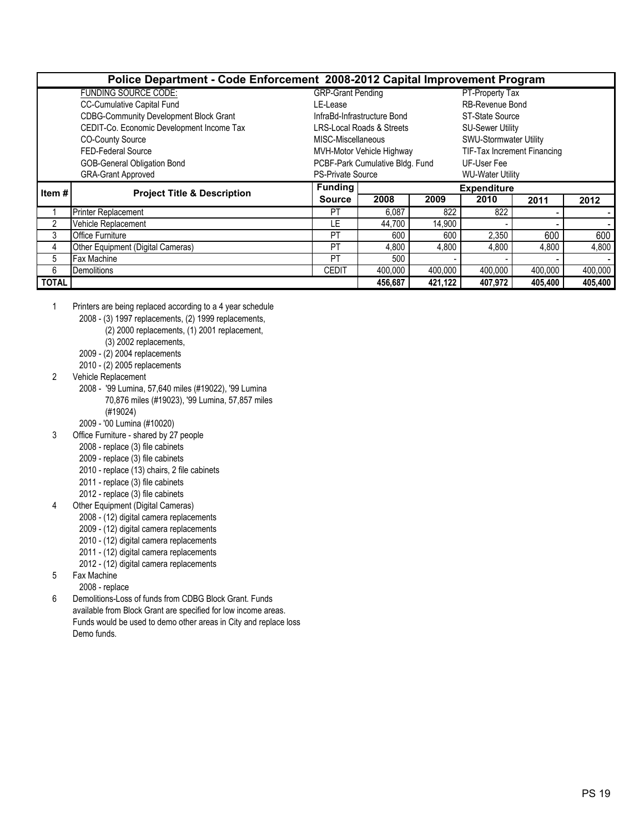|              | Police Department - Code Enforcement 2008-2012 Capital Improvement Program |                          |                                                          |         |                         |         |         |  |  |  |
|--------------|----------------------------------------------------------------------------|--------------------------|----------------------------------------------------------|---------|-------------------------|---------|---------|--|--|--|
|              | <b>FUNDING SOURCE CODE:</b>                                                | <b>GRP-Grant Pending</b> |                                                          |         | PT-Property Tax         |         |         |  |  |  |
|              | <b>CC-Cumulative Capital Fund</b>                                          | LE-Lease                 |                                                          |         | RB-Revenue Bond         |         |         |  |  |  |
|              | <b>CDBG-Community Development Block Grant</b>                              |                          | InfraBd-Infrastructure Bond                              |         | ST-State Source         |         |         |  |  |  |
|              | CEDIT-Co. Economic Development Income Tax                                  |                          | <b>LRS-Local Roads &amp; Streets</b>                     |         | <b>SU-Sewer Utility</b> |         |         |  |  |  |
|              | <b>CO-County Source</b>                                                    |                          | SWU-Stormwater Utility<br>MISC-Miscellaneous             |         |                         |         |         |  |  |  |
|              | FED-Federal Source                                                         |                          | TIF-Tax Increment Financing<br>MVH-Motor Vehicle Highway |         |                         |         |         |  |  |  |
|              | <b>GOB-General Obligation Bond</b>                                         |                          | PCBF-Park Cumulative Bldg. Fund                          |         | UF-User Fee             |         |         |  |  |  |
|              | <b>GRA-Grant Approved</b>                                                  | <b>PS-Private Source</b> |                                                          |         | <b>WU-Water Utility</b> |         |         |  |  |  |
| Item #       | <b>Project Title &amp; Description</b>                                     | <b>Funding</b>           |                                                          |         | <b>Expenditure</b>      |         |         |  |  |  |
|              |                                                                            | <b>Source</b>            | 2008                                                     | 2009    | 2010                    | 2011    | 2012    |  |  |  |
|              | <b>Printer Replacement</b>                                                 | PT                       | 6,087                                                    | 822     | 822                     |         |         |  |  |  |
| 2            | Vehicle Replacement                                                        | LE                       | 44,700                                                   | 14,900  |                         |         |         |  |  |  |
| 3            | <b>Office Furniture</b>                                                    | PT                       | 600                                                      | 600     | 2,350                   | 600     | 600     |  |  |  |
| 4            | Other Equipment (Digital Cameras)                                          | PT                       | 4,800                                                    | 4,800   | 4,800                   | 4,800   | 4,800   |  |  |  |
| 5            | <b>Fax Machine</b>                                                         | PT                       | 500                                                      |         |                         |         |         |  |  |  |
| 6            | <b>Demolitions</b>                                                         | CEDIT                    | 400,000                                                  | 400,000 | 400,000                 | 400,000 | 400,000 |  |  |  |
| <b>TOTAL</b> |                                                                            |                          | 456,687                                                  | 421,122 | 407,972                 | 405,400 | 405,400 |  |  |  |

- 1 Printers are being replaced according to a 4 year schedule
	- 2008 (3) 1997 replacements, (2) 1999 replacements,
		- (2) 2000 replacements, (1) 2001 replacement,
		- (3) 2002 replacements,
	- 2009 (2) 2004 replacements
	- 2010 (2) 2005 replacements
- 2 Vehicle Replacement
	- 2008 '99 Lumina, 57,640 miles (#19022), '99 Lumina 70,876 miles (#19023), '99 Lumina, 57,857 miles (#19024)
	- 2009 '00 Lumina (#10020)
- 3 Office Furniture shared by 27 people
	- 2008 replace (3) file cabinets
	- 2009 replace (3) file cabinets
	- 2010 replace (13) chairs, 2 file cabinets
	- 2011 replace (3) file cabinets
	- 2012 replace (3) file cabinets
- 4 Other Equipment (Digital Cameras)
	- 2008 (12) digital camera replacements
	- 2009 (12) digital camera replacements
	- 2010 (12) digital camera replacements
	- 2011 (12) digital camera replacements
	- 2012 (12) digital camera replacements
- 5 Fax Machine
	- 2008 replace
- 6 Demolitions-Loss of funds from CDBG Block Grant. Funds available from Block Grant are specified for low income areas. Funds would be used to demo other areas in City and replace loss Demo funds.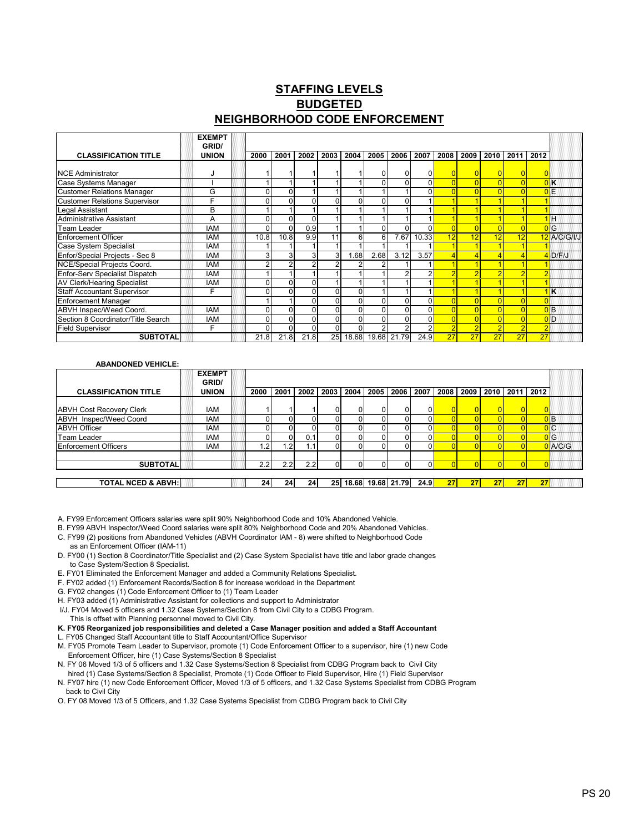## STAFFING LEVELS BUDGETED NEIGHBORHOOD CODE ENFORCEMENT

|                                       | <b>EXEMPT</b><br>GRID/ |                |          |          |                |                      |                |          |                |                |      |      |                |      |                |
|---------------------------------------|------------------------|----------------|----------|----------|----------------|----------------------|----------------|----------|----------------|----------------|------|------|----------------|------|----------------|
| <b>CLASSIFICATION TITLE</b>           | <b>UNION</b>           | 2000           | 2001     | 2002     | 2003           | 2004                 | 2005           | 2006     | 2007           | 2008           | 2009 | 2010 | 2011           | 2012 |                |
| <b>INCE Administrator</b>             |                        |                |          |          |                |                      | 0              |          |                |                |      |      |                |      |                |
| Case Systems Manager                  |                        |                |          |          |                |                      | 0              | $\Omega$ |                | $\overline{0}$ |      |      |                |      | 0K             |
| <b>Customer Relations Manager</b>     | G                      |                |          |          |                |                      |                |          |                |                |      |      |                |      | 0E             |
| <b>Customer Relations Supervisor</b>  | F                      | $\Omega$       |          | 0        | 0              |                      | $\mathbf{0}$   | $\Omega$ |                |                |      |      |                |      |                |
| Legal Assistant                       | B                      |                |          |          |                |                      |                |          |                |                |      |      |                |      |                |
| Administrative Assistant              | Α                      |                |          | $\Omega$ |                |                      |                |          |                |                |      |      |                |      | IН             |
| Team Leader                           | <b>IAM</b>             |                | $\Omega$ | 0.9      |                |                      | $\Omega$       |          |                | $\overline{0}$ |      |      |                |      | 0 <sup>o</sup> |
| <b>Enforcement Officer</b>            | IAM                    | 10.8           | 10.8     | 9.9      | 11             | 6                    | 6              |          | 7.67 10.33     | 12             | 12   | 12   | 12             |      | 12 A/C/G/I/J   |
| <b>Case System Specialist</b>         | <b>IAM</b>             |                |          |          |                |                      |                |          |                |                |      |      |                |      |                |
| Enfor/Special Projects - Sec 8        | <b>IAM</b>             | 3              | 3        | 3        | 3              | .68                  | 2.68           | 3.12     | 3.57           | 4              |      |      |                |      | D/F/J          |
| NCE/Special Projects Coord.           | <b>IAM</b>             | $\overline{2}$ |          | ົ        | 2              |                      | 2              |          |                |                |      |      |                |      |                |
| <b>Enfor-Serv Specialist Dispatch</b> | IAM                    |                |          |          |                |                      |                |          |                | $\overline{2}$ |      |      |                |      |                |
| AV Clerk/Hearing Specialist           | IAM                    | 0              |          | 0        |                |                      |                |          |                |                |      |      |                |      |                |
| <b>Staff Accountant Supervisor</b>    | F                      | U              |          | $\Omega$ | $\Omega$       |                      | $\overline{A}$ |          |                |                |      |      |                |      | <u>ik</u>      |
| <b>Enforcement Manager</b>            |                        |                |          | $\Omega$ | $\Omega$       |                      | 0              | $\Omega$ |                |                |      |      |                |      |                |
| ABVH Inspec/Weed Coord.               | IAM                    |                |          | $\Omega$ | 0              |                      | $\Omega$       | $\Omega$ |                |                |      |      |                |      | 0B             |
| Section 8 Coordinator/Title Search    | IAM                    | $\Omega$       |          | $\Omega$ | $\overline{0}$ |                      | 0              | $\Omega$ | $\Omega$       | $\overline{0}$ |      |      |                |      | 0 <sub>0</sub> |
| <b>Field Supervisor</b>               | F                      | U              |          | $\Omega$ | $\Omega$       |                      | $\overline{2}$ |          | $\overline{2}$ | $\overline{2}$ |      | 2    | $\overline{2}$ | 2    |                |
| <b>SUBTOTAL</b>                       |                        | 21.8           | 21.8     | 21.8     |                | 25 18.68 19.68 21.79 |                |          | 24.9           | 27             | 27   | 27   | 27             | 27   |                |

#### ABANDONED VEHICLE:

|                                 | <b>EXEMPT</b><br>GRID/ |       |      |      |      |      |      |          |                      |      |            |             |          |      |                 |                                      |
|---------------------------------|------------------------|-------|------|------|------|------|------|----------|----------------------|------|------------|-------------|----------|------|-----------------|--------------------------------------|
| <b>CLASSIFICATION TITLE</b>     |                        | UNION | 2000 | 2001 | 2002 | 2003 | 2004 | 2005     | <b>2006</b>          | 2007 |            | 2008 2009 l | l 2010 l | 2011 | 2012            |                                      |
|                                 |                        |       |      |      |      |      |      |          |                      |      |            |             |          |      |                 |                                      |
| <b>ABVH Cost Recovery Clerk</b> |                        | IAM   |      |      |      |      |      | $\Omega$ |                      | ΟI   |            |             |          |      |                 |                                      |
| ABVH Inspec/Weed Coord          | IAM                    |       |      | Ш    |      |      |      |          |                      |      |            |             |          |      |                 | $\overline{\mathsf{O}}$ $\mathsf{B}$ |
| <b>ABVH Officer</b>             |                        | IAM   |      |      |      |      |      |          |                      |      |            |             |          |      |                 | 0 C                                  |
| Team Leader                     |                        | IAM   |      | ΩL   | 0.1  |      |      |          |                      |      |            |             |          |      |                 | G                                    |
| <b>Enforcement Officers</b>     |                        | IAM   | ا2.  | .21  | 1.1  |      |      |          |                      | 01   |            |             |          |      |                 | D A/C/G                              |
|                                 |                        |       |      |      |      |      |      |          |                      |      |            |             |          |      |                 |                                      |
| <b>SUBTOTAL</b>                 |                        |       | 2.2  | 2.21 | 2.2  |      |      |          |                      |      |            |             |          |      |                 |                                      |
| <b>TOTAL NCED &amp; ABVH:</b>   |                        |       | 24   | 24 I | 24   |      |      |          | 25 18.68 19.68 21.79 | 24.9 | <b>271</b> |             |          |      | 27 <sub>l</sub> |                                      |

A. FY99 Enforcement Officers salaries were split 90% Neighborhood Code and 10% Abandoned Vehicle.

B. FY99 ABVH Inspector/Weed Coord salaries were split 80% Neighborhood Code and 20% Abandoned Vehicles. C. FY99 (2) positions from Abandoned Vehicles (ABVH Coordinator IAM - 8) were shifted to Neighborhood Code

as an Enforcement Officer (IAM-11)

D. FY00 (1) Section 8 Coordinator/Title Specialist and (2) Case System Specialist have title and labor grade changes to Case System/Section 8 Specialist.

E. FY01 Eliminated the Enforcement Manager and added a Community Relations Specialist.

F. FY02 added (1) Enforcement Records/Section 8 for increase workload in the Department

G. FY02 changes (1) Code Enforcement Officer to (1) Team Leader

H. FY03 added (1) Administrative Assistant for collections and support to Administrator

I/J. FY04 Moved 5 officers and 1.32 Case Systems/Section 8 from Civil City to a CDBG Program.

This is offset with Planning personnel moved to Civil City.

K. FY05 Reorganized job responsibilities and deleted a Case Manager position and added a Staff Accountant

L. FY05 Changed Staff Accountant title to Staff Accountant/Office Supervisor

M. FY05 Promote Team Leader to Supervisor, promote (1) Code Enforcement Officer to a supervisor, hire (1) new Code Enforcement Officer, hire (1) Case Systems/Section 8 Specialist

N. FY 06 Moved 1/3 of 5 officers and 1.32 Case Systems/Section 8 Specialist from CDBG Program back to Civil City hired (1) Case Systems/Section 8 Specialist, Promote (1) Code Officer to Field Supervisor, Hire (1) Field Supervisor

N. FY07 hire (1) new Code Enforcement Officer, Moved 1/3 of 5 officers, and 1.32 Case Systems Specialist from CDBG Program back to Civil City

O. FY 08 Moved 1/3 of 5 Officers, and 1.32 Case Systems Specialist from CDBG Program back to Civil City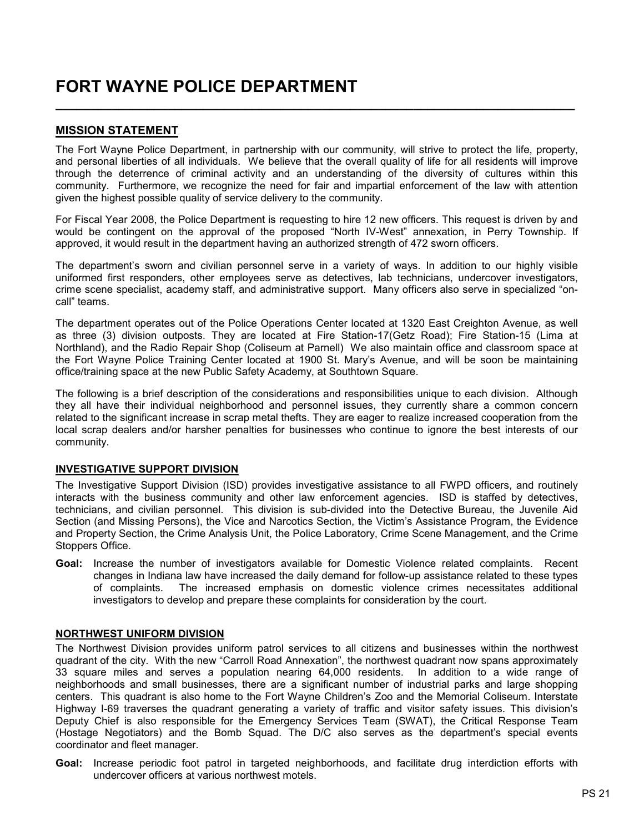# FORT WAYNE POLICE DEPARTMENT

### MISSION STATEMENT

The Fort Wayne Police Department, in partnership with our community, will strive to protect the life, property, and personal liberties of all individuals. We believe that the overall quality of life for all residents will improve through the deterrence of criminal activity and an understanding of the diversity of cultures within this community. Furthermore, we recognize the need for fair and impartial enforcement of the law with attention given the highest possible quality of service delivery to the community.

\_\_\_\_\_\_\_\_\_\_\_\_\_\_\_\_\_\_\_\_\_\_\_\_\_\_\_\_\_\_\_\_\_\_\_\_\_\_\_\_\_\_\_\_\_\_\_\_\_\_\_\_\_\_\_\_\_\_\_\_\_\_\_\_\_\_\_\_\_\_\_\_\_\_

For Fiscal Year 2008, the Police Department is requesting to hire 12 new officers. This request is driven by and would be contingent on the approval of the proposed "North IV-West" annexation, in Perry Township. If approved, it would result in the department having an authorized strength of 472 sworn officers.

The department's sworn and civilian personnel serve in a variety of ways. In addition to our highly visible uniformed first responders, other employees serve as detectives, lab technicians, undercover investigators, crime scene specialist, academy staff, and administrative support. Many officers also serve in specialized "oncall" teams.

The department operates out of the Police Operations Center located at 1320 East Creighton Avenue, as well as three (3) division outposts. They are located at Fire Station-17(Getz Road); Fire Station-15 (Lima at Northland), and the Radio Repair Shop (Coliseum at Parnell) We also maintain office and classroom space at the Fort Wayne Police Training Center located at 1900 St. Mary's Avenue, and will be soon be maintaining office/training space at the new Public Safety Academy, at Southtown Square.

The following is a brief description of the considerations and responsibilities unique to each division. Although they all have their individual neighborhood and personnel issues, they currently share a common concern related to the significant increase in scrap metal thefts. They are eager to realize increased cooperation from the local scrap dealers and/or harsher penalties for businesses who continue to ignore the best interests of our community.

### INVESTIGATIVE SUPPORT DIVISION

The Investigative Support Division (ISD) provides investigative assistance to all FWPD officers, and routinely interacts with the business community and other law enforcement agencies. ISD is staffed by detectives, technicians, and civilian personnel. This division is sub-divided into the Detective Bureau, the Juvenile Aid Section (and Missing Persons), the Vice and Narcotics Section, the Victim's Assistance Program, the Evidence and Property Section, the Crime Analysis Unit, the Police Laboratory, Crime Scene Management, and the Crime Stoppers Office.

Goal: Increase the number of investigators available for Domestic Violence related complaints. Recent changes in Indiana law have increased the daily demand for follow-up assistance related to these types of complaints. The increased emphasis on domestic violence crimes necessitates additional investigators to develop and prepare these complaints for consideration by the court.

#### NORTHWEST UNIFORM DIVISION

The Northwest Division provides uniform patrol services to all citizens and businesses within the northwest quadrant of the city. With the new "Carroll Road Annexation", the northwest quadrant now spans approximately 33 square miles and serves a population nearing 64,000 residents. In addition to a wide range of neighborhoods and small businesses, there are a significant number of industrial parks and large shopping centers. This quadrant is also home to the Fort Wayne Children's Zoo and the Memorial Coliseum. Interstate Highway I-69 traverses the quadrant generating a variety of traffic and visitor safety issues. This division's Deputy Chief is also responsible for the Emergency Services Team (SWAT), the Critical Response Team (Hostage Negotiators) and the Bomb Squad. The D/C also serves as the department's special events coordinator and fleet manager.

Goal: Increase periodic foot patrol in targeted neighborhoods, and facilitate drug interdiction efforts with undercover officers at various northwest motels.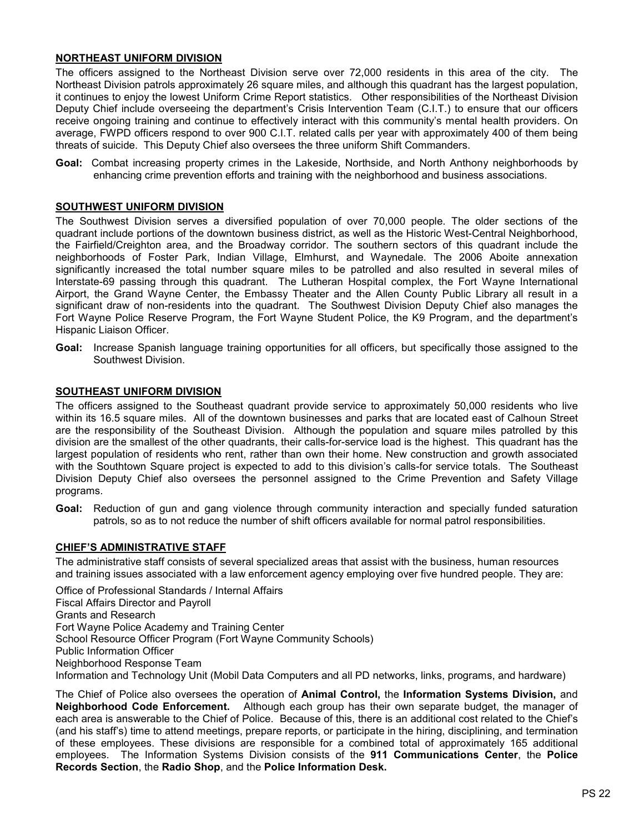#### NORTHEAST UNIFORM DIVISION

The officers assigned to the Northeast Division serve over 72,000 residents in this area of the city. The Northeast Division patrols approximately 26 square miles, and although this quadrant has the largest population, it continues to enjoy the lowest Uniform Crime Report statistics. Other responsibilities of the Northeast Division Deputy Chief include overseeing the department's Crisis Intervention Team (C.I.T.) to ensure that our officers receive ongoing training and continue to effectively interact with this community's mental health providers. On average, FWPD officers respond to over 900 C.I.T. related calls per year with approximately 400 of them being threats of suicide. This Deputy Chief also oversees the three uniform Shift Commanders.

Goal: Combat increasing property crimes in the Lakeside, Northside, and North Anthony neighborhoods by enhancing crime prevention efforts and training with the neighborhood and business associations.

#### SOUTHWEST UNIFORM DIVISION

The Southwest Division serves a diversified population of over 70,000 people. The older sections of the quadrant include portions of the downtown business district, as well as the Historic West-Central Neighborhood, the Fairfield/Creighton area, and the Broadway corridor. The southern sectors of this quadrant include the neighborhoods of Foster Park, Indian Village, Elmhurst, and Waynedale. The 2006 Aboite annexation significantly increased the total number square miles to be patrolled and also resulted in several miles of Interstate-69 passing through this quadrant. The Lutheran Hospital complex, the Fort Wayne International Airport, the Grand Wayne Center, the Embassy Theater and the Allen County Public Library all result in a significant draw of non-residents into the quadrant. The Southwest Division Deputy Chief also manages the Fort Wayne Police Reserve Program, the Fort Wayne Student Police, the K9 Program, and the department's Hispanic Liaison Officer.

Goal: Increase Spanish language training opportunities for all officers, but specifically those assigned to the Southwest Division.

#### SOUTHEAST UNIFORM DIVISION

The officers assigned to the Southeast quadrant provide service to approximately 50,000 residents who live within its 16.5 square miles. All of the downtown businesses and parks that are located east of Calhoun Street are the responsibility of the Southeast Division. Although the population and square miles patrolled by this division are the smallest of the other quadrants, their calls-for-service load is the highest. This quadrant has the largest population of residents who rent, rather than own their home. New construction and growth associated with the Southtown Square project is expected to add to this division's calls-for service totals. The Southeast Division Deputy Chief also oversees the personnel assigned to the Crime Prevention and Safety Village programs.

Goal: Reduction of gun and gang violence through community interaction and specially funded saturation patrols, so as to not reduce the number of shift officers available for normal patrol responsibilities.

#### CHIEF'S ADMINISTRATIVE STAFF

The administrative staff consists of several specialized areas that assist with the business, human resources and training issues associated with a law enforcement agency employing over five hundred people. They are:

Office of Professional Standards / Internal Affairs Fiscal Affairs Director and Payroll Grants and Research Fort Wayne Police Academy and Training Center School Resource Officer Program (Fort Wayne Community Schools) Public Information Officer Neighborhood Response Team Information and Technology Unit (Mobil Data Computers and all PD networks, links, programs, and hardware)

The Chief of Police also oversees the operation of Animal Control, the Information Systems Division, and Neighborhood Code Enforcement. Although each group has their own separate budget, the manager of each area is answerable to the Chief of Police. Because of this, there is an additional cost related to the Chief's (and his staff's) time to attend meetings, prepare reports, or participate in the hiring, disciplining, and termination of these employees. These divisions are responsible for a combined total of approximately 165 additional employees. The Information Systems Division consists of the 911 Communications Center, the Police Records Section, the Radio Shop, and the Police Information Desk.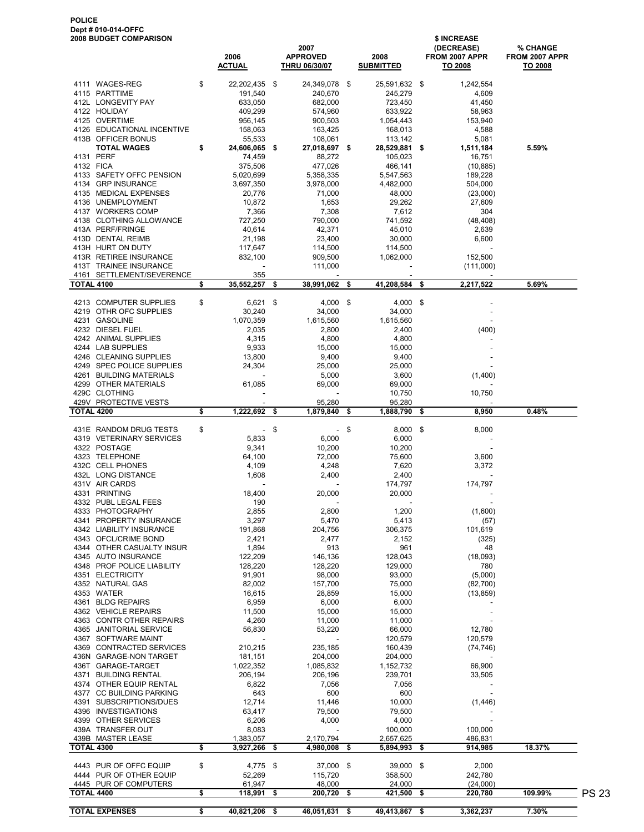| POLICE                     |  |
|----------------------------|--|
| <b>Dept # 010-014-OFFC</b> |  |
| 2008 BUDGET COMPARISON     |  |

| <b>2008 BUDGET COMPARISON</b>                       | 2006<br><b>ACTUAL</b>        | 2007<br><b>APPROVED</b><br><b>THRU 06/30/07</b> |      | 2008<br><b>SUBMITTED</b> |     | \$ INCREASE<br>(DECREASE)<br>FROM 2007 APPR<br>TO 2008 | % CHANGE<br>FROM 2007 APPR<br><b>TO 2008</b> |              |
|-----------------------------------------------------|------------------------------|-------------------------------------------------|------|--------------------------|-----|--------------------------------------------------------|----------------------------------------------|--------------|
| 4111 WAGES-REG                                      | \$<br>22,202,435 \$          | 24,349,078 \$                                   |      | 25,591,632 \$            |     | 1,242,554                                              |                                              |              |
| 4115 PARTTIME                                       | 191,540                      | 240,670                                         |      | 245,279                  |     | 4,609                                                  |                                              |              |
| 412L LONGEVITY PAY                                  | 633,050                      | 682,000                                         |      | 723,450                  |     | 41,450                                                 |                                              |              |
| 4122 HOLIDAY                                        | 409,299                      | 574,960                                         |      | 633,922                  |     | 58,963                                                 |                                              |              |
| 4125 OVERTIME<br>4126 EDUCATIONAL INCENTIVE         | 956,145<br>158,063           | 900,503<br>163,425                              |      | 1,054,443<br>168,013     |     | 153,940<br>4,588                                       |                                              |              |
| 413B OFFICER BONUS                                  | 55,533                       | 108,061                                         |      | 113,142                  |     | 5,081                                                  |                                              |              |
| <b>TOTAL WAGES</b>                                  | \$<br>24,606,065 \$          | 27,018,697 \$                                   |      | 28,529,881 \$            |     | 1,511,184                                              | 5.59%                                        |              |
| 4131 PERF                                           | 74,459                       | 88,272                                          |      | 105,023                  |     | 16,751                                                 |                                              |              |
| 4132 FICA                                           | 375,506                      | 477,026                                         |      | 466,141                  |     | (10, 885)                                              |                                              |              |
| 4133 SAFETY OFFC PENSION<br>4134 GRP INSURANCE      | 5,020,699<br>3,697,350       | 5,358,335<br>3,978,000                          |      | 5,547,563<br>4,482,000   |     | 189,228<br>504,000                                     |                                              |              |
| 4135 MEDICAL EXPENSES                               | 20,776                       | 71,000                                          |      | 48,000                   |     | (23,000)                                               |                                              |              |
| 4136 UNEMPLOYMENT                                   | 10,872                       | 1,653                                           |      | 29,262                   |     | 27,609                                                 |                                              |              |
| 4137 WORKERS COMP                                   | 7,366                        | 7,308                                           |      | 7,612                    |     | 304                                                    |                                              |              |
| 4138 CLOTHING ALLOWANCE                             | 727,250                      | 790,000                                         |      | 741,592                  |     | (48, 408)                                              |                                              |              |
| 413A PERF/FRINGE<br>413D DENTAL REIMB               | 40,614<br>21,198             | 42,371<br>23,400                                |      | 45,010<br>30,000         |     | 2,639<br>6,600                                         |                                              |              |
| 413H HURT ON DUTY                                   | 117,647                      | 114,500                                         |      | 114,500                  |     |                                                        |                                              |              |
| 413R RETIREE INSURANCE                              | 832,100                      | 909,500                                         |      | 1,062,000                |     | 152,500                                                |                                              |              |
| 413T TRAINEE INSURANCE                              | $\overline{\phantom{a}}$     | 111,000                                         |      |                          |     | (111,000)                                              |                                              |              |
| 4161 SETTLEMENT/SEVERENCE                           | 355                          |                                                 |      |                          |     |                                                        |                                              |              |
| <b>TOTAL 4100</b>                                   | \$<br>35,552,257 \$          | 38,991,062                                      | \$   | 41,208,584               | -\$ | 2,217,522                                              | 5.69%                                        |              |
| 4213 COMPUTER SUPPLIES                              | \$<br>$6,621$ \$             | $4,000$ \$                                      |      | $4,000$ \$               |     |                                                        |                                              |              |
| 4219 OTHR OFC SUPPLIES                              | 30,240                       | 34,000                                          |      | 34,000                   |     |                                                        |                                              |              |
| 4231 GASOLINE                                       | 1,070,359                    | 1,615,560                                       |      | 1,615,560                |     |                                                        |                                              |              |
| 4232 DIESEL FUEL                                    | 2,035                        | 2,800                                           |      | 2,400                    |     | (400)                                                  |                                              |              |
| 4242 ANIMAL SUPPLIES                                | 4,315                        | 4,800                                           |      | 4,800                    |     |                                                        |                                              |              |
| 4244 LAB SUPPLIES<br>4246 CLEANING SUPPLIES         | 9,933<br>13,800              | 15,000<br>9,400                                 |      | 15,000<br>9,400          |     |                                                        |                                              |              |
| 4249 SPEC POLICE SUPPLIES                           | 24,304                       | 25,000                                          |      | 25,000                   |     |                                                        |                                              |              |
| 4261 BUILDING MATERIALS                             |                              | 5,000                                           |      | 3,600                    |     | (1,400)                                                |                                              |              |
| 4299 OTHER MATERIALS                                | 61,085                       | 69,000                                          |      | 69,000                   |     |                                                        |                                              |              |
| 429C CLOTHING                                       |                              |                                                 |      | 10,750                   |     | 10,750                                                 |                                              |              |
| 429V PROTECTIVE VESTS<br><b>TOTAL 4200</b>          | \$<br>$\sim$<br>1,222,692 \$ | 95,280<br>1,879,840                             | -\$  | 95,280<br>1,888,790      | \$  | 8,950                                                  | 0.48%                                        |              |
|                                                     |                              |                                                 |      |                          |     |                                                        |                                              |              |
| 431E RANDOM DRUG TESTS                              | \$<br>$\sim$ $-$             | \$                                              | - \$ | $8,000$ \$               |     | 8,000                                                  |                                              |              |
| 4319 VETERINARY SERVICES                            | 5,833                        | 6,000                                           |      | 6,000                    |     |                                                        |                                              |              |
| 4322 POSTAGE                                        | 9,341                        | 10,200                                          |      | 10,200                   |     |                                                        |                                              |              |
| 4323 TELEPHONE<br>432C CELL PHONES                  | 64,100<br>4,109              | 72,000<br>4,248                                 |      | 75,600<br>7,620          |     | 3,600<br>3,372                                         |                                              |              |
| 432L LONG DISTANCE                                  | 1,608                        | 2,400                                           |      | 2,400                    |     |                                                        |                                              |              |
| 431V AIR CARDS                                      |                              |                                                 |      | 174,797                  |     | 174,797                                                |                                              |              |
| 4331 PRINTING                                       | 18,400                       | 20,000                                          |      | 20,000                   |     |                                                        |                                              |              |
| 4332 PUBL LEGAL FEES                                | 190                          | $\overline{\phantom{a}}$                        |      | $\overline{\phantom{a}}$ |     | $\overline{a}$                                         |                                              |              |
| 4333 PHOTOGRAPHY<br>4341 PROPERTY INSURANCE         | 2,855<br>3,297               | 2,800<br>5,470                                  |      | 1,200                    |     | (1,600)                                                |                                              |              |
| 4342 LIABILITY INSURANCE                            | 191,868                      | 204,756                                         |      | 5,413<br>306,375         |     | (57)<br>101,619                                        |                                              |              |
| 4343 OFCL/CRIME BOND                                | 2,421                        | 2,477                                           |      | 2,152                    |     | (325)                                                  |                                              |              |
| 4344 OTHER CASUALTY INSUR                           | 1,894                        | 913                                             |      | 961                      |     | 48                                                     |                                              |              |
| 4345 AUTO INSURANCE                                 | 122,209                      | 146,136                                         |      | 128,043                  |     | (18,093)                                               |                                              |              |
| 4348 PROF POLICE LIABILITY<br>4351 ELECTRICITY      | 128,220                      | 128,220                                         |      | 129,000                  |     | 780                                                    |                                              |              |
| 4352 NATURAL GAS                                    | 91,901<br>82,002             | 98,000<br>157,700                               |      | 93,000<br>75,000         |     | (5,000)<br>(82,700)                                    |                                              |              |
| 4353 WATER                                          | 16,615                       | 28,859                                          |      | 15,000                   |     | (13, 859)                                              |                                              |              |
| 4361 BLDG REPAIRS                                   | 6,959                        | 6,000                                           |      | 6,000                    |     |                                                        |                                              |              |
| 4362 VEHICLE REPAIRS                                | 11,500                       | 15,000                                          |      | 15,000                   |     |                                                        |                                              |              |
| 4363 CONTR OTHER REPAIRS                            | 4,260                        | 11,000                                          |      | 11,000                   |     |                                                        |                                              |              |
| 4365 JANITORIAL SERVICE<br>4367 SOFTWARE MAINT      | 56,830                       | 53,220                                          |      | 66,000<br>120,579        |     | 12,780<br>120,579                                      |                                              |              |
| 4369 CONTRACTED SERVICES                            | 210,215                      | 235,185                                         |      | 160,439                  |     | (74, 746)                                              |                                              |              |
| 436N GARAGE-NON TARGET                              | 181,151                      | 204,000                                         |      | 204,000                  |     |                                                        |                                              |              |
| 436T GARAGE-TARGET                                  | 1,022,352                    | 1,085,832                                       |      | 1,152,732                |     | 66,900                                                 |                                              |              |
| 4371 BUILDING RENTAL                                | 206,194                      | 206,196                                         |      | 239,701                  |     | 33,505                                                 |                                              |              |
| 4374 OTHER EQUIP RENTAL                             | 6,822                        | 7,056                                           |      | 7,056<br>600             |     |                                                        |                                              |              |
| 4377 CC BUILDING PARKING<br>4391 SUBSCRIPTIONS/DUES | 643<br>12,714                | 600<br>11,446                                   |      | 10,000                   |     | (1, 446)                                               |                                              |              |
| 4396 INVESTIGATIONS                                 | 63,417                       | 79,500                                          |      | 79,500                   |     |                                                        |                                              |              |
| 4399 OTHER SERVICES                                 | 6,206                        | 4,000                                           |      | 4,000                    |     |                                                        |                                              |              |
| 439A TRANSFER OUT                                   | 8,083                        |                                                 |      | 100,000                  |     | 100,000                                                |                                              |              |
| 439B MASTER LEASE                                   | 1,383,057                    | 2,170,794                                       |      | 2,657,625                |     | 486,831                                                |                                              |              |
| <b>TOTAL 4300</b>                                   | \$<br>3,927,266              | \$<br>4,980,008                                 | -\$  | 5,894,993                | \$  | 914,985                                                | 18.37%                                       |              |
| 4443 PUR OF OFFC EQUIP                              | \$<br>4,775 \$               | 37,000 \$                                       |      | 39,000 \$                |     | 2,000                                                  |                                              |              |
| 4444 PUR OF OTHER EQUIP                             | 52,269                       | 115,720                                         |      | 358,500                  |     | 242,780                                                |                                              |              |
| 4445 PUR OF COMPUTERS                               | 61,947                       | 48,000                                          |      | 24,000                   |     | (24,000)                                               |                                              |              |
| <b>TOTAL 4400</b>                                   | \$<br>118,991                | \$<br>200,720                                   | -\$  | 421,500                  | \$  | 220,780                                                | 109.99%                                      | <b>PS 23</b> |
| <b>TOTAL EXPENSES</b>                               | \$<br>40,821,206 \$          | 46,051,631 \$                                   |      | 49,413,867 \$            |     | 3,362,237                                              | 7.30%                                        |              |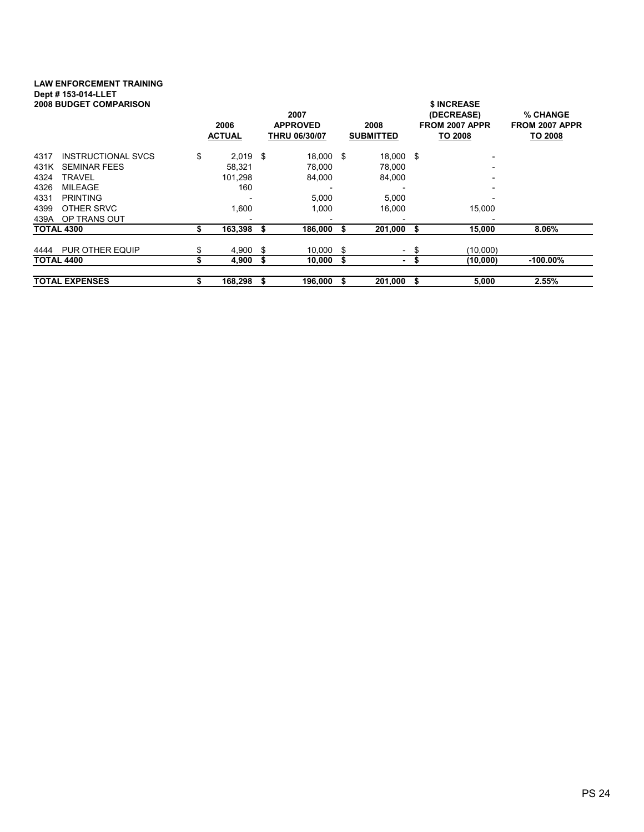# LAW ENFORCEMENT TRAINING Dept # 153-014-LLET

| <b>2008 BUDGET COMPARISON</b> | 2006<br><b>ACTUAL</b> |    | 2007<br><b>APPROVED</b><br>THRU 06/30/07 |      | 2008<br><b>SUBMITTED</b> |     | \$ INCREASE<br>(DECREASE)<br>FROM 2007 APPR<br>TO 2008 | % CHANGE<br>FROM 2007 APPR<br>TO 2008 |
|-------------------------------|-----------------------|----|------------------------------------------|------|--------------------------|-----|--------------------------------------------------------|---------------------------------------|
| INSTRUCTIONAL SVCS<br>4317    | \$<br>$2,019$ \$      |    | 18,000 \$                                |      | 18,000 \$                |     |                                                        |                                       |
| 431K<br><b>SEMINAR FEES</b>   | 58,321                |    | 78,000                                   |      | 78,000                   |     |                                                        |                                       |
| 4324<br>TRAVEL                | 101,298               |    | 84.000                                   |      | 84,000                   |     |                                                        |                                       |
| 4326<br>MILEAGE               | 160                   |    |                                          |      |                          |     |                                                        |                                       |
| 4331<br><b>PRINTING</b>       |                       |    | 5,000                                    |      | 5,000                    |     |                                                        |                                       |
| 4399<br>OTHER SRVC            | 1,600                 |    | 1,000                                    |      | 16,000                   |     | 15,000                                                 |                                       |
| OP TRANS OUT<br>439A          |                       |    |                                          |      |                          |     |                                                        |                                       |
| <b>TOTAL 4300</b>             | 163,398               |    | 186,000                                  |      | 201,000                  |     | 15,000                                                 | 8.06%                                 |
| PUR OTHER EQUIP<br>4444       | \$<br>4,900           | \$ | 10.000                                   | - \$ | $\overline{\phantom{a}}$ | -\$ | (10,000)                                               |                                       |
| <b>TOTAL 4400</b>             | \$<br>4,900           | S  | 10.000                                   | Ŝ.   | $\sim$                   | -\$ | (10,000)                                               | $-100.00\%$                           |
| <b>TOTAL EXPENSES</b>         | 168,298               |    | 196,000                                  |      | 201,000                  | \$  | 5,000                                                  | 2.55%                                 |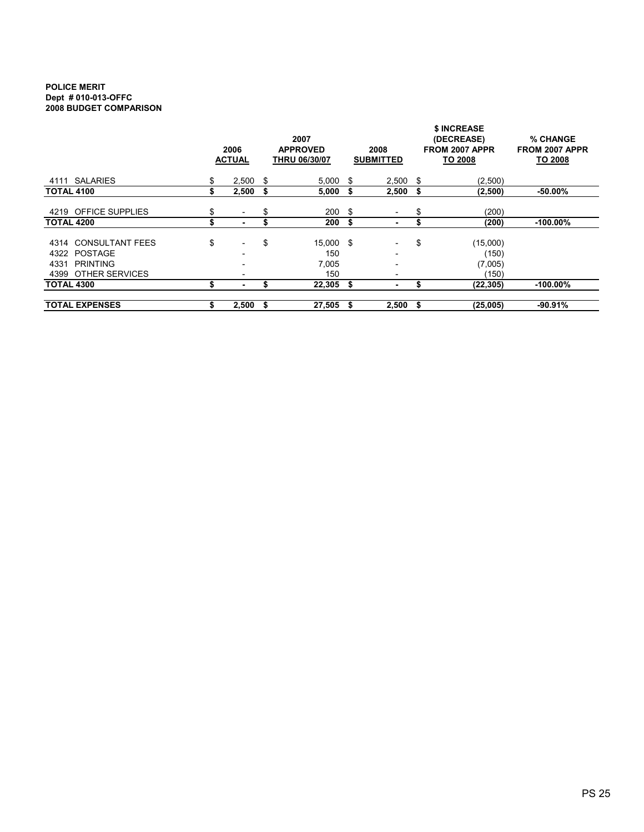#### POLICE MERIT Dept # 010-013-OFFC 2008 BUDGET COMPARISON

|                                                |                       |                                                 |      |                          |      | \$ INCREASE                             |                                              |
|------------------------------------------------|-----------------------|-------------------------------------------------|------|--------------------------|------|-----------------------------------------|----------------------------------------------|
|                                                | 2006<br><b>ACTUAL</b> | 2007<br><b>APPROVED</b><br><b>THRU 06/30/07</b> |      | 2008<br><b>SUBMITTED</b> |      | (DECREASE)<br>FROM 2007 APPR<br>TO 2008 | % CHANGE<br>FROM 2007 APPR<br><b>TO 2008</b> |
| <b>SALARIES</b><br>4111                        | \$<br>$2,500$ \$      | 5,000                                           | \$.  | 2,500                    | - \$ | (2,500)                                 |                                              |
| <b>TOTAL 4100</b>                              | 2,500                 | \$<br>5,000                                     | \$   | 2,500                    | \$   | (2,500)                                 | $-50.00\%$                                   |
| 4219 OFFICE SUPPLIES                           | \$                    | \$<br>200                                       | -\$  |                          | \$   | (200)                                   |                                              |
| <b>TOTAL 4200</b>                              |                       | 200                                             | \$   | ۰                        | \$   | (200)                                   | $-100.00\%$                                  |
| 4314 CONSULTANT FEES<br>POSTAGE<br>4322        | \$                    | \$<br>15,000<br>150                             | - \$ | $\overline{\phantom{a}}$ | \$   | (15,000)<br>(150)                       |                                              |
| 4331<br><b>PRINTING</b><br>4399 OTHER SERVICES |                       | 7,005<br>150                                    |      |                          |      | (7,005)<br>(150)                        |                                              |
| <b>TOTAL 4300</b>                              |                       | 22,305                                          | \$   |                          | S    | (22, 305)                               | $-100.00\%$                                  |
| <b>TOTAL EXPENSES</b>                          | 2,500                 | \$<br>27,505                                    | \$   | 2,500                    | \$   | (25,005)                                | $-90.91%$                                    |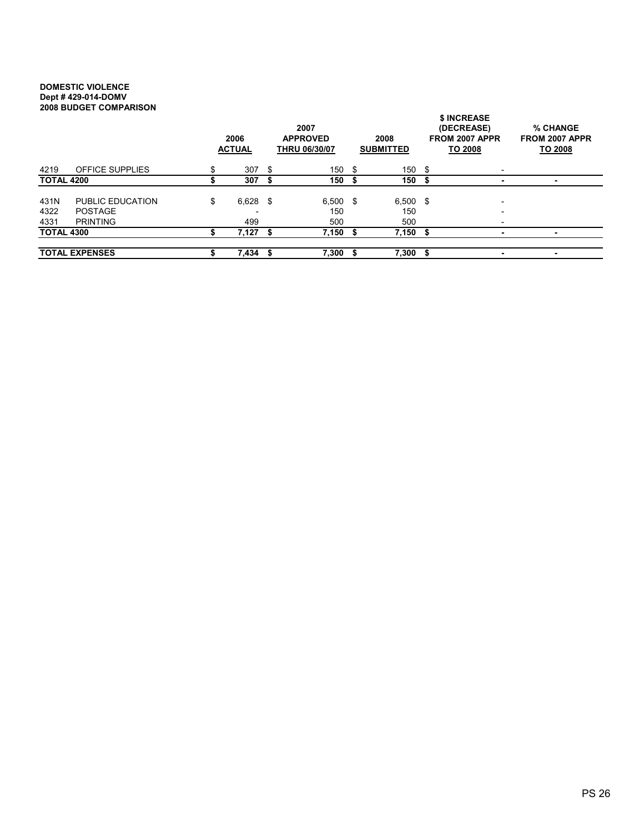#### DOMESTIC VIOLENCE Dept # 429-014-DOMV 2008 BUDGET COMPARISON

|                   | <b>AUUU DUDULI UUMI ANUUN</b> | 2006<br><b>ACTUAL</b> |      | 2007<br><b>APPROVED</b><br><b>THRU 06/30/07</b> | 2008<br><b>SUBMITTED</b> |      | \$ INCREASE<br>(DECREASE)<br>FROM 2007 APPR<br>TO 2008 | % CHANGE<br>FROM 2007 APPR<br>TO 2008 |
|-------------------|-------------------------------|-----------------------|------|-------------------------------------------------|--------------------------|------|--------------------------------------------------------|---------------------------------------|
| 4219              | <b>OFFICE SUPPLIES</b>        | 307                   | - \$ | 150 \$                                          | 150                      | - \$ | $\overline{\phantom{a}}$                               |                                       |
| <b>TOTAL 4200</b> |                               | 307                   |      | 150                                             | 150                      |      |                                                        | ۰                                     |
| 431N              | PUBLIC EDUCATION              | \$<br>$6,628$ \$      |      | $6.500$ \$                                      | $6.500$ \$               |      | $\overline{\phantom{a}}$                               |                                       |
| 4322              | <b>POSTAGE</b>                |                       |      | 150                                             | 150                      |      |                                                        |                                       |
| 4331              | <b>PRINTING</b>               | 499                   |      | 500                                             | 500                      |      |                                                        |                                       |
| <b>TOTAL 4300</b> |                               | 7,127                 | - \$ | $7,150$ \$                                      | 7,150                    | \$   |                                                        |                                       |
|                   | <b>TOTAL EXPENSES</b>         | 7,434 \$              |      | 7,300 \$                                        | 7,300                    | S    |                                                        | ٠                                     |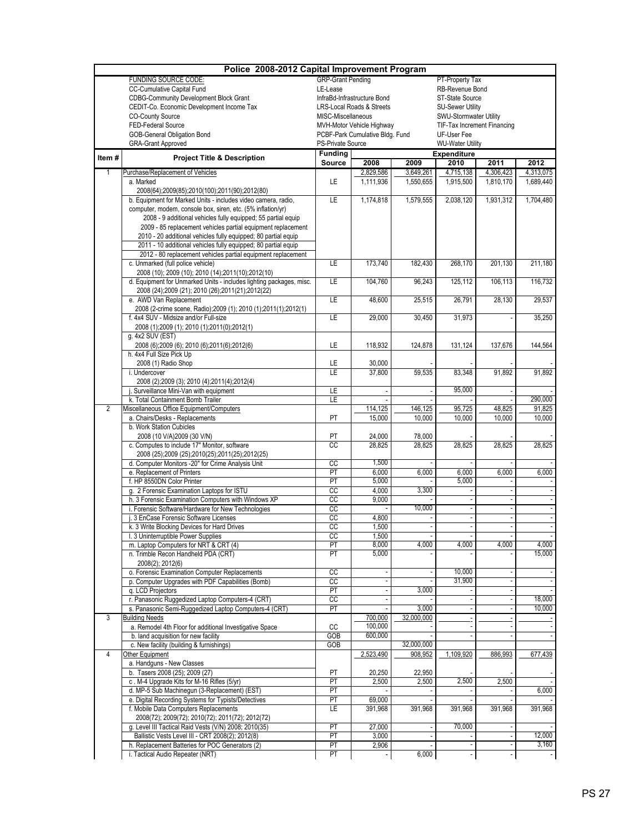|                | Police 2008-2012 Capital Improvement Program                                                                                     |                          |                                                          |                          |                                            |                        |                        |
|----------------|----------------------------------------------------------------------------------------------------------------------------------|--------------------------|----------------------------------------------------------|--------------------------|--------------------------------------------|------------------------|------------------------|
|                | <b>FUNDING SOURCE CODE:</b>                                                                                                      | <b>GRP-Grant Pending</b> |                                                          |                          | PT-Property Tax                            |                        |                        |
|                | CC-Cumulative Capital Fund                                                                                                       | LE-Lease                 |                                                          |                          | RB-Revenue Bond                            |                        |                        |
|                | <b>CDBG-Community Development Block Grant</b><br>CEDIT-Co. Economic Development Income Tax                                       |                          | InfraBd-Infrastructure Bond<br>LRS-Local Roads & Streets |                          | ST-State Source<br><b>SU-Sewer Utility</b> |                        |                        |
|                | <b>CO-County Source</b>                                                                                                          | MISC-Miscellaneous       |                                                          |                          | SWU-Stormwater Utility                     |                        |                        |
|                | FED-Federal Source                                                                                                               |                          | MVH-Motor Vehicle Highway                                |                          | TIF-Tax Increment Financing                |                        |                        |
|                | <b>GOB-General Obligation Bond</b>                                                                                               |                          | PCBF-Park Cumulative Bldg. Fund                          |                          | UF-User Fee                                |                        |                        |
|                | <b>GRA-Grant Approved</b>                                                                                                        | PS-Private Source        |                                                          |                          | <b>WU-Water Utility</b>                    |                        |                        |
| Item#          | <b>Project Title &amp; Description</b>                                                                                           | <b>Funding</b>           |                                                          |                          | <b>Expenditure</b>                         |                        |                        |
|                |                                                                                                                                  | <b>Source</b>            | 2008                                                     | 2009                     | 2010                                       | 2011                   | 2012                   |
| $\mathbf{1}$   | Purchase/Replacement of Vehicles<br>a. Marked                                                                                    | LE                       | 2.829,586<br>1,111,936                                   | 3,649,261<br>1,550,655   | 4,715,138<br>1,915,500                     | 4,306,423<br>1,810,170 | 4,313,075<br>1,689,440 |
|                | 2008(64);2009(85);2010(100);2011(90);2012(80)                                                                                    |                          |                                                          |                          |                                            |                        |                        |
|                | b. Equipment for Marked Units - includes video camera, radio,                                                                    | LE                       | 1,174,818                                                | 1,579,555                | 2,038,120                                  | 1,931,312              | 1,704,480              |
|                | computer, modem, console box, siren, etc. (5% inflation/yr)                                                                      |                          |                                                          |                          |                                            |                        |                        |
|                | 2008 - 9 additional vehicles fully equipped; 55 partial equip                                                                    |                          |                                                          |                          |                                            |                        |                        |
|                | 2009 - 85 replacement vehicles partial equipment replacement                                                                     |                          |                                                          |                          |                                            |                        |                        |
|                | 2010 - 20 additional vehicles fully equipped; 80 partial equip<br>2011 - 10 additional vehicles fully equipped; 80 partial equip |                          |                                                          |                          |                                            |                        |                        |
|                | 2012 - 80 replacement vehicles partial equipment replacement                                                                     |                          |                                                          |                          |                                            |                        |                        |
|                | c. Unmarked (full police vehicle)                                                                                                | LE                       | 173,740                                                  | 182,430                  | 268,170                                    | 201,130                | 211,180                |
|                | 2008 (10); 2009 (10); 2010 (14); 2011(10); 2012(10)                                                                              |                          |                                                          |                          |                                            |                        |                        |
|                | d. Equipment for Unmarked Units - includes lighting packages, misc.                                                              | LE                       | 104,760                                                  | 96,243                   | 125.112                                    | 106,113                | 116,732                |
|                | 2008 (24);2009 (21); 2010 (26);2011(21);2012(22)                                                                                 |                          |                                                          |                          |                                            |                        |                        |
|                | e. AWD Van Replacement                                                                                                           | LE                       | 48,600                                                   | 25,515                   | 26,791                                     | 28.130                 | 29,537                 |
|                | 2008 (2-crime scene, Radio);2009 (1); 2010 (1);2011(1);2012(1)<br>f. 4x4 SUV - Midsize and/or Full-size                          | <b>LE</b>                | 29,000                                                   | 30,450                   | 31,973                                     |                        | 35,250                 |
|                | 2008 (1);2009 (1); 2010 (1);2011(0);2012(1)                                                                                      |                          |                                                          |                          |                                            |                        |                        |
|                | g. 4x2 SUV (EST)                                                                                                                 |                          |                                                          |                          |                                            |                        |                        |
|                | 2008 (6);2009 (6); 2010 (6);2011(6);2012(6)                                                                                      | LE                       | 118,932                                                  | 124,878                  | 131,124                                    | 137,676                | 144,564                |
|                | h. 4x4 Full Size Pick Up                                                                                                         |                          |                                                          |                          |                                            |                        |                        |
|                | 2008 (1) Radio Shop                                                                                                              | LE<br>LE                 | 30,000                                                   | 59,535                   |                                            | 91,892                 | 91,892                 |
|                | i. Undercover<br>2008 (2);2009 (3); 2010 (4);2011(4);2012(4)                                                                     |                          | 37,800                                                   |                          | 83,348                                     |                        |                        |
|                | Surveillance Mini-Van with equipment                                                                                             | LE                       |                                                          |                          | 95,000                                     |                        |                        |
|                | k. Total Containment Bomb Trailer                                                                                                | LE                       |                                                          |                          |                                            |                        | 290,000                |
| $\overline{2}$ | Miscellaneous Office Equipment/Computers                                                                                         |                          | 114,125                                                  | 146,125                  | 95,725                                     | 48,825                 | 91,825                 |
|                | a. Chairs/Desks - Replacements                                                                                                   | PT                       | 15,000                                                   | 10,000                   | 10,000                                     | 10,000                 | 10,000                 |
|                | b. Work Station Cubicles                                                                                                         |                          |                                                          |                          |                                            |                        |                        |
|                | 2008 (10 V/A) 2009 (30 V/N)<br>c. Computes to include 17" Monitor, software                                                      | PT<br>CC                 | 24,000<br>28,825                                         | 78,000<br>28,825         | 28,825                                     | 28,825                 | 28,825                 |
|                | 2008 (25);2009 (25);2010(25);2011(25);2012(25)                                                                                   |                          |                                                          |                          |                                            |                        |                        |
|                | d. Computer Monitors -20" for Crime Analysis Unit                                                                                | CC                       | 1,500                                                    |                          |                                            |                        |                        |
|                | e. Replacement of Printers                                                                                                       | PT                       | 6,000                                                    | 6,000                    | 6,000                                      | 6,000                  | 6,000                  |
|                | f. HP 8550DN Color Printer                                                                                                       | PT                       | 5,000                                                    |                          | 5,000                                      |                        |                        |
|                | g. 2 Forensic Examination Laptops for ISTU                                                                                       | CC                       | 4,000                                                    | 3,300                    |                                            |                        |                        |
|                | h. 3 Forensic Examination Computers with Windows XP<br>i. Forensic Software/Hardware for New Technologies                        | cc<br>cc                 | 9,000                                                    | 10,000                   |                                            |                        |                        |
|                | j. 3 EnCase Forensic Software Licenses                                                                                           | cc                       | 4,800                                                    |                          |                                            |                        |                        |
|                | k. 3 Write Blocking Devices for Hard Drives                                                                                      | cc                       | 1,500                                                    | ÷,                       |                                            |                        | $\blacksquare$         |
|                | I. 3 Uninterruptible Power Supplies                                                                                              | cc                       | 1,500                                                    |                          |                                            |                        |                        |
|                | m. Laptop Computers for NRT & CRT (4)                                                                                            | PT                       | 8,000                                                    | 4,000                    | 4,000                                      | 4,000                  | 4,000                  |
|                | n. Trimble Recon Handheld PDA (CRT)                                                                                              | PT                       | 5,000                                                    |                          |                                            |                        | 15,000                 |
|                | 2008(2); 2012(6)                                                                                                                 |                          |                                                          |                          | 10,000                                     |                        |                        |
|                | o. Forensic Examination Computer Replacements<br>p. Computer Upgrades with PDF Capabilities (Bomb)                               | CC<br>cc                 |                                                          |                          | 31,900                                     |                        |                        |
|                | q. LCD Projectors                                                                                                                | PT                       |                                                          | 3,000                    |                                            |                        |                        |
|                | r. Panasonic Ruggedized Laptop Computers-4 (CRT)                                                                                 | cc                       |                                                          |                          |                                            |                        | 18,000                 |
|                | s. Panasonic Semi-Ruggedized Laptop Computers-4 (CRT)                                                                            | PT                       |                                                          | 3,000                    |                                            |                        | 10,000                 |
| 3              | <b>Building Needs</b>                                                                                                            |                          | 700,000                                                  | 32,000,000               |                                            |                        |                        |
|                | a. Remodel 4th Floor for additional Investigative Space                                                                          | CC                       | 100,000                                                  |                          |                                            |                        |                        |
|                | b. land acquisition for new facility<br>c. New facility (building & furnishings)                                                 | GOB<br>GOB               | 600,000                                                  | 32,000,000               |                                            |                        |                        |
| 4              | Other Equipment                                                                                                                  |                          | 2,523,490                                                | 908,952                  | 1,109,920                                  | 886,993                | 677,439                |
|                | a. Handguns - New Classes                                                                                                        |                          |                                                          |                          |                                            |                        |                        |
|                | b. Tasers 2008 (25); 2009 (27)                                                                                                   | PT                       | 20,250                                                   | 22,950                   |                                            |                        |                        |
|                | c. M-4 Upgrade Kits for M-16 Rifles (5/yr)                                                                                       | PT                       | 2,500                                                    | 2,500                    | 2,500                                      | 2,500                  |                        |
|                | d. MP-5 Sub Machinegun (3-Replacement) (EST)                                                                                     | PT                       |                                                          |                          |                                            |                        | 6,000                  |
|                | e. Digital Recording Systems for Typists/Detectives                                                                              | PT<br>LE                 | 69,000                                                   | 391,968                  |                                            |                        | 391,968                |
|                | f. Mobile Data Computers Replacements<br>2008(72); 2009(72); 2010(72); 2011(72); 2012(72)                                        |                          | 391,968                                                  |                          | 391,968                                    | 391,968                |                        |
|                | g. Level III Tactical Raid Vests (V/N) 2008; 2010(35)                                                                            | PT                       | 27,000                                                   | $\overline{\phantom{a}}$ | 70,000                                     |                        |                        |
|                | Ballistic Vests Level III - CRT 2008(2); 2012(8)                                                                                 | PT                       | 3,000                                                    | $\overline{a}$           |                                            |                        | 12,000                 |
|                | h. Replacement Batteries for POC Generators (2)                                                                                  | PT                       | 2,906                                                    |                          |                                            |                        | 3,160                  |
|                | i. Tactical Audio Repeater (NRT)                                                                                                 | PT                       |                                                          | 6,000                    |                                            |                        |                        |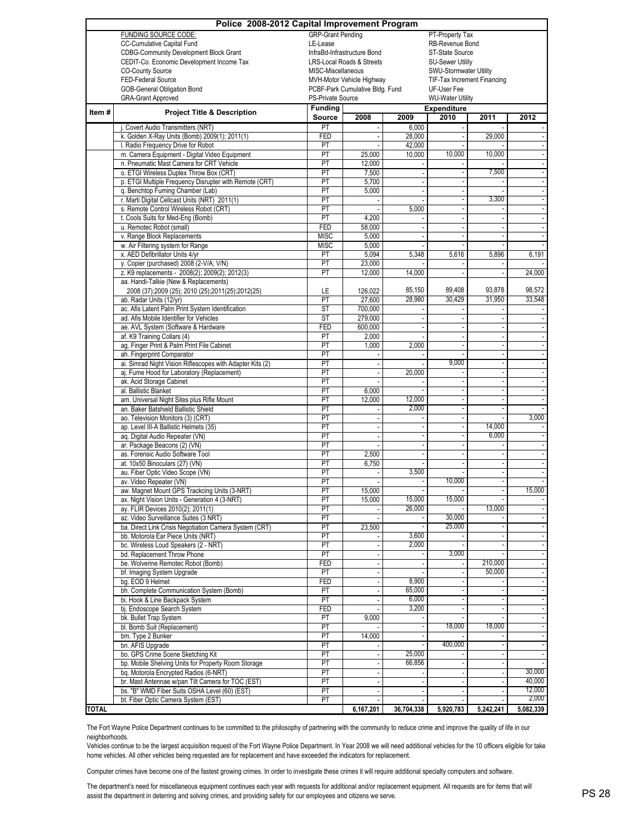|              | Police 2008-2012 Capital Improvement Program                                               |                          |                                                              |            |                                            |           |                                                      |
|--------------|--------------------------------------------------------------------------------------------|--------------------------|--------------------------------------------------------------|------------|--------------------------------------------|-----------|------------------------------------------------------|
|              | FUNDING SOURCE CODE:                                                                       | <b>GRP-Grant Pending</b> |                                                              |            | PT-Property Tax                            |           |                                                      |
|              | CC-Cumulative Capital Fund                                                                 | LE-Lease                 |                                                              |            | RB-Revenue Bond                            |           |                                                      |
|              | <b>CDBG-Community Development Block Grant</b>                                              |                          | InfraBd-Infrastructure Bond                                  |            | ST-State Source                            |           |                                                      |
|              | CEDIT-Co. Economic Development Income Tax                                                  |                          | <b>LRS-Local Roads &amp; Streets</b>                         |            | <b>SU-Sewer Utility</b>                    |           |                                                      |
|              | <b>CO-County Source</b>                                                                    | MISC-Miscellaneous       |                                                              |            | SWU-Stormwater Utility                     |           |                                                      |
|              | FED-Federal Source<br>GOB-General Obligation Bond                                          |                          | MVH-Motor Vehicle Highway<br>PCBF-Park Cumulative Bldg. Fund |            | TIF-Tax Increment Financing<br>UF-User Fee |           |                                                      |
|              | <b>GRA-Grant Approved</b>                                                                  | PS-Private Source        |                                                              |            | <b>WU-Water Utility</b>                    |           |                                                      |
|              |                                                                                            | <b>Funding</b>           |                                                              |            | <b>Expenditure</b>                         |           |                                                      |
| Item#        | <b>Project Title &amp; Description</b>                                                     | Source                   | 2008                                                         | 2009       | 2010                                       | 2011      | 2012                                                 |
|              | j. Covert Audio Transmitters (NRT)                                                         | PT                       |                                                              | 6,000      |                                            |           |                                                      |
|              | k. Golden X-Ray Units (Bomb) 2009(1); 2011(1)                                              | FED                      |                                                              | 28,000     | $\overline{\phantom{a}}$                   | 29,000    | $\overline{\phantom{a}}$                             |
|              | I. Radio Frequency Drive for Robot                                                         | PT                       |                                                              | 42,000     |                                            |           | $\overline{\phantom{a}}$                             |
|              | m. Camera Equipment - Digital Video Equipment                                              | PT                       | 25,000                                                       | 10,000     | 10.000                                     | 10,000    | $\overline{\phantom{a}}$                             |
|              | n. Pneumatic Mast Camera for CRT Vehicle                                                   | PT                       | 12,000                                                       |            |                                            |           |                                                      |
|              | o. ETGI Wireless Duplex Throw Box (CRT)                                                    | PT                       | 7,500                                                        |            |                                            | 7,500     | $\overline{\phantom{a}}$                             |
|              | p. ETGI Multiple Frequency Disrupter with Remote (CRT)                                     | PT                       | 5,700                                                        |            |                                            |           | $\overline{\phantom{a}}$                             |
|              | q. Benchtop Fuming Chamber (Lab)                                                           | PT                       | 5,000                                                        |            |                                            |           | $\sim$                                               |
|              | r. Marti Digital Cellcast Units (NRT) 2011(1)                                              | PT                       |                                                              |            |                                            | 3,300     | $\overline{\phantom{a}}$                             |
|              | s. Remote Control Wireless Robot (CRT)                                                     | PT                       |                                                              | 5,000      |                                            |           | $\overline{\phantom{a}}$                             |
|              | t. Cools Suits for Med-Eng (Bomb)<br>u. Remotec Robot (small)                              | PT<br><b>FED</b>         | 4,200                                                        |            | $\overline{\phantom{a}}$                   |           | $\overline{\phantom{a}}$                             |
|              | v. Range Block Replacements                                                                | <b>MISC</b>              | 58,000<br>5,000                                              |            |                                            |           | $\overline{\phantom{a}}$<br>÷,                       |
|              | w. Air Filtering system for Range                                                          | <b>MISC</b>              | 5,000                                                        |            |                                            |           |                                                      |
|              | x. AED Defibrillator Units 4/yr                                                            | PT                       | 5,094                                                        | 5,348      | 5,616                                      | 5,896     | 6,191                                                |
|              | y. Copier (purchased) 2008 (2-V/A; V/N)                                                    | PT                       | 23,000                                                       |            |                                            |           |                                                      |
|              | z. K9 replacements - 2008(2); 2009(2); 2012(3)                                             | PT                       | 12,000                                                       | 14,000     |                                            |           | 24,000                                               |
|              | aa. Handi-Talkie (New & Replacements)                                                      |                          |                                                              |            |                                            |           |                                                      |
|              | 2008 (37);2009 (25); 2010 (25);2011(25);2012(25)                                           | LE                       | 126,022                                                      | 85,150     | 89,408                                     | 93,878    | 98,572                                               |
|              | ab. Radar Units (12/yr)                                                                    | PT                       | 27,600                                                       | 28,980     | 30,429                                     | 31,950    | 33.548                                               |
|              | ac. Afis Latent Palm Print System Identification                                           | <b>ST</b>                | 700,000                                                      |            |                                            |           |                                                      |
|              | ad. Afis Mobile Identifier for Vehicles                                                    | <b>ST</b>                | 279,000                                                      |            |                                            |           |                                                      |
|              | ae. AVL System (Software & Hardware                                                        | <b>FED</b>               | 600,000                                                      |            |                                            |           | $\sim$                                               |
|              | af. K9 Training Collars (4)<br>ag. Finger Print & Palm Print File Cabinet                  | PT<br>PT                 | 2,000<br>1,000                                               | 2,000      |                                            |           | $\sim$<br>$\overline{\phantom{a}}$                   |
|              | ah. Fingerprint Comparator                                                                 | PT                       |                                                              |            |                                            |           | $\overline{\phantom{a}}$                             |
|              | ai. Simrad Night Vision Riflescopes with Adapter Kits (2)                                  | PT                       |                                                              |            | 9,000                                      |           | $\overline{\phantom{a}}$                             |
|              | aj. Fume Hood for Laboratory (Replacement)                                                 | PT                       | $\overline{\phantom{a}}$                                     | 20,000     |                                            |           |                                                      |
|              | ak. Acid Storage Cabinet                                                                   | PT                       |                                                              |            |                                            |           | $\overline{\phantom{a}}$                             |
|              | al. Ballistic Blanket                                                                      | PT                       | 6,000                                                        |            |                                            |           |                                                      |
|              | am. Universal Night Sites plus Rifle Mount                                                 | PT                       | 12,000                                                       | 12,000     | $\overline{\phantom{a}}$                   |           | $\overline{\phantom{a}}$                             |
|              | an. Baker Batshield Ballistic Shield                                                       | PT                       |                                                              | 2,000      | $\sim$                                     |           | $\sim$                                               |
|              | ao. Television Monitors (3) (CRT)                                                          | PT                       |                                                              |            |                                            |           | 3,000                                                |
|              | ap. Level III-A Ballistic Helmets (35)                                                     | PT                       |                                                              |            |                                            | 14,000    |                                                      |
|              | aq. Digital Audio Repeater (VN)                                                            | PT                       |                                                              |            |                                            | 6,000     | $\overline{\phantom{a}}$                             |
|              | ar. Package Beacons (2) (VN)<br>as. Forensic Audio Software Tool                           | PT<br>PT                 | 2,500                                                        |            |                                            |           | $\overline{\phantom{a}}$                             |
|              | at. 10x50 Binoculars (27) (VN)                                                             | PT                       | 6,750                                                        |            | $\overline{\phantom{a}}$                   |           | $\overline{\phantom{a}}$                             |
|              | au. Fiber Optic Video Scope (VN)                                                           | PT                       |                                                              | 3,500      |                                            |           | $\overline{\phantom{a}}$                             |
|              | av. Video Repeater (VN)                                                                    | PT                       | l,                                                           |            | 10,000                                     |           | $\overline{\phantom{a}}$                             |
|              | aw. Magnet Mount GPS Trackcing Units (3-NRT)                                               | PT                       | 15,000                                                       |            |                                            |           | 15,000                                               |
|              | ax. Night Vision Units - Generation 4 (3-NRT)                                              | PT                       | 15,000                                                       | 15,000     | 15,000                                     |           |                                                      |
|              | ay. FLIR Devices 2010(2); 2011(1)                                                          | PT                       |                                                              | 26,000     |                                            | 13,000    | $\overline{\phantom{a}}$                             |
|              | az. Video Surveillance Suites (3 NRT)                                                      | PT                       |                                                              |            | 30,000                                     |           | $\overline{\phantom{a}}$                             |
|              | ba. Direct Link Crisis Negotiation Camera System (CRT)                                     | PT                       | 23,500                                                       |            | 25,000                                     |           | $\overline{\phantom{a}}$                             |
|              | bb. Motorola Ear Piece Units (NRT)                                                         | PT                       |                                                              | 3,600      |                                            |           | $\overline{\phantom{a}}$                             |
|              | bc. Wireless Loud Speakers (2 - NRT)                                                       | PT                       |                                                              | 2,000      |                                            |           | $\overline{\phantom{a}}$                             |
|              | bd. Replacement Throw Phone<br>be. Wolverine Remotec Robot (Bomb)                          | PT<br>FED                |                                                              |            | 3,000                                      | 210,000   | $\overline{\phantom{a}}$                             |
|              | bf. Imaging System Upgrade                                                                 | PT                       |                                                              |            |                                            | 50,000    | $\overline{\phantom{a}}$<br>$\overline{\phantom{a}}$ |
|              | bg. EOD 9 Helmet                                                                           | FED                      |                                                              | 8,900      |                                            |           | $\overline{\phantom{a}}$                             |
|              | bh. Complete Communication System (Bomb)                                                   | PT                       |                                                              | 65,000     |                                            |           | $\overline{\phantom{a}}$                             |
|              | bi. Hook & Line Backpack System                                                            | PT                       |                                                              | 6,000      |                                            |           | $\overline{\phantom{a}}$                             |
|              | bj. Endoscope Search System                                                                | <b>FED</b>               |                                                              | 3,200      |                                            |           | $\Box$                                               |
|              | bk. Bullet Trap System                                                                     | PT                       | 9,000                                                        |            |                                            |           |                                                      |
|              | bl. Bomb Suit (Replacement)                                                                | PT                       |                                                              |            | 18,000                                     | 18,000    | $\overline{\phantom{a}}$                             |
|              | bm. Type 2 Bunker                                                                          | PT                       | 14,000                                                       |            |                                            |           |                                                      |
|              | bn. AFIS Upgrade                                                                           | PT                       |                                                              |            | 400,000                                    |           |                                                      |
|              | bo. GPS Crime Scene Sketching Kit                                                          | PT                       |                                                              | 25,000     |                                            |           | $\overline{\phantom{a}}$                             |
|              | bp. Mobile Shelving Units for Property Room Storage                                        | PT                       |                                                              | 66,856     |                                            |           | 30,000                                               |
|              | bq. Motorola Encrypted Radios (6-NRT)<br>br. Mast Antennae w/pan Tilt Camera for TOC (EST) | PT<br>PT                 |                                                              |            |                                            |           | 40,000                                               |
|              | bs. "B" WMD Fiber Suits OSHA Level (60) (EST)                                              | PT                       |                                                              |            | $\sim$                                     |           | 12,000                                               |
|              | bt. Fiber Optic Camera System (EST)                                                        | PT                       |                                                              |            |                                            |           | 2,000                                                |
| <b>TOTAL</b> |                                                                                            |                          | 6,167,201                                                    | 36,704,338 | 5,920,783                                  | 5,242,241 | 5,082,339                                            |

The Fort Wayne Police Department continues to be committed to the philosophy of partnering with the community to reduce crime and improve the quality of life in our neighborhoods.

Vehicles continue to be the largest acquisition request of the Fort Wayne Police Department. In Year 2008 we will need additional vehicles for the 10 officers eligible for take home vehicles. All other vehicles being requested are for replacement and have exceeded the indicators for replacement.

Computer crimes have become one of the fastest growing crimes. In order to investigate these crimes it will require additional specialty computers and software.

The department's need for miscellaneous equipment continues each year with requests for additional and/or replacement equipment. All requests are for items that will The departments need for inscenarieous equipment communes each year with requests for additional and/or replacement equipment. An requests are for items that will  $PS\ 28$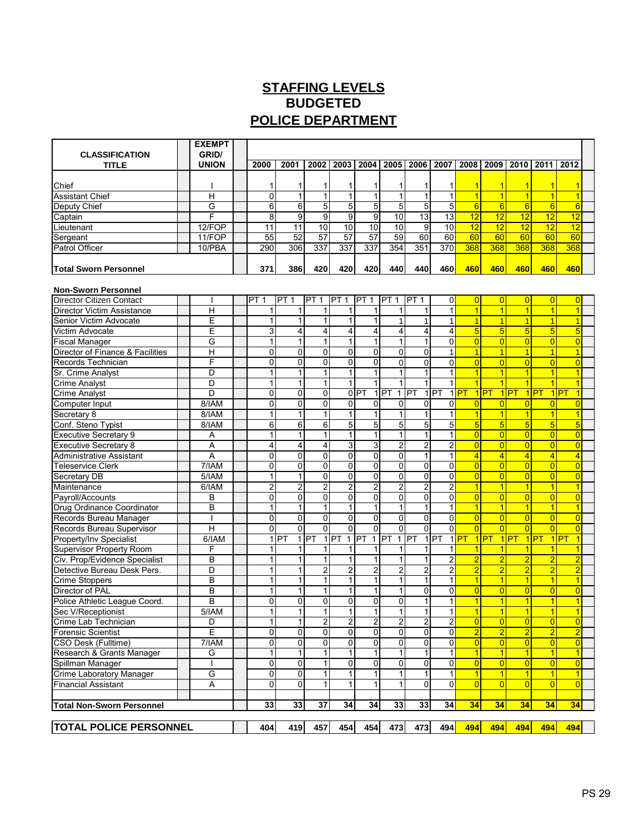# **STAFFING LEVELS POLICE DEPARTMENT BUDGETED**

| <b>CLASSIFICATION</b>            |  | <b>EXEMPT</b><br>GRID/ |                |                |                 |                 |                         |                                        |                         |                 |                |                |                    |                 |                                     |  |
|----------------------------------|--|------------------------|----------------|----------------|-----------------|-----------------|-------------------------|----------------------------------------|-------------------------|-----------------|----------------|----------------|--------------------|-----------------|-------------------------------------|--|
| <b>TITLE</b>                     |  | <b>UNION</b>           | 2000           | 2001           | 2002            |                 | 2003   2004             |                                        | 2005   2006             | 2007            | 2008           | 2009           | 2010               | 2011            | 2012                                |  |
|                                  |  |                        |                |                |                 |                 |                         |                                        |                         |                 |                |                |                    |                 |                                     |  |
| Chief                            |  |                        | 1              | 11             | 1               | 1               | 1                       | 1                                      | 1                       | 1               | 1              | 1              | 1                  |                 |                                     |  |
| <b>Assistant Chief</b>           |  | Η                      | $\mathbf 0$    | $\mathbf{1}$   | 1               | $\mathbf{1}$    | $\mathbf{1}$            | $\mathbf{1}$                           | 1                       | 1               | $\overline{1}$ | $\overline{1}$ | $\overline{1}$     | $\overline{1}$  | $\overline{1}$                      |  |
| Deputy Chief                     |  | G                      | 6              | 6              | 5               | 5 <sup>5</sup>  | 5                       | 5                                      | 5                       | 5               | 6              | 6              | 6                  | 6               | $6\overline{6}$                     |  |
| Captain                          |  | F                      | 8              | 9              | 9               | 9               | 9                       | 10 <sup>1</sup>                        | 13                      | 13              | 12             | 12             | 12                 | 12              | 12                                  |  |
| Lieutenant                       |  | 12/FOP                 | 11             | 11             | 10              | $\overline{10}$ | 10                      | $\overline{10}$                        | 9                       | $\overline{10}$ | 12             | 12             | 12                 | 12              | 12                                  |  |
| Sergeant                         |  | 11/FOP                 | 55             | 52             | 57              | $\overline{57}$ | 57                      | 59                                     | 60                      | 60              | 60             | 60             | 60                 | 60              | 60                                  |  |
| Patrol Officer                   |  | 10/PBA                 | 290            | 306            | 337             | 337             | 337                     | 354                                    | 351                     | 370             | 368            | 368            | 368                | 368             | 368                                 |  |
| <b>Total Sworn Personnel</b>     |  |                        | 371            | 386            | 420             | 420             | 420                     | 440                                    | 440                     | 460             | 460            | 460            | 460                | 460             | 460                                 |  |
|                                  |  |                        |                |                |                 |                 |                         |                                        |                         |                 |                |                |                    |                 |                                     |  |
| <b>Non-Sworn Personnel</b>       |  |                        | PT 1           | PT 1           |                 | PT 1            |                         | PT 1                                   |                         |                 |                |                |                    |                 |                                     |  |
| Director Citizen Contact         |  |                        |                |                | PT <sub>1</sub> |                 | PT <sub>1</sub>         |                                        | PT <sub>1</sub>         | $\overline{0}$  | $\overline{0}$ | 0              | $\mathbf{0}$       | $\overline{0}$  | $\overline{0}$                      |  |
| Director Victim Assistance       |  | H                      | $\mathbf{1}$   | $\mathbf{1}$   | 1               | 1               | 1                       | 1                                      |                         | 1               | $\vert$        | $\vert$        | $\overline{1}$     | $\overline{1}$  | $\overline{1}$                      |  |
| Senior Victim Advocate           |  | E                      | $\mathbf{1}$   | 1              | $\mathbf 1$     | 1               | $\mathbf{1}$            | $\mathbf{1}$                           | 1                       | $\mathbf{1}$    | $\overline{1}$ | $\overline{1}$ | $\overline{1}$     | $\overline{1}$  | $\overline{1}$                      |  |
| Victim Advocate                  |  | E                      | 3              | $\overline{4}$ | 4               | 4               | $\overline{\mathbf{r}}$ | $\overline{\mathbf{r}}$                | 4                       | $\overline{4}$  | $\overline{5}$ | $\overline{5}$ | 5                  | 5               | 5                                   |  |
| <b>Fiscal Manager</b>            |  | G                      | $\mathbf{1}$   | 1              | 1               | 1               | $\mathbf{1}$            | $\mathbf{1}$                           | 1                       | $\overline{0}$  | $\overline{0}$ | $\overline{0}$ | $\overline{0}$     | $\overline{0}$  | $\overline{0}$                      |  |
| Director of Finance & Facilities |  | $\overline{H}$         | $\mathbf 0$    | $\overline{0}$ | 0               | $\overline{0}$  | $\overline{0}$          | $\overline{0}$                         | $\mathbf 0$             | 1               | $\overline{1}$ | $\overline{1}$ | $\overline{1}$     | 1               | $\overline{1}$                      |  |
| Records Technician               |  | F                      | 0              | $\overline{0}$ | $\Omega$        | $\overline{0}$  | 0                       | $\overline{0}$                         | $\mathbf 0$             | $\overline{0}$  | $\overline{0}$ | $\overline{0}$ | $\overline{0}$     | $\overline{0}$  | $\overline{0}$                      |  |
| Sr. Crime Analyst                |  | D                      | $\mathbf{1}$   | $\mathbf{1}$   | $\mathbf{1}$    | 1               | $\mathbf{1}$            | $\mathbf{1}$                           | 1                       | $\mathbf{1}$    | $\overline{1}$ | $\vert$        | $\overline{1}$     | $\overline{1}$  | $\overline{1}$                      |  |
| Crime Analyst                    |  | D                      | $\mathbf{1}$   | 1              | $\mathbf{1}$    | $\mathbf{1}$    | $\mathbf{1}$            | 1                                      | 1                       | $\mathbf{1}$    | $\vert$        | $\vert$        | $\overline{1}$     | $\overline{1}$  | $\overline{1}$                      |  |
| <b>Crime Analyst</b>             |  | D                      | $\mathbf 0$    | $\overline{0}$ | 0               |                 | 0PT                     | 1 <sub>PT</sub>                        | 1 <b>IP</b><br>1        | <b>PT</b>       | $1$  P         | $1$ $PT$       | $1$ P              | $1$ $PT$        | $1$ $PI$<br>$\overline{\mathbf{1}}$ |  |
| Computer Input                   |  | 8/IAM                  | $\mathbf 0$    | $\overline{0}$ | $\mathbf 0$     | $\overline{0}$  | $\overline{0}$          | $\overline{0}$                         | 0                       | 0               | $\overline{0}$ | 0              | $\overline{0}$     | $\overline{0}$  | $\overline{0}$                      |  |
| Secretary 8                      |  | 8/IAM                  | 1              | 1              | 1               | $\vert$         | $\mathbf{1}$            | $\mathbf{1}$                           | 1                       | 1               | $\vert$ 1      | $\vert$        | $\overline{1}$     | $\overline{1}$  | $\overline{1}$                      |  |
| Conf. Steno Typist               |  | 8/IAM                  | 6              | 6              | 6               | $5\overline{)}$ | 5                       | $5\overline{)}$                        | 5                       | $5\overline{)}$ | $\overline{5}$ | 5 <sup>1</sup> | $\overline{5}$     | $\overline{5}$  | $\overline{5}$                      |  |
| <b>Executive Secretary 9</b>     |  | Α                      | $\mathbf{1}$   | $\mathbf{1}$   | $\mathbf{1}$    | $\mathbf{1}$    | $\mathbf{1}$            | 1                                      | 1                       | $\mathbf{1}$    | $\overline{0}$ | 0              | $\overline{0}$     | $\overline{0}$  | $\overline{0}$                      |  |
| <b>Executive Secretary 8</b>     |  | Ā                      | $\overline{4}$ | $\overline{4}$ | 4               | 3               | 3                       | 2                                      | $\overline{2}$          | $\overline{2}$  | $\overline{0}$ | $\overline{0}$ | $\overline{0}$     | $\overline{0}$  | $\overline{0}$                      |  |
| <b>Administrative Assistant</b>  |  | Α                      | $\mathbf 0$    | $\overline{0}$ | 0               | $\overline{0}$  | $\overline{0}$          | $\overline{0}$                         | 1                       | $\mathbf{1}$    | $\overline{4}$ | $\overline{4}$ | 4                  | 4               | 4                                   |  |
| Teleservice Clerk                |  | 7/IAM                  | $\mathbf 0$    | $\Omega$       | $\mathbf 0$     | $\overline{0}$  | $\overline{0}$          | $\overline{0}$                         | $\Omega$                | $\overline{0}$  | $\overline{0}$ | 0              | $\overline{0}$     | $\overline{0}$  | $\overline{0}$                      |  |
| Secretary DB                     |  | 5/IAM                  | $\mathbf{1}$   | $\mathbf{1}$   | $\mathbf 0$     | $\overline{0}$  | $\overline{0}$          | $\overline{0}$                         | 0                       | $\overline{0}$  | $\overline{0}$ | $\overline{0}$ | $\overline{0}$     | $\overline{0}$  | $\overline{0}$                      |  |
| Maintenance                      |  | 6/IAM                  | $\overline{c}$ | $\overline{c}$ | $\overline{2}$  | $\overline{2}$  | 2                       | $\mathbf{2}$                           | $\overline{2}$          | $\mathbf{2}$    | $\vert$        | 1              | $\overline{1}$     | $\overline{1}$  | $\overline{1}$                      |  |
| Payroll/Accounts                 |  | B                      | $\overline{0}$ | $\overline{0}$ | $\mathbf 0$     | $\Omega$        | $\mathbf{0}$            | $\overline{0}$                         | $\Omega$                | $\overline{0}$  | $\overline{0}$ | $\overline{0}$ | $\overline{0}$     | $\overline{0}$  | $\overline{0}$                      |  |
| Drug Ordinance Coordinator       |  | B                      | $\mathbf{1}$   | $\mathbf{1}$   | $\mathbf{1}$    | 1               | 1                       | 1                                      | 1                       | $\mathbf{1}$    | $\vert$        | $\vert$        | 1                  | $\overline{1}$  | 1                                   |  |
| Records Bureau Manager           |  |                        | $\mathbf 0$    | $\overline{0}$ | $\mathbf 0$     | $\Omega$        | $\overline{0}$          | $\overline{0}$                         | 0                       | $\overline{0}$  | $\overline{0}$ | 0              | $\overline{0}$     | $\overline{0}$  | $\overline{0}$                      |  |
| Records Bureau Supervisor        |  | $\overline{H}$         | $\mathbf 0$    | $\Omega$       | $\mathbf 0$     | $\Omega$        | 0                       | $\Omega$                               | 0                       | $\Omega$        | $\overline{0}$ | $\overline{0}$ | $\overline{0}$     | $\overline{0}$  | $\overline{0}$                      |  |
| Property/Inv Specialist          |  | 6/IAM                  |                | $1$ $PT$       | $1$ PT          | $1$ PT          | 1 IPT<br>$\mathbf{1}$   | $\overline{\text{PT}}$<br>$\mathbf{1}$ | <b>IPT</b>              | $1$ $PT$        | $1$  P         | $1$ $PT$       | $1$ P<br>$\vert$ 1 | PI<br>$\vert$ 1 | IPT<br>1                            |  |
| <b>Supervisor Property Room</b>  |  | F                      | 1              | $\mathbf{1}$   |                 | 1               | 1                       | 1                                      |                         | $\mathbf{1}$    | $\overline{1}$ | 1              | 1                  | 1               | 1                                   |  |
| Civ. Prop/Evidence Specialist    |  | B                      | $\mathbf{1}$   | 1              | 1               | $\mathbf{1}$    | 1                       | $\mathbf{1}$                           | 1                       | $\overline{2}$  | $\overline{2}$ | $\overline{2}$ | $\overline{2}$     | $\overline{2}$  | $\overline{2}$                      |  |
| Detective Bureau Desk Pers       |  | D                      | $\mathbf{1}$   | $\mathbf{1}$   | $\overline{2}$  | $\overline{c}$  | $\overline{c}$          | $\overline{2}$                         | $\overline{c}$          | $\mathbf{2}$    | $\overline{2}$ | $\overline{2}$ | $\overline{2}$     | $\overline{2}$  | $\overline{2}$                      |  |
| <b>Crime Stoppers</b>            |  | B                      | $\mathbf{1}$   | 1              | $\mathbf{1}$    | 1               | $\mathbf{1}$            | $\mathbf{1}$                           | 1                       | $\mathbf{1}$    | $\vert$        | $\vert$        | 1                  | $\overline{1}$  | $\overline{1}$                      |  |
| Director of PAL                  |  | B                      | $\mathbf{1}$   | 1              | 1               | 1               | $\mathbf{1}$            | 1                                      | 0                       | $\overline{0}$  | $\overline{0}$ | 0              | $\overline{0}$     | $\overline{0}$  | $\overline{0}$                      |  |
| Police Athletic League Coord     |  | B                      | $\mathbf 0$    | $\overline{0}$ | 0               | $\overline{0}$  | 0                       | $\overline{0}$                         | 1                       | $\mathbf{1}$    | $\vert$        | 1              | 1                  | $\overline{1}$  | $\overline{1}$                      |  |
| Sec V/Receptionist               |  | 5/IAM                  |                |                |                 |                 |                         |                                        |                         |                 | $\vert$        | 1              |                    | 1               |                                     |  |
| Crime Lab Technician             |  | D                      | 1              | 1              | $\overline{c}$  | $\mathbf{2}$    | $\overline{\mathbf{c}}$ | $\mathbf{2}$                           | $\overline{\mathbf{c}}$ | $\mathbf{2}$    | $\overline{0}$ | 0              | $\overline{0}$     | $\overline{0}$  | $\overline{0}$                      |  |
| <b>Forensic Scientist</b>        |  | Е                      | 0              | $\overline{0}$ | 0               | $\overline{0}$  | $\overline{0}$          | $\overline{0}$                         | 0                       | $\overline{0}$  | $\overline{2}$ | $\overline{2}$ | $\overline{2}$     | $\overline{2}$  | $\overline{2}$                      |  |
| CSO Desk (Fulltime)              |  | 7/IAM                  | $\mathbf 0$    | $\overline{0}$ | 0               | $\overline{0}$  | $\overline{0}$          | $\overline{0}$                         | 0                       | $\overline{0}$  | $\overline{0}$ | 0              | $\overline{0}$     | $\overline{0}$  | $\overline{0}$                      |  |
| Research & Grants Manager        |  | G                      | $\mathbf{1}$   | 1              | $\mathbf{1}$    | 1               | $\mathbf{1}$            | 1                                      | $\mathbf{1}$            | 1               | $\vert$ 1      | $\vert$ 1      | $\mathbf{1}$       | $\overline{1}$  | $\overline{1}$                      |  |
| Spillman Manager                 |  |                        | 0              | $\overline{0}$ | 1               | $\overline{0}$  | $\mathbf{0}$            | $\overline{0}$                         | 0                       | $\overline{0}$  | $\overline{0}$ | 0              | $\overline{0}$     | $\overline{0}$  | $\overline{0}$                      |  |
| Crime Laboratory Manager         |  | G                      | $\mathbf 0$    | $\overline{0}$ | 1               | 1               | 1                       | 1                                      | 1                       | 1               | $\vert$ 1      | $\vert$ 1      | 1                  | $\overline{1}$  | $\mathbf{1}$                        |  |
| <b>Financial Assistant</b>       |  |                        | 0              | $\overline{0}$ | 1               |                 |                         | 1                                      | 0                       | οI              | $\overline{0}$ | 0              | $\overline{0}$     | $\overline{0}$  | $\overline{0}$                      |  |
|                                  |  | Α                      |                |                |                 | 1               | 1                       |                                        |                         |                 |                |                |                    |                 |                                     |  |
| <b>Total Non-Sworn Personnel</b> |  |                        | 33             | 33             | 37              | 34              | 34                      | 33                                     | 33                      | 34              | 34             | 34             | 34                 | 34              | 34                                  |  |
|                                  |  |                        |                |                |                 |                 |                         |                                        |                         |                 |                |                |                    |                 |                                     |  |
| <b>TOTAL POLICE PERSONNEL</b>    |  |                        | 404            | 419            | 457             | 454             | 454                     | 473                                    | 473                     | 494             | 494            | 494            | 494                | 494             | 494                                 |  |
|                                  |  |                        |                |                |                 |                 |                         |                                        |                         |                 |                |                |                    |                 |                                     |  |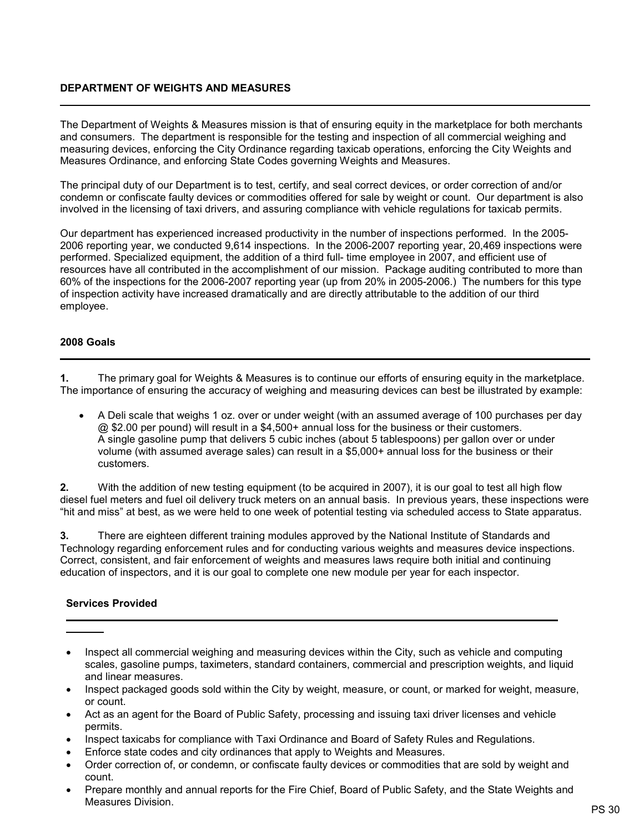### DEPARTMENT OF WEIGHTS AND MEASURES

The Department of Weights & Measures mission is that of ensuring equity in the marketplace for both merchants and consumers. The department is responsible for the testing and inspection of all commercial weighing and measuring devices, enforcing the City Ordinance regarding taxicab operations, enforcing the City Weights and Measures Ordinance, and enforcing State Codes governing Weights and Measures.

The principal duty of our Department is to test, certify, and seal correct devices, or order correction of and/or condemn or confiscate faulty devices or commodities offered for sale by weight or count. Our department is also involved in the licensing of taxi drivers, and assuring compliance with vehicle regulations for taxicab permits.

Our department has experienced increased productivity in the number of inspections performed. In the 2005- 2006 reporting year, we conducted 9,614 inspections. In the 2006-2007 reporting year, 20,469 inspections were performed. Specialized equipment, the addition of a third full- time employee in 2007, and efficient use of resources have all contributed in the accomplishment of our mission. Package auditing contributed to more than 60% of the inspections for the 2006-2007 reporting year (up from 20% in 2005-2006.) The numbers for this type of inspection activity have increased dramatically and are directly attributable to the addition of our third employee.

#### 2008 Goals

l

l

1. The primary goal for Weights & Measures is to continue our efforts of ensuring equity in the marketplace. The importance of ensuring the accuracy of weighing and measuring devices can best be illustrated by example:

• A Deli scale that weighs 1 oz. over or under weight (with an assumed average of 100 purchases per day @ \$2.00 per pound) will result in a \$4,500+ annual loss for the business or their customers. A single gasoline pump that delivers 5 cubic inches (about 5 tablespoons) per gallon over or under volume (with assumed average sales) can result in a \$5,000+ annual loss for the business or their customers.

2. With the addition of new testing equipment (to be acquired in 2007), it is our goal to test all high flow diesel fuel meters and fuel oil delivery truck meters on an annual basis. In previous years, these inspections were "hit and miss" at best, as we were held to one week of potential testing via scheduled access to State apparatus.

3. There are eighteen different training modules approved by the National Institute of Standards and Technology regarding enforcement rules and for conducting various weights and measures device inspections. Correct, consistent, and fair enforcement of weights and measures laws require both initial and continuing education of inspectors, and it is our goal to complete one new module per year for each inspector.

### Services Provided

- Inspect all commercial weighing and measuring devices within the City, such as vehicle and computing scales, gasoline pumps, taximeters, standard containers, commercial and prescription weights, and liquid and linear measures.
- Inspect packaged goods sold within the City by weight, measure, or count, or marked for weight, measure, or count.
- Act as an agent for the Board of Public Safety, processing and issuing taxi driver licenses and vehicle permits.
- Inspect taxicabs for compliance with Taxi Ordinance and Board of Safety Rules and Regulations.
- Enforce state codes and city ordinances that apply to Weights and Measures.
- Order correction of, or condemn, or confiscate faulty devices or commodities that are sold by weight and count.
- Prepare monthly and annual reports for the Fire Chief, Board of Public Safety, and the State Weights and Measures Division.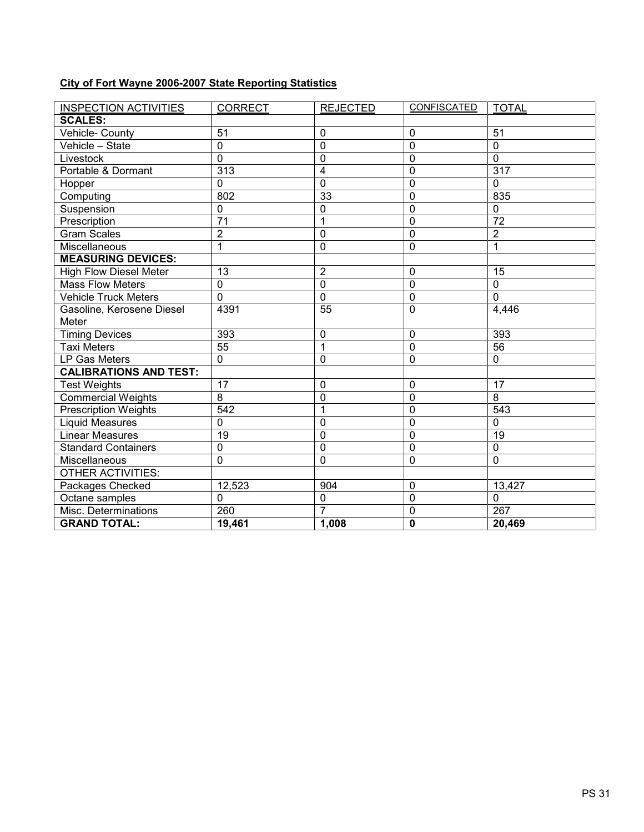## City of Fort Wayne 2006-2007 State Reporting Statistics

| <b>INSPECTION ACTIVITIES</b>  | <b>CORRECT</b>  | <b>REJECTED</b> | <b>CONFISCATED</b> | <b>TOTAL</b>    |
|-------------------------------|-----------------|-----------------|--------------------|-----------------|
| <b>SCALES:</b>                |                 |                 |                    |                 |
| Vehicle- County               | 51              | 0               | 0                  | 51              |
| $Vehicle - State$             | $\mathbf 0$     | 0               | $\mathbf 0$        | $\overline{0}$  |
| Livestock                     | $\mathbf 0$     | 0               | $\mathbf 0$        | $\mathbf 0$     |
| Portable & Dormant            | 313             | 4               | 0                  | 317             |
| Hopper                        | $\mathbf 0$     | 0               | $\mathbf 0$        | $\mathbf 0$     |
| Computing                     | 802             | 33              | $\mathbf 0$        | 835             |
| Suspension                    | $\mathbf 0$     | 0               | $\mathbf{0}$       | $\Omega$        |
| Prescription                  | $\overline{71}$ | 1               | $\mathbf 0$        | $\overline{72}$ |
| <b>Gram Scales</b>            | $\overline{2}$  | 0               | $\mathbf 0$        | $\overline{2}$  |
| Miscellaneous                 | 1               | 0               | $\mathbf 0$        | 1               |
| <b>MEASURING DEVICES:</b>     |                 |                 |                    |                 |
| <b>High Flow Diesel Meter</b> | 13              | $\overline{2}$  | $\mathbf 0$        | 15              |
| <b>Mass Flow Meters</b>       | $\overline{0}$  | $\overline{0}$  | $\overline{0}$     | $\overline{0}$  |
| <b>Vehicle Truck Meters</b>   | $\mathbf 0$     | 0               | $\mathbf 0$        | $\mathbf 0$     |
| Gasoline, Kerosene Diesel     | 4391            | 55              | $\mathbf 0$        | 4,446           |
| Meter                         |                 |                 |                    |                 |
| <b>Timing Devices</b>         | 393             | 0               | $\mathbf 0$        | 393             |
| <b>Taxi Meters</b>            | 55              | 1               | $\mathbf 0$        | 56              |
| LP Gas Meters                 | $\mathbf 0$     | 0               | $\mathbf{0}$       | 0               |
| <b>CALIBRATIONS AND TEST:</b> |                 |                 |                    |                 |
| <b>Test Weights</b>           | 17              | 0               | 0                  | 17              |
| <b>Commercial Weights</b>     | 8               | 0               | 0                  | $\overline{8}$  |
| <b>Prescription Weights</b>   | 542             | 1               | $\mathbf 0$        | 543             |
| Liquid Measures               | $\mathbf 0$     | 0               | 0                  | $\mathbf 0$     |
| <b>Linear Measures</b>        | 19              | $\mathbf 0$     | $\mathbf 0$        | 19              |
| <b>Standard Containers</b>    | $\overline{0}$  | 0               | $\mathbf{0}$       | $\mathbf 0$     |
| Miscellaneous                 | $\mathbf 0$     | 0               | $\mathbf{0}$       | $\mathbf 0$     |
| <b>OTHER ACTIVITIES:</b>      |                 |                 |                    |                 |
| Packages Checked              | 12,523          | 904             | $\mathbf 0$        | 13,427          |
| Octane samples                | 0               | 0               | $\mathbf 0$        | $\mathbf 0$     |
| Misc. Determinations          | 260             | $\overline{7}$  | $\mathbf{0}$       | 267             |
| <b>GRAND TOTAL:</b>           | 19,461          | 1,008           | $\mathbf 0$        | 20,469          |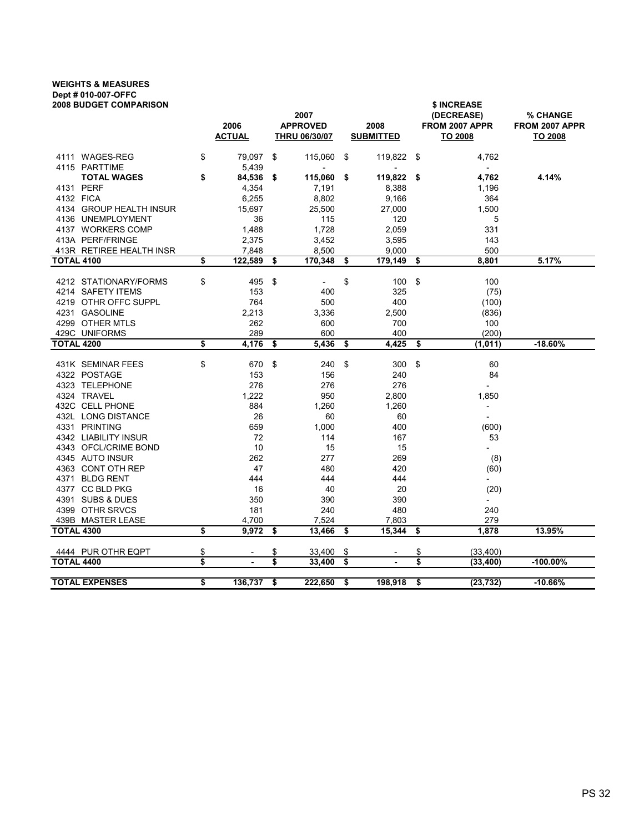# WEIGHTS & MEASURES Dept # 010-007-OFFC

| <b>2008 BUDGET COMPARISON</b>              |                       |            |          |                                 |          |                  |          | <b>\$ INCREASE</b>       |                |
|--------------------------------------------|-----------------------|------------|----------|---------------------------------|----------|------------------|----------|--------------------------|----------------|
|                                            |                       |            |          | 2007                            |          |                  |          | (DECREASE)               | % CHANGE       |
|                                            | 2006<br><b>ACTUAL</b> |            |          | <b>APPROVED</b>                 |          | 2008             |          | FROM 2007 APPR           | FROM 2007 APPR |
|                                            |                       |            |          | <b>THRU 06/30/07</b>            |          | <b>SUBMITTED</b> |          | TO 2008                  | TO 2008        |
| 4111 WAGES-REG                             | \$                    | 79,097     | \$       | 115,060                         | \$       | 119,822 \$       |          | 4,762                    |                |
| 4115 PARTTIME                              |                       | 5,439      |          |                                 |          |                  |          | $\overline{a}$           |                |
| <b>TOTAL WAGES</b>                         | \$                    | 84,536     | \$       | 115,060                         | \$       | 119,822          | \$       | 4,762                    | 4.14%          |
| 4131 PERF                                  |                       | 4,354      |          | 7,191                           |          | 8,388            |          | 1,196                    |                |
| 4132 FICA                                  |                       | 6,255      |          | 8,802                           |          | 9,166            |          | 364                      |                |
| 4134 GROUP HEALTH INSUR                    |                       | 15,697     |          | 25,500                          |          | 27,000           |          | 1,500                    |                |
| 4136 UNEMPLOYMENT                          |                       | 36         |          | 115                             |          | 120              |          | 5                        |                |
| 4137 WORKERS COMP                          |                       | 1,488      |          | 1,728                           |          | 2,059            |          | 331                      |                |
| 413A PERF/FRINGE                           |                       | 2,375      |          | 3,452                           |          | 3,595            |          | 143                      |                |
| 413R RETIREE HEALTH INSR                   |                       | 7,848      |          | 8,500                           |          | 9,000            |          | 500                      |                |
| <b>TOTAL 4100</b>                          | \$                    | 122,589    | \$       | 170,348                         | \$       | 179,149          | \$       | 8,801                    | 5.17%          |
|                                            | \$                    |            |          |                                 |          |                  |          |                          |                |
| 4212 STATIONARY/FORMS<br>4214 SAFETY ITEMS |                       | 495        | \$       | $\overline{\phantom{a}}$<br>400 | \$       | 100              | \$       | 100                      |                |
| 4219 OTHR OFFC SUPPL                       |                       | 153<br>764 |          | 500                             |          | 325<br>400       |          | (75)                     |                |
|                                            |                       |            |          |                                 |          |                  |          | (100)                    |                |
| 4231 GASOLINE                              |                       | 2,213      |          | 3,336                           |          | 2,500            |          | (836)                    |                |
| 4299 OTHER MTLS<br>429C UNIFORMS           |                       | 262<br>289 |          | 600<br>600                      |          | 700<br>400       |          | 100                      |                |
| <b>TOTAL 4200</b>                          | \$                    | 4,176      | \$       | 5,436                           | \$       | 4,425            | \$       | (200)<br>(1,011)         | $-18.60%$      |
|                                            |                       |            |          |                                 |          |                  |          |                          |                |
| 431K SEMINAR FEES                          | \$                    | 670        | \$       | 240                             | \$       | 300              | \$       | 60                       |                |
| 4322 POSTAGE                               |                       | 153        |          | 156                             |          | 240              |          | 84                       |                |
| 4323 TELEPHONE                             |                       | 276        |          | 276                             |          | 276              |          |                          |                |
| 4324 TRAVEL                                |                       | 1,222      |          | 950                             |          | 2,800            |          | 1,850                    |                |
| 432C CELL PHONE                            |                       | 884        |          | 1,260                           |          | 1,260            |          | $\overline{\phantom{a}}$ |                |
| 432L LONG DISTANCE                         |                       | 26         |          | 60                              |          | 60               |          | $\overline{\phantom{a}}$ |                |
| 4331 PRINTING                              |                       | 659        |          | 1,000                           |          | 400              |          | (600)                    |                |
| 4342 LIABILITY INSUR                       |                       | 72         |          | 114                             |          | 167              |          | 53                       |                |
| 4343 OFCL/CRIME BOND                       |                       | 10         |          | 15                              |          | 15               |          |                          |                |
| 4345 AUTO INSUR                            |                       | 262        |          | 277                             |          | 269              |          | (8)                      |                |
| 4363 CONT OTH REP                          |                       | 47         |          | 480                             |          | 420              |          | (60)                     |                |
| 4371 BLDG RENT                             |                       | 444        |          | 444                             |          | 444              |          |                          |                |
| 4377 CC BLD PKG                            |                       | 16         |          | 40                              |          | 20               |          | (20)                     |                |
| 4391 SUBS & DUES                           |                       | 350        |          | 390                             |          | 390              |          |                          |                |
| 4399 OTHR SRVCS                            |                       | 181        |          | 240                             |          | 480              |          | 240                      |                |
| 439B MASTER LEASE                          |                       | 4.700      |          | 7.524                           |          | 7.803            |          | 279                      |                |
| <b>TOTAL 4300</b>                          | \$                    | 9.972      | \$       | 13.466                          | \$       | 15.344           | \$       | 1,878                    | 13.95%         |
|                                            |                       |            |          |                                 |          |                  |          |                          |                |
| 4444 PUR OTHR EQPT<br><b>TOTAL 4400</b>    | \$<br>\$              | ۰          | \$<br>\$ | 33,400<br>33,400                | \$<br>\$ |                  | \$<br>\$ | (33, 400)<br>(33, 400)   | -100.00%       |
|                                            |                       |            |          |                                 |          |                  |          |                          |                |
| <b>TOTAL EXPENSES</b>                      | \$                    | 136,737    | \$       | 222,650                         | \$       | 198,918          | \$       | (23, 732)                | $-10.66%$      |
|                                            |                       |            |          |                                 |          |                  |          |                          |                |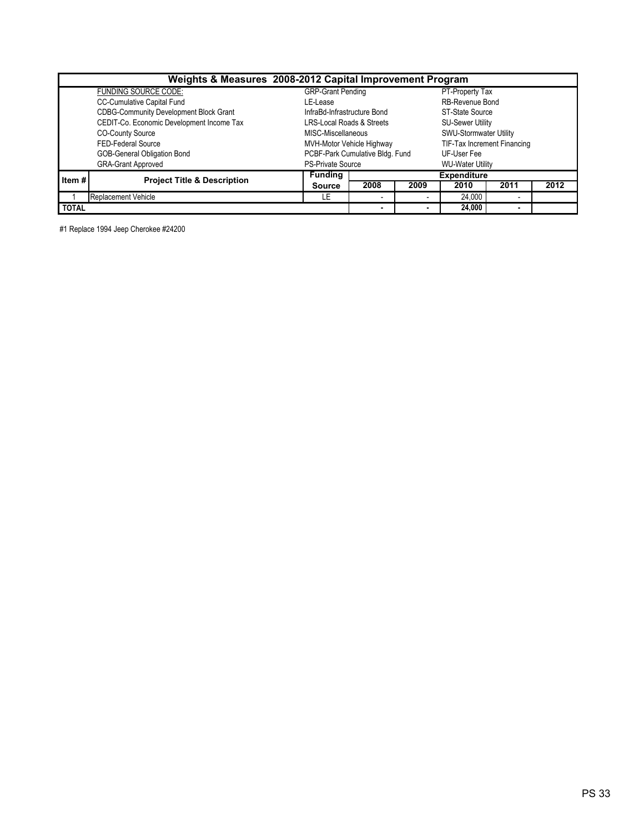|              | Weights & Measures 2008-2012 Capital Improvement Program |                                 |                           |        |                             |                |      |  |  |  |  |  |
|--------------|----------------------------------------------------------|---------------------------------|---------------------------|--------|-----------------------------|----------------|------|--|--|--|--|--|
|              | <b>FUNDING SOURCE CODE:</b>                              | <b>GRP-Grant Pending</b>        |                           |        | PT-Property Tax             |                |      |  |  |  |  |  |
|              | <b>CC-Cumulative Capital Fund</b>                        | LE-Lease                        |                           |        | <b>RB-Revenue Bond</b>      |                |      |  |  |  |  |  |
|              | <b>CDBG-Community Development Block Grant</b>            | InfraBd-Infrastructure Bond     |                           |        | ST-State Source             |                |      |  |  |  |  |  |
|              | CEDIT-Co. Economic Development Income Tax                | LRS-Local Roads & Streets       |                           |        | <b>SU-Sewer Utility</b>     |                |      |  |  |  |  |  |
|              | <b>CO-County Source</b>                                  | MISC-Miscellaneous              |                           |        | SWU-Stormwater Utility      |                |      |  |  |  |  |  |
|              | FED-Federal Source                                       |                                 | MVH-Motor Vehicle Highway |        | TIF-Tax Increment Financing |                |      |  |  |  |  |  |
|              | <b>GOB-General Obligation Bond</b>                       | PCBF-Park Cumulative Bldg. Fund |                           |        | UF-User Fee                 |                |      |  |  |  |  |  |
|              | <b>GRA-Grant Approved</b>                                | PS-Private Source               |                           |        | <b>WU-Water Utility</b>     |                |      |  |  |  |  |  |
| Item#        | <b>Project Title &amp; Description</b>                   | <b>Funding</b>                  |                           |        | <b>Expenditure</b>          |                |      |  |  |  |  |  |
|              |                                                          | <b>Source</b>                   | 2008                      | 2009   | 2010                        | 2011           | 2012 |  |  |  |  |  |
|              | <b>Replacement Vehicle</b>                               | LE                              | $\overline{\phantom{a}}$  |        | 24,000                      | $\blacksquare$ |      |  |  |  |  |  |
| <b>TOTAL</b> |                                                          | ٠                               |                           | 24.000 | $\blacksquare$              |                |      |  |  |  |  |  |

#1 Replace 1994 Jeep Cherokee #24200